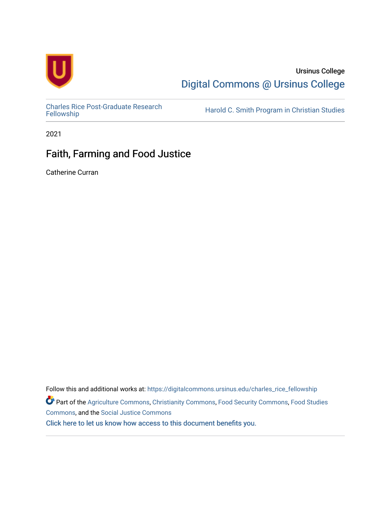

## Ursinus College [Digital Commons @ Ursinus College](https://digitalcommons.ursinus.edu/)

[Charles Rice Post-Graduate Research](https://digitalcommons.ursinus.edu/charles_rice_fellowship) 

Harold C. Smith Program in Christian Studies

2021

# Faith, Farming and Food Justice

Catherine Curran

Follow this and additional works at: [https://digitalcommons.ursinus.edu/charles\\_rice\\_fellowship](https://digitalcommons.ursinus.edu/charles_rice_fellowship?utm_source=digitalcommons.ursinus.edu%2Fcharles_rice_fellowship%2F6&utm_medium=PDF&utm_campaign=PDFCoverPages) Part of the [Agriculture Commons](http://network.bepress.com/hgg/discipline/1076?utm_source=digitalcommons.ursinus.edu%2Fcharles_rice_fellowship%2F6&utm_medium=PDF&utm_campaign=PDFCoverPages), [Christianity Commons](http://network.bepress.com/hgg/discipline/1181?utm_source=digitalcommons.ursinus.edu%2Fcharles_rice_fellowship%2F6&utm_medium=PDF&utm_campaign=PDFCoverPages), [Food Security Commons](http://network.bepress.com/hgg/discipline/1332?utm_source=digitalcommons.ursinus.edu%2Fcharles_rice_fellowship%2F6&utm_medium=PDF&utm_campaign=PDFCoverPages), [Food Studies](http://network.bepress.com/hgg/discipline/1386?utm_source=digitalcommons.ursinus.edu%2Fcharles_rice_fellowship%2F6&utm_medium=PDF&utm_campaign=PDFCoverPages)  [Commons](http://network.bepress.com/hgg/discipline/1386?utm_source=digitalcommons.ursinus.edu%2Fcharles_rice_fellowship%2F6&utm_medium=PDF&utm_campaign=PDFCoverPages), and the [Social Justice Commons](http://network.bepress.com/hgg/discipline/1432?utm_source=digitalcommons.ursinus.edu%2Fcharles_rice_fellowship%2F6&utm_medium=PDF&utm_campaign=PDFCoverPages)  [Click here to let us know how access to this document benefits you.](https://ursinus.co1.qualtrics.com/jfe/form/SV_1RIyfqzdxsWfMQ5)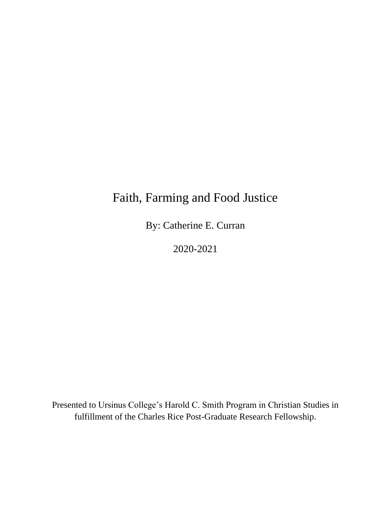# Faith, Farming and Food Justice

By: Catherine E. Curran

2020-2021

Presented to Ursinus College's Harold C. Smith Program in Christian Studies in fulfillment of the Charles Rice Post-Graduate Research Fellowship.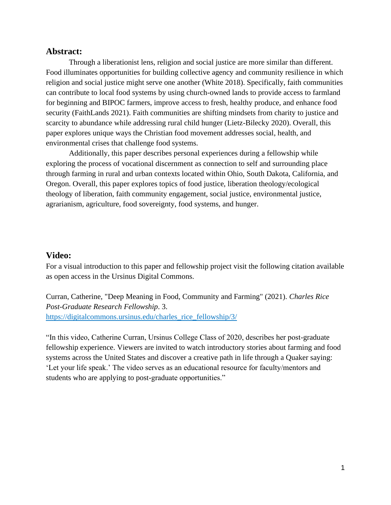#### **Abstract:**

Through a liberationist lens, religion and social justice are more similar than different. Food illuminates opportunities for building collective agency and community resilience in which religion and social justice might serve one another (White 2018). Specifically, faith communities can contribute to local food systems by using church-owned lands to provide access to farmland for beginning and BIPOC farmers, improve access to fresh, healthy produce, and enhance food security (FaithLands 2021). Faith communities are shifting mindsets from charity to justice and scarcity to abundance while addressing rural child hunger (Lietz-Bilecky 2020). Overall, this paper explores unique ways the Christian food movement addresses social, health, and environmental crises that challenge food systems.

Additionally, this paper describes personal experiences during a fellowship while exploring the process of vocational discernment as connection to self and surrounding place through farming in rural and urban contexts located within Ohio, South Dakota, California, and Oregon. Overall, this paper explores topics of food justice, liberation theology/ecological theology of liberation, faith community engagement, social justice, environmental justice, agrarianism, agriculture, food sovereignty, food systems, and hunger.

#### **Video:**

For a visual introduction to this paper and fellowship project visit the following citation available as open access in the Ursinus Digital Commons.

Curran, Catherine, "Deep Meaning in Food, Community and Farming" (2021). *Charles Rice Post-Graduate Research Fellowship*. 3. [https://digitalcommons.ursinus.edu/charles\\_rice\\_fellowship/3/](https://digitalcommons.ursinus.edu/charles_rice_fellowship/3/)

"In this video, Catherine Curran, Ursinus College Class of 2020, describes her post-graduate fellowship experience. Viewers are invited to watch introductory stories about farming and food systems across the United States and discover a creative path in life through a Quaker saying: 'Let your life speak.' The video serves as an educational resource for faculty/mentors and students who are applying to post-graduate opportunities."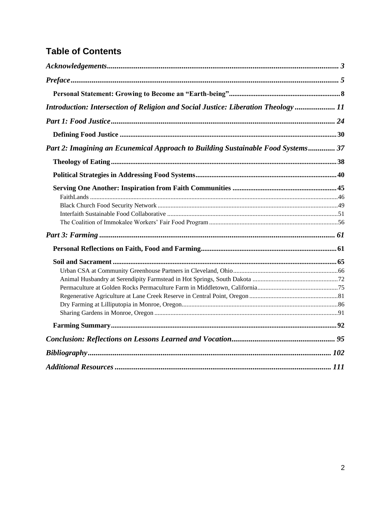# **Table of Contents**

| Introduction: Intersection of Religion and Social Justice: Liberation Theology  11 |  |
|------------------------------------------------------------------------------------|--|
|                                                                                    |  |
|                                                                                    |  |
| Part 2: Imagining an Ecunemical Approach to Building Sustainable Food Systems 37   |  |
|                                                                                    |  |
|                                                                                    |  |
|                                                                                    |  |
|                                                                                    |  |
|                                                                                    |  |
|                                                                                    |  |
|                                                                                    |  |
|                                                                                    |  |
|                                                                                    |  |
|                                                                                    |  |
|                                                                                    |  |
|                                                                                    |  |
|                                                                                    |  |
|                                                                                    |  |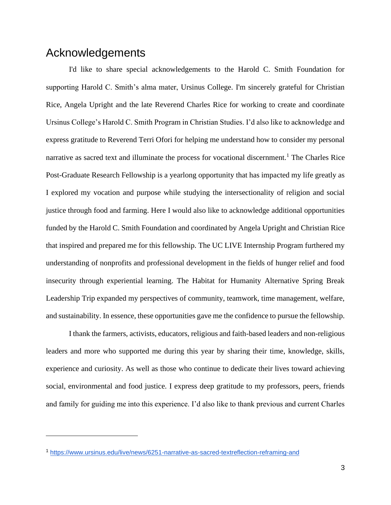### <span id="page-4-0"></span>Acknowledgements

I'd like to share special acknowledgements to the Harold C. Smith Foundation for supporting Harold C. Smith's alma mater, Ursinus College. I'm sincerely grateful for Christian Rice, Angela Upright and the late Reverend Charles Rice for working to create and coordinate Ursinus College's Harold C. Smith Program in Christian Studies. I'd also like to acknowledge and express gratitude to Reverend Terri Ofori for helping me understand how to consider my personal narrative as sacred text and illuminate the process for vocational discernment.<sup>1</sup> The Charles Rice Post-Graduate Research Fellowship is a yearlong opportunity that has impacted my life greatly as I explored my vocation and purpose while studying the intersectionality of religion and social justice through food and farming. Here I would also like to acknowledge additional opportunities funded by the Harold C. Smith Foundation and coordinated by Angela Upright and Christian Rice that inspired and prepared me for this fellowship. The UC LIVE Internship Program furthered my understanding of nonprofits and professional development in the fields of hunger relief and food insecurity through experiential learning. The Habitat for Humanity Alternative Spring Break Leadership Trip expanded my perspectives of community, teamwork, time management, welfare, and sustainability. In essence, these opportunities gave me the confidence to pursue the fellowship.

I thank the farmers, activists, educators, religious and faith-based leaders and non-religious leaders and more who supported me during this year by sharing their time, knowledge, skills, experience and curiosity. As well as those who continue to dedicate their lives toward achieving social, environmental and food justice. I express deep gratitude to my professors, peers, friends and family for guiding me into this experience. I'd also like to thank previous and current Charles

<sup>1</sup> <https://www.ursinus.edu/live/news/6251-narrative-as-sacred-textreflection-reframing-and>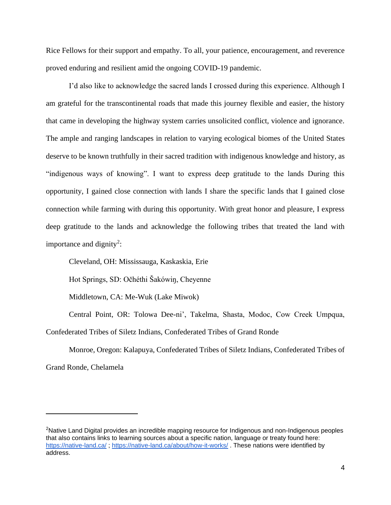Rice Fellows for their support and empathy. To all, your patience, encouragement, and reverence proved enduring and resilient amid the ongoing COVID-19 pandemic.

I'd also like to acknowledge the sacred lands I crossed during this experience. Although I am grateful for the transcontinental roads that made this journey flexible and easier, the history that came in developing the highway system carries unsolicited conflict, violence and ignorance. The ample and ranging landscapes in relation to varying ecological biomes of the United States deserve to be known truthfully in their sacred tradition with indigenous knowledge and history, as "indigenous ways of knowing". I want to express deep gratitude to the lands During this opportunity, I gained close connection with lands I share the specific lands that I gained close connection while farming with during this opportunity. With great honor and pleasure, I express deep gratitude to the lands and acknowledge the following tribes that treated the land with importance and dignity<sup>2</sup>:

Cleveland, OH: Mississauga, Kaskaskia, Erie

Hot Springs, SD: Očhéthi Šakówiŋ, Cheyenne

Middletown, CA: Me-Wuk (Lake Miwok)

Central Point, OR: Tolowa Dee-ni', Takelma, Shasta, Modoc, Cow Creek Umpqua, Confederated Tribes of Siletz Indians, Confederated Tribes of Grand Ronde

Monroe, Oregon: Kalapuya, Confederated Tribes of Siletz Indians, Confederated Tribes of Grand Ronde, Chelamela

<sup>&</sup>lt;sup>2</sup>Native Land Digital provides an incredible mapping resource for Indigenous and non-Indigenous peoples that also contains links to learning sources about a specific nation, language or treaty found here: <https://native-land.ca/> ;<https://native-land.ca/about/how-it-works/> . These nations were identified by address.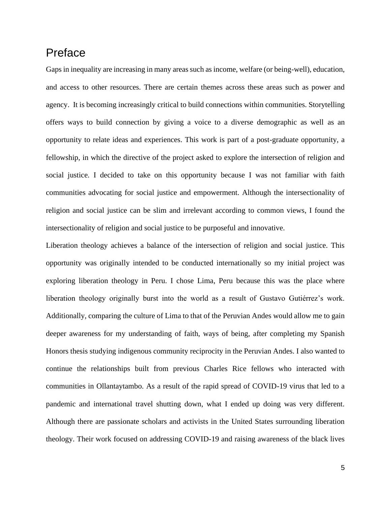# <span id="page-6-0"></span>Preface

Gaps in inequality are increasing in many areas such as income, welfare (or being-well), education, and access to other resources. There are certain themes across these areas such as power and agency. It is becoming increasingly critical to build connections within communities. Storytelling offers ways to build connection by giving a voice to a diverse demographic as well as an opportunity to relate ideas and experiences. This work is part of a post-graduate opportunity, a fellowship, in which the directive of the project asked to explore the intersection of religion and social justice. I decided to take on this opportunity because I was not familiar with faith communities advocating for social justice and empowerment. Although the intersectionality of religion and social justice can be slim and irrelevant according to common views, I found the intersectionality of religion and social justice to be purposeful and innovative.

Liberation theology achieves a balance of the intersection of religion and social justice. This opportunity was originally intended to be conducted internationally so my initial project was exploring liberation theology in Peru. I chose Lima, Peru because this was the place where liberation theology originally burst into the world as a result of Gustavo Gutiérrez's work. Additionally, comparing the culture of Lima to that of the Peruvian Andes would allow me to gain deeper awareness for my understanding of faith, ways of being, after completing my Spanish Honors thesis studying indigenous community reciprocity in the Peruvian Andes. I also wanted to continue the relationships built from previous Charles Rice fellows who interacted with communities in Ollantaytambo. As a result of the rapid spread of COVID-19 virus that led to a pandemic and international travel shutting down, what I ended up doing was very different. Although there are passionate scholars and activists in the United States surrounding liberation theology. Their work focused on addressing COVID-19 and raising awareness of the black lives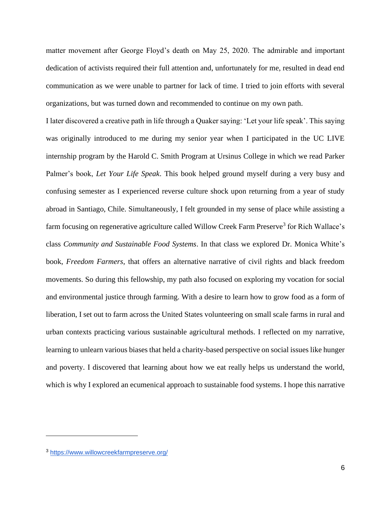matter movement after George Floyd's death on May 25, 2020. The admirable and important dedication of activists required their full attention and, unfortunately for me, resulted in dead end communication as we were unable to partner for lack of time. I tried to join efforts with several organizations, but was turned down and recommended to continue on my own path.

I later discovered a creative path in life through a Quaker saying: 'Let your life speak'. This saying was originally introduced to me during my senior year when I participated in the UC LIVE internship program by the Harold C. Smith Program at Ursinus College in which we read Parker Palmer's book, *Let Your Life Speak*. This book helped ground myself during a very busy and confusing semester as I experienced reverse culture shock upon returning from a year of study abroad in Santiago, Chile. Simultaneously, I felt grounded in my sense of place while assisting a farm focusing on regenerative agriculture called Willow Creek Farm Preserve<sup>3</sup> for Rich Wallace's class *Community and Sustainable Food Systems*. In that class we explored Dr. Monica White's book, *Freedom Farmers*, that offers an alternative narrative of civil rights and black freedom movements. So during this fellowship, my path also focused on exploring my vocation for social and environmental justice through farming. With a desire to learn how to grow food as a form of liberation, I set out to farm across the United States volunteering on small scale farms in rural and urban contexts practicing various sustainable agricultural methods. I reflected on my narrative, learning to unlearn various biases that held a charity-based perspective on social issues like hunger and poverty. I discovered that learning about how we eat really helps us understand the world, which is why I explored an ecumenical approach to sustainable food systems. I hope this narrative

<sup>3</sup> <https://www.willowcreekfarmpreserve.org/>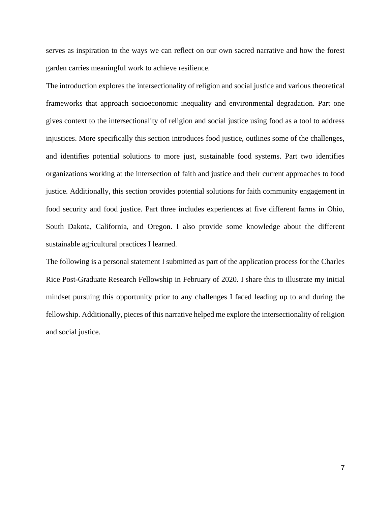serves as inspiration to the ways we can reflect on our own sacred narrative and how the forest garden carries meaningful work to achieve resilience.

The introduction explores the intersectionality of religion and social justice and various theoretical frameworks that approach socioeconomic inequality and environmental degradation. Part one gives context to the intersectionality of religion and social justice using food as a tool to address injustices. More specifically this section introduces food justice, outlines some of the challenges, and identifies potential solutions to more just, sustainable food systems. Part two identifies organizations working at the intersection of faith and justice and their current approaches to food justice. Additionally, this section provides potential solutions for faith community engagement in food security and food justice. Part three includes experiences at five different farms in Ohio, South Dakota, California, and Oregon. I also provide some knowledge about the different sustainable agricultural practices I learned.

The following is a personal statement I submitted as part of the application process for the Charles Rice Post-Graduate Research Fellowship in February of 2020. I share this to illustrate my initial mindset pursuing this opportunity prior to any challenges I faced leading up to and during the fellowship. Additionally, pieces of this narrative helped me explore the intersectionality of religion and social justice.

7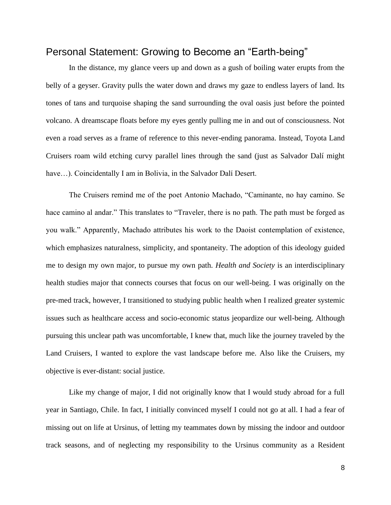#### <span id="page-9-0"></span>Personal Statement: Growing to Become an "Earth-being"

In the distance, my glance veers up and down as a gush of boiling water erupts from the belly of a geyser. Gravity pulls the water down and draws my gaze to endless layers of land. Its tones of tans and turquoise shaping the sand surrounding the oval oasis just before the pointed volcano. A dreamscape floats before my eyes gently pulling me in and out of consciousness. Not even a road serves as a frame of reference to this never-ending panorama. Instead, Toyota Land Cruisers roam wild etching curvy parallel lines through the sand (just as Salvador Dalí might have...). Coincidentally I am in Bolivia, in the Salvador Dalí Desert.

The Cruisers remind me of the poet Antonio Machado, "Caminante, no hay camino. Se hace camino al andar." This translates to "Traveler, there is no path. The path must be forged as you walk." Apparently, Machado attributes his work to the Daoist contemplation of existence, which emphasizes naturalness, simplicity, and spontaneity. The adoption of this ideology guided me to design my own major, to pursue my own path. *Health and Society* is an interdisciplinary health studies major that connects courses that focus on our well-being. I was originally on the pre-med track, however, I transitioned to studying public health when I realized greater systemic issues such as healthcare access and socio-economic status jeopardize our well-being. Although pursuing this unclear path was uncomfortable, I knew that, much like the journey traveled by the Land Cruisers, I wanted to explore the vast landscape before me. Also like the Cruisers, my objective is ever-distant: social justice.

Like my change of major, I did not originally know that I would study abroad for a full year in Santiago, Chile. In fact, I initially convinced myself I could not go at all. I had a fear of missing out on life at Ursinus, of letting my teammates down by missing the indoor and outdoor track seasons, and of neglecting my responsibility to the Ursinus community as a Resident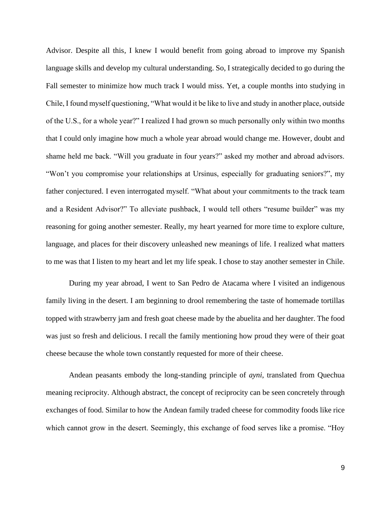Advisor. Despite all this, I knew I would benefit from going abroad to improve my Spanish language skills and develop my cultural understanding. So, I strategically decided to go during the Fall semester to minimize how much track I would miss. Yet, a couple months into studying in Chile, I found myself questioning, "What would it be like to live and study in another place, outside of the U.S., for a whole year?" I realized I had grown so much personally only within two months that I could only imagine how much a whole year abroad would change me. However, doubt and shame held me back. "Will you graduate in four years?" asked my mother and abroad advisors. "Won't you compromise your relationships at Ursinus, especially for graduating seniors?", my father conjectured. I even interrogated myself. "What about your commitments to the track team and a Resident Advisor?" To alleviate pushback, I would tell others "resume builder" was my reasoning for going another semester. Really, my heart yearned for more time to explore culture, language, and places for their discovery unleashed new meanings of life. I realized what matters to me was that I listen to my heart and let my life speak. I chose to stay another semester in Chile.

During my year abroad, I went to San Pedro de Atacama where I visited an indigenous family living in the desert. I am beginning to drool remembering the taste of homemade tortillas topped with strawberry jam and fresh goat cheese made by the abuelita and her daughter. The food was just so fresh and delicious. I recall the family mentioning how proud they were of their goat cheese because the whole town constantly requested for more of their cheese.

Andean peasants embody the long-standing principle of *ayni*, translated from Quechua meaning reciprocity. Although abstract, the concept of reciprocity can be seen concretely through exchanges of food. Similar to how the Andean family traded cheese for commodity foods like rice which cannot grow in the desert. Seemingly, this exchange of food serves like a promise. "Hoy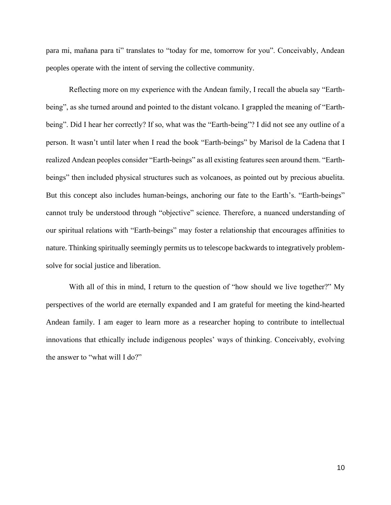para mi, mañana para ti" translates to "today for me, tomorrow for you". Conceivably, Andean peoples operate with the intent of serving the collective community.

Reflecting more on my experience with the Andean family, I recall the abuela say "Earthbeing", as she turned around and pointed to the distant volcano. I grappled the meaning of "Earthbeing". Did I hear her correctly? If so, what was the "Earth-being"? I did not see any outline of a person. It wasn't until later when I read the book "Earth-beings" by Marisol de la Cadena that I realized Andean peoples consider "Earth-beings" as all existing features seen around them. "Earthbeings" then included physical structures such as volcanoes, as pointed out by precious abuelita. But this concept also includes human-beings, anchoring our fate to the Earth's. "Earth-beings" cannot truly be understood through "objective" science. Therefore, a nuanced understanding of our spiritual relations with "Earth-beings" may foster a relationship that encourages affinities to nature. Thinking spiritually seemingly permits us to telescope backwards to integratively problemsolve for social justice and liberation.

With all of this in mind, I return to the question of "how should we live together?" My perspectives of the world are eternally expanded and I am grateful for meeting the kind-hearted Andean family. I am eager to learn more as a researcher hoping to contribute to intellectual innovations that ethically include indigenous peoples' ways of thinking. Conceivably, evolving the answer to "what will I do?"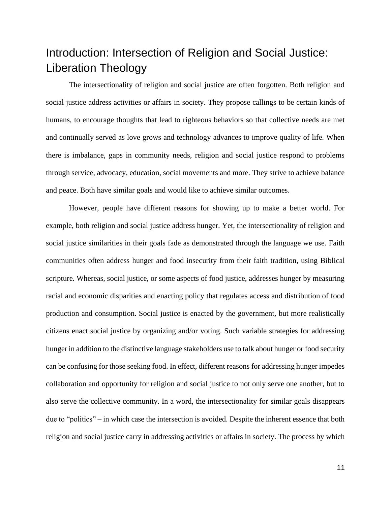# <span id="page-12-0"></span>Introduction: Intersection of Religion and Social Justice: Liberation Theology

The intersectionality of religion and social justice are often forgotten. Both religion and social justice address activities or affairs in society. They propose callings to be certain kinds of humans, to encourage thoughts that lead to righteous behaviors so that collective needs are met and continually served as love grows and technology advances to improve quality of life. When there is imbalance, gaps in community needs, religion and social justice respond to problems through service, advocacy, education, social movements and more. They strive to achieve balance and peace. Both have similar goals and would like to achieve similar outcomes.

However, people have different reasons for showing up to make a better world. For example, both religion and social justice address hunger. Yet, the intersectionality of religion and social justice similarities in their goals fade as demonstrated through the language we use. Faith communities often address hunger and food insecurity from their faith tradition, using Biblical scripture. Whereas, social justice, or some aspects of food justice, addresses hunger by measuring racial and economic disparities and enacting policy that regulates access and distribution of food production and consumption. Social justice is enacted by the government, but more realistically citizens enact social justice by organizing and/or voting. Such variable strategies for addressing hunger in addition to the distinctive language stakeholders use to talk about hunger or food security can be confusing for those seeking food. In effect, different reasons for addressing hunger impedes collaboration and opportunity for religion and social justice to not only serve one another, but to also serve the collective community. In a word, the intersectionality for similar goals disappears due to "politics" – in which case the intersection is avoided. Despite the inherent essence that both religion and social justice carry in addressing activities or affairs in society. The process by which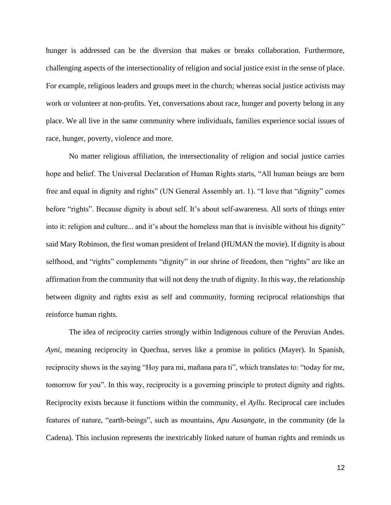hunger is addressed can be the diversion that makes or breaks collaboration. Furthermore, challenging aspects of the intersectionality of religion and social justice exist in the sense of place. For example, religious leaders and groups meet in the church; whereas social justice activists may work or volunteer at non-profits. Yet, conversations about race, hunger and poverty belong in any place. We all live in the same community where individuals, families experience social issues of race, hunger, poverty, violence and more.

No matter religious affiliation, the intersectionality of religion and social justice carries hope and belief. The Universal Declaration of Human Rights starts, "All human beings are born free and equal in dignity and rights" (UN General Assembly art. 1). "I love that "dignity" comes before "rights". Because dignity is about self. It's about self-awareness. All sorts of things enter into it: religion and culture... and it's about the homeless man that is invisible without his dignity" said Mary Robinson, the first woman president of Ireland (HUMAN the movie). If dignity is about selfhood, and "rights" complements "dignity" in our shrine of freedom, then "rights" are like an affirmation from the community that will not deny the truth of dignity. In this way, the relationship between dignity and rights exist as self and community, forming reciprocal relationships that reinforce human rights.

The idea of reciprocity carries strongly within Indigenous culture of the Peruvian Andes. *Ayni,* meaning reciprocity in Quechua, serves like a promise in politics (Mayer). In Spanish, reciprocity shows in the saying "Hoy para mi, mañana para ti", which translates to: "today for me, tomorrow for you". In this way, reciprocity is a governing principle to protect dignity and rights. Reciprocity exists because it functions within the community, el *Ayllu*. Reciprocal care includes features of nature, "earth-beings", such as mountains, *Apu Ausangate*, in the community (de la Cadena). This inclusion represents the inextricably linked nature of human rights and reminds us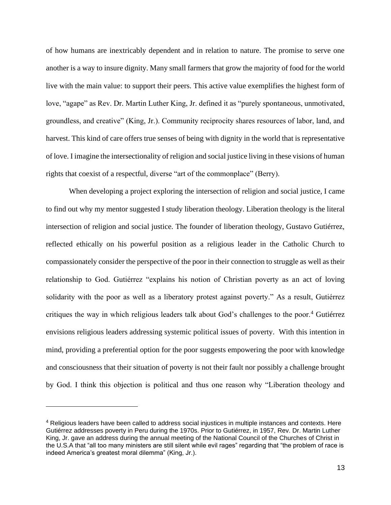of how humans are inextricably dependent and in relation to nature. The promise to serve one another is a way to insure dignity. Many small farmers that grow the majority of food for the world live with the main value: to support their peers. This active value exemplifies the highest form of love, "agape" as Rev. Dr. Martin Luther King, Jr. defined it as "purely spontaneous, unmotivated, groundless, and creative" (King, Jr.). Community reciprocity shares resources of labor, land, and harvest. This kind of care offers true senses of being with dignity in the world that is representative of love. I imagine the intersectionality of religion and social justice living in these visions of human rights that coexist of a respectful, diverse "art of the commonplace" (Berry).

When developing a project exploring the intersection of religion and social justice, I came to find out why my mentor suggested I study liberation theology. Liberation theology is the literal intersection of religion and social justice. The founder of liberation theology, Gustavo Gutiérrez, reflected ethically on his powerful position as a religious leader in the Catholic Church to compassionately consider the perspective of the poor in their connection to struggle as well as their relationship to God. Gutiérrez "explains his notion of Christian poverty as an act of loving solidarity with the poor as well as a liberatory protest against poverty." As a result, Gutiérrez critiques the way in which religious leaders talk about God's challenges to the poor.<sup>4</sup> Gutiérrez envisions religious leaders addressing systemic political issues of poverty. With this intention in mind, providing a preferential option for the poor suggests empowering the poor with knowledge and consciousness that their situation of poverty is not their fault nor possibly a challenge brought by God. I think this objection is political and thus one reason why "Liberation theology and

<sup>4</sup> Religious leaders have been called to address social injustices in multiple instances and contexts. Here Gutiérrez addresses poverty in Peru during the 1970s. Prior to Gutiérrez, in 1957, Rev. Dr. Martin Luther King, Jr. gave an address during the annual meeting of the National Council of the Churches of Christ in the U.S.A that "all too many ministers are still silent while evil rages" regarding that "the problem of race is indeed America's greatest moral dilemma" (King, Jr.).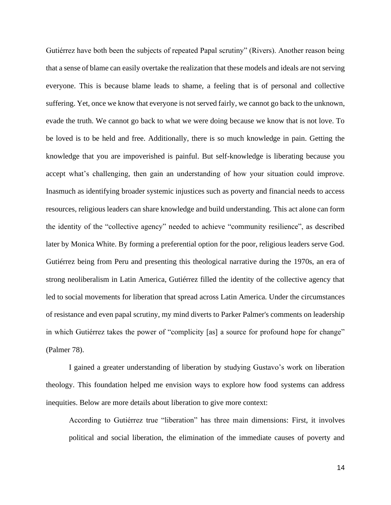Gutiérrez have both been the subjects of repeated Papal scrutiny" (Rivers). Another reason being that a sense of blame can easily overtake the realization that these models and ideals are not serving everyone. This is because blame leads to shame, a feeling that is of personal and collective suffering. Yet, once we know that everyone is not served fairly, we cannot go back to the unknown, evade the truth. We cannot go back to what we were doing because we know that is not love. To be loved is to be held and free. Additionally, there is so much knowledge in pain. Getting the knowledge that you are impoverished is painful. But self-knowledge is liberating because you accept what's challenging, then gain an understanding of how your situation could improve. Inasmuch as identifying broader systemic injustices such as poverty and financial needs to access resources, religious leaders can share knowledge and build understanding. This act alone can form the identity of the "collective agency" needed to achieve "community resilience", as described later by Monica White. By forming a preferential option for the poor, religious leaders serve God. Gutiérrez being from Peru and presenting this theological narrative during the 1970s, an era of strong neoliberalism in Latin America, Gutiérrez filled the identity of the collective agency that led to social movements for liberation that spread across Latin America. Under the circumstances of resistance and even papal scrutiny, my mind diverts to Parker Palmer's comments on leadership in which Gutiérrez takes the power of "complicity [as] a source for profound hope for change" (Palmer 78).

I gained a greater understanding of liberation by studying Gustavo's work on liberation theology. This foundation helped me envision ways to explore how food systems can address inequities. Below are more details about liberation to give more context:

According to Gutiérrez true "liberation" has three main dimensions: First, it involves political and social liberation, the elimination of the immediate causes of poverty and

14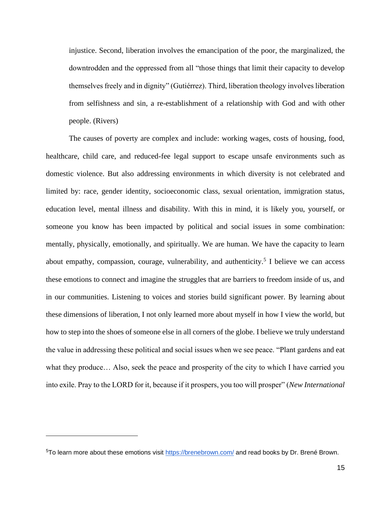injustice. Second, liberation involves the emancipation of the poor, the marginalized, the downtrodden and the oppressed from all "those things that limit their capacity to develop themselves freely and in dignity" (Gutiérrez). Third, liberation theology involves liberation from selfishness and sin, a re-establishment of a relationship with God and with other people. (Rivers)

The causes of poverty are complex and include: working wages, costs of housing, food, healthcare, child care, and reduced-fee legal support to escape unsafe environments such as domestic violence. But also addressing environments in which diversity is not celebrated and limited by: race, gender identity, socioeconomic class, sexual orientation, immigration status, education level, mental illness and disability. With this in mind, it is likely you, yourself, or someone you know has been impacted by political and social issues in some combination: mentally, physically, emotionally, and spiritually. We are human. We have the capacity to learn about empathy, compassion, courage, vulnerability, and authenticity.<sup>5</sup> I believe we can access these emotions to connect and imagine the struggles that are barriers to freedom inside of us, and in our communities. Listening to voices and stories build significant power. By learning about these dimensions of liberation, I not only learned more about myself in how I view the world, but how to step into the shoes of someone else in all corners of the globe. I believe we truly understand the value in addressing these political and social issues when we see peace. "Plant gardens and eat what they produce… Also, seek the peace and prosperity of the city to which I have carried you into exile. Pray to the LORD for it, because if it prospers, you too will prosper" (*New International* 

<sup>&</sup>lt;sup>5</sup>To learn more about these emotions visit<https://brenebrown.com/> and read books by Dr. Brené Brown.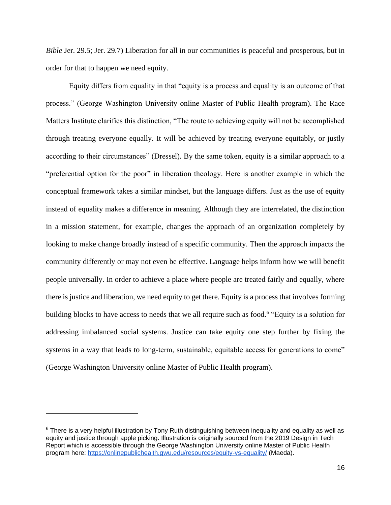*Bible Jer.* 29.5; Jer. 29.7) Liberation for all in our communities is peaceful and prosperous, but in order for that to happen we need equity.

Equity differs from equality in that "equity is a process and equality is an outcome of that process." (George Washington University online Master of Public Health program). The Race Matters Institute clarifies this distinction, "The route to achieving equity will not be accomplished through treating everyone equally. It will be achieved by treating everyone equitably, or justly according to their circumstances" (Dressel). By the same token, equity is a similar approach to a "preferential option for the poor" in liberation theology. Here is another example in which the conceptual framework takes a similar mindset, but the language differs. Just as the use of equity instead of equality makes a difference in meaning. Although they are interrelated, the distinction in a mission statement, for example, changes the approach of an organization completely by looking to make change broadly instead of a specific community. Then the approach impacts the community differently or may not even be effective. Language helps inform how we will benefit people universally. In order to achieve a place where people are treated fairly and equally, where there is justice and liberation, we need equity to get there. Equity is a process that involves forming building blocks to have access to needs that we all require such as food.<sup>6</sup> "Equity is a solution for addressing imbalanced social systems. Justice can take equity one step further by fixing the systems in a way that leads to long-term, sustainable, equitable access for generations to come" (George Washington University online Master of Public Health program).

 $6$  There is a very helpful illustration by Tony Ruth distinguishing between inequality and equality as well as equity and justice through apple picking. Illustration is originally sourced from the 2019 Design in Tech Report which is accessible through the George Washington University online Master of Public Health program here:<https://onlinepublichealth.gwu.edu/resources/equity-vs-equality/> (Maeda).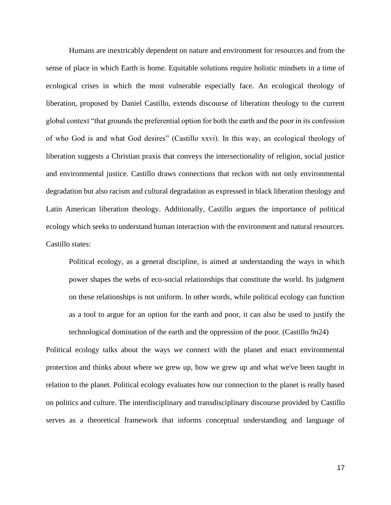Humans are inextricably dependent on nature and environment for resources and from the sense of place in which Earth is home. Equitable solutions require holistic mindsets in a time of ecological crises in which the most vulnerable especially face. An ecological theology of liberation, proposed by Daniel Castillo, extends discourse of liberation theology to the current global context "that grounds the preferential option for both the earth and the poor in its confession of who God is and what God desires" (Castillo xxvi). In this way, an ecological theology of liberation suggests a Christian praxis that conveys the intersectionality of religion, social justice and environmental justice. Castillo draws connections that reckon with not only environmental degradation but also racism and cultural degradation as expressed in black liberation theology and Latin American liberation theology. Additionally, Castillo argues the importance of political ecology which seeks to understand human interaction with the environment and natural resources. Castillo states:

Political ecology, as a general discipline, is aimed at understanding the ways in which power shapes the webs of eco-social relationships that constitute the world. Its judgment on these relationships is not uniform. In other words, while political ecology can function as a tool to argue for an option for the earth and poor, it can also be used to justify the technological domination of the earth and the oppression of the poor. (Castillo 9n24)

Political ecology talks about the ways we connect with the planet and enact environmental protection and thinks about where we grew up, how we grew up and what we've been taught in relation to the planet. Political ecology evaluates how our connection to the planet is really based on politics and culture. The interdisciplinary and transdisciplinary discourse provided by Castillo serves as a theoretical framework that informs conceptual understanding and language of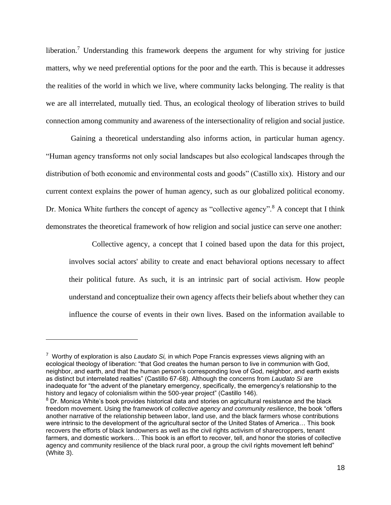liberation.<sup>7</sup> Understanding this framework deepens the argument for why striving for justice matters, why we need preferential options for the poor and the earth. This is because it addresses the realities of the world in which we live, where community lacks belonging. The reality is that we are all interrelated, mutually tied. Thus, an ecological theology of liberation strives to build connection among community and awareness of the intersectionality of religion and social justice.

Gaining a theoretical understanding also informs action, in particular human agency. "Human agency transforms not only social landscapes but also ecological landscapes through the distribution of both economic and environmental costs and goods" (Castillo xix). History and our current context explains the power of human agency, such as our globalized political economy. Dr. Monica White furthers the concept of agency as "collective agency".<sup>8</sup> A concept that I think demonstrates the theoretical framework of how religion and social justice can serve one another:

Collective agency, a concept that I coined based upon the data for this project, involves social actors' ability to create and enact behavioral options necessary to affect their political future. As such, it is an intrinsic part of social activism. How people understand and conceptualize their own agency affects their beliefs about whether they can influence the course of events in their own lives. Based on the information available to

<sup>7</sup> Worthy of exploration is also *Laudato Si,* in which Pope Francis expresses views aligning with an ecological theology of liberation: "that God creates the human person to live in communion with God, neighbor, and earth, and that the human person's corresponding love of God, neighbor, and earth exists as distinct but interrelated realties" (Castillo 67-68). Although the concerns from *Laudato Si* are inadequate for "the advent of the planetary emergency, specifically, the emergency's relationship to the history and legacy of colonialism within the 500-year project" (Castillo 146).

<sup>&</sup>lt;sup>8</sup> Dr. Monica White's book provides historical data and stories on agricultural resistance and the black freedom movement. Using the framework of *collective agency and community resilience*, the book "offers another narrative of the relationship between labor, land use, and the black farmers whose contributions were intrinsic to the development of the agricultural sector of the United States of America… This book recovers the efforts of black landowners as well as the civil rights activism of sharecroppers, tenant farmers, and domestic workers… This book is an effort to recover, tell, and honor the stories of collective agency and community resilience of the black rural poor, a group the civil rights movement left behind" (White 3).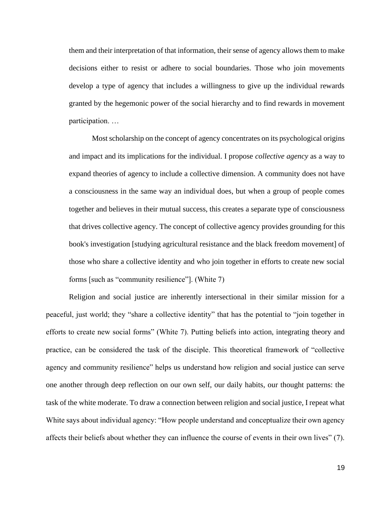them and their interpretation of that information, their sense of agency allows them to make decisions either to resist or adhere to social boundaries. Those who join movements develop a type of agency that includes a willingness to give up the individual rewards granted by the hegemonic power of the social hierarchy and to find rewards in movement participation. …

Most scholarship on the concept of agency concentrates on its psychological origins and impact and its implications for the individual. I propose *collective agency* as a way to expand theories of agency to include a collective dimension. A community does not have a consciousness in the same way an individual does, but when a group of people comes together and believes in their mutual success, this creates a separate type of consciousness that drives collective agency. The concept of collective agency provides grounding for this book's investigation [studying agricultural resistance and the black freedom movement] of those who share a collective identity and who join together in efforts to create new social forms [such as "community resilience"]. (White 7)

Religion and social justice are inherently intersectional in their similar mission for a peaceful, just world; they "share a collective identity" that has the potential to "join together in efforts to create new social forms" (White 7). Putting beliefs into action, integrating theory and practice, can be considered the task of the disciple. This theoretical framework of "collective agency and community resilience" helps us understand how religion and social justice can serve one another through deep reflection on our own self, our daily habits, our thought patterns: the task of the white moderate. To draw a connection between religion and social justice, I repeat what White says about individual agency: "How people understand and conceptualize their own agency affects their beliefs about whether they can influence the course of events in their own lives" (7).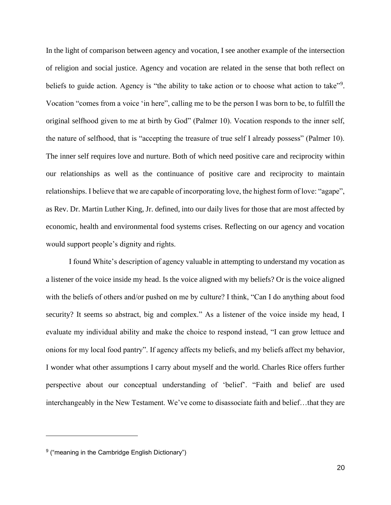In the light of comparison between agency and vocation, I see another example of the intersection of religion and social justice. Agency and vocation are related in the sense that both reflect on beliefs to guide action. Agency is "the ability to take action or to choose what action to take"<sup>9</sup>. Vocation "comes from a voice 'in here", calling me to be the person I was born to be, to fulfill the original selfhood given to me at birth by God" (Palmer 10). Vocation responds to the inner self, the nature of selfhood, that is "accepting the treasure of true self I already possess" (Palmer 10). The inner self requires love and nurture. Both of which need positive care and reciprocity within our relationships as well as the continuance of positive care and reciprocity to maintain relationships. I believe that we are capable of incorporating love, the highest form of love: "agape", as Rev. Dr. Martin Luther King, Jr. defined, into our daily lives for those that are most affected by economic, health and environmental food systems crises. Reflecting on our agency and vocation would support people's dignity and rights.

I found White's description of agency valuable in attempting to understand my vocation as a listener of the voice inside my head. Is the voice aligned with my beliefs? Or is the voice aligned with the beliefs of others and/or pushed on me by culture? I think, "Can I do anything about food security? It seems so abstract, big and complex." As a listener of the voice inside my head, I evaluate my individual ability and make the choice to respond instead, "I can grow lettuce and onions for my local food pantry". If agency affects my beliefs, and my beliefs affect my behavior, I wonder what other assumptions I carry about myself and the world. Charles Rice offers further perspective about our conceptual understanding of 'belief'. "Faith and belief are used interchangeably in the New Testament. We've come to disassociate faith and belief…that they are

 $^9$  ("meaning in the Cambridge English Dictionary")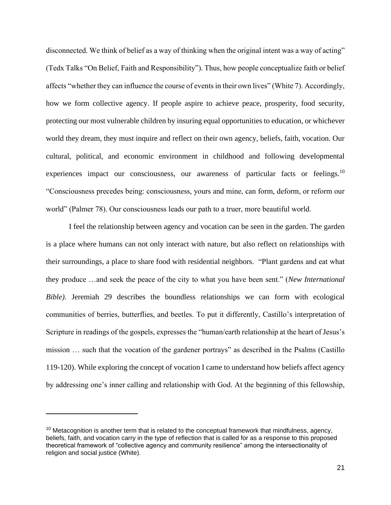disconnected. We think of belief as a way of thinking when the original intent was a way of acting" (Tedx Talks "On Belief, Faith and Responsibility"). Thus, how people conceptualize faith or belief affects "whether they can influence the course of events in their own lives" (White 7). Accordingly, how we form collective agency. If people aspire to achieve peace, prosperity, food security, protecting our most vulnerable children by insuring equal opportunities to education, or whichever world they dream, they must inquire and reflect on their own agency, beliefs, faith, vocation. Our cultural, political, and economic environment in childhood and following developmental experiences impact our consciousness, our awareness of particular facts or feelings.<sup>10</sup> "Consciousness precedes being: consciousness, yours and mine, can form, deform, or reform our world" (Palmer 78). Our consciousness leads our path to a truer, more beautiful world.

I feel the relationship between agency and vocation can be seen in the garden. The garden is a place where humans can not only interact with nature, but also reflect on relationships with their surroundings, a place to share food with residential neighbors. "Plant gardens and eat what they produce …and seek the peace of the city to what you have been sent." (*New International Bible)*. Jeremiah 29 describes the boundless relationships we can form with ecological communities of berries, butterflies, and beetles. To put it differently, Castillo's interpretation of Scripture in readings of the gospels, expresses the "human/earth relationship at the heart of Jesus's mission … such that the vocation of the gardener portrays" as described in the Psalms (Castillo 119-120). While exploring the concept of vocation I came to understand how beliefs affect agency by addressing one's inner calling and relationship with God. At the beginning of this fellowship,

 $10$  Metacognition is another term that is related to the conceptual framework that mindfulness, agency, beliefs, faith, and vocation carry in the type of reflection that is called for as a response to this proposed theoretical framework of "collective agency and community resilience" among the intersectionality of religion and social justice (White).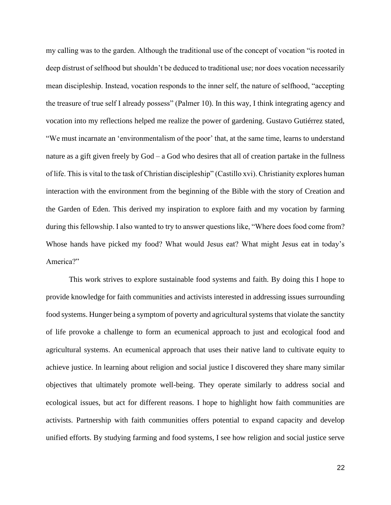my calling was to the garden. Although the traditional use of the concept of vocation "is rooted in deep distrust of selfhood but shouldn't be deduced to traditional use; nor does vocation necessarily mean discipleship. Instead, vocation responds to the inner self, the nature of selfhood, "accepting the treasure of true self I already possess" (Palmer 10). In this way, I think integrating agency and vocation into my reflections helped me realize the power of gardening. Gustavo Gutiérrez stated, "We must incarnate an 'environmentalism of the poor' that, at the same time, learns to understand nature as a gift given freely by God – a God who desires that all of creation partake in the fullness of life. This is vital to the task of Christian discipleship" (Castillo xvi). Christianity explores human interaction with the environment from the beginning of the Bible with the story of Creation and the Garden of Eden. This derived my inspiration to explore faith and my vocation by farming during this fellowship. I also wanted to try to answer questions like, "Where does food come from? Whose hands have picked my food? What would Jesus eat? What might Jesus eat in today's America?"

This work strives to explore sustainable food systems and faith. By doing this I hope to provide knowledge for faith communities and activists interested in addressing issues surrounding food systems. Hunger being a symptom of poverty and agricultural systems that violate the sanctity of life provoke a challenge to form an ecumenical approach to just and ecological food and agricultural systems. An ecumenical approach that uses their native land to cultivate equity to achieve justice. In learning about religion and social justice I discovered they share many similar objectives that ultimately promote well-being. They operate similarly to address social and ecological issues, but act for different reasons. I hope to highlight how faith communities are activists. Partnership with faith communities offers potential to expand capacity and develop unified efforts. By studying farming and food systems, I see how religion and social justice serve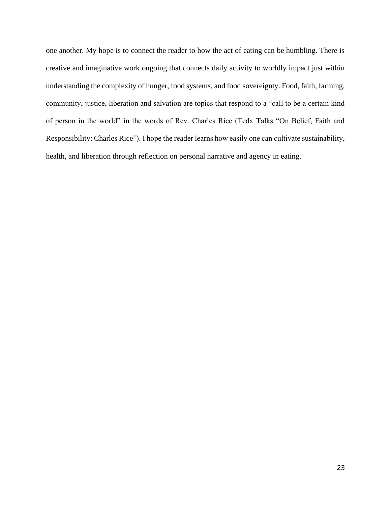one another. My hope is to connect the reader to how the act of eating can be humbling. There is creative and imaginative work ongoing that connects daily activity to worldly impact just within understanding the complexity of hunger, food systems, and food sovereignty. Food, faith, farming, community, justice, liberation and salvation are topics that respond to a "call to be a certain kind of person in the world" in the words of Rev. Charles Rice (Tedx Talks "On Belief, Faith and Responsibility: Charles Rice"). I hope the reader learns how easily one can cultivate sustainability, health, and liberation through reflection on personal narrative and agency in eating.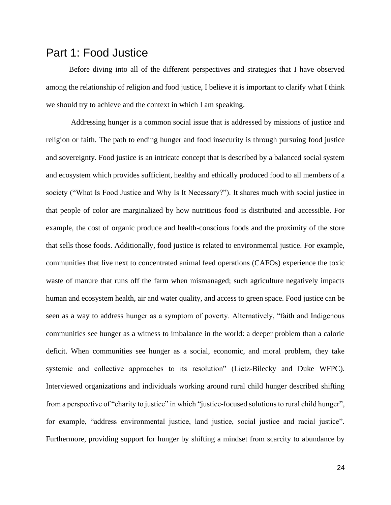### <span id="page-25-0"></span>Part 1: Food Justice

Before diving into all of the different perspectives and strategies that I have observed among the relationship of religion and food justice, I believe it is important to clarify what I think we should try to achieve and the context in which I am speaking.

Addressing hunger is a common social issue that is addressed by missions of justice and religion or faith. The path to ending hunger and food insecurity is through pursuing food justice and sovereignty. Food justice is an intricate concept that is described by a balanced social system and ecosystem which provides sufficient, healthy and ethically produced food to all members of a society ("What Is Food Justice and Why Is It Necessary?"). It shares much with social justice in that people of color are marginalized by how nutritious food is distributed and accessible. For example, the cost of organic produce and health-conscious foods and the proximity of the store that sells those foods. Additionally, food justice is related to environmental justice. For example, communities that live next to concentrated animal feed operations (CAFOs) experience the toxic waste of manure that runs off the farm when mismanaged; such agriculture negatively impacts human and ecosystem health, air and water quality, and access to green space. Food justice can be seen as a way to address hunger as a symptom of poverty. Alternatively, "faith and Indigenous communities see hunger as a witness to imbalance in the world: a deeper problem than a calorie deficit. When communities see hunger as a social, economic, and moral problem, they take systemic and collective approaches to its resolution" (Lietz-Bilecky and Duke WFPC). Interviewed organizations and individuals working around rural child hunger described shifting from a perspective of "charity to justice" in which "justice-focused solutions to rural child hunger", for example, "address environmental justice, land justice, social justice and racial justice". Furthermore, providing support for hunger by shifting a mindset from scarcity to abundance by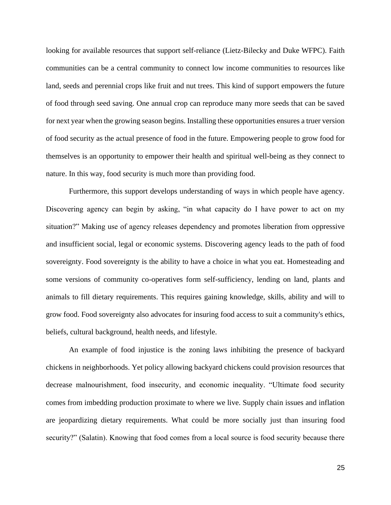looking for available resources that support self-reliance (Lietz-Bilecky and Duke WFPC). Faith communities can be a central community to connect low income communities to resources like land, seeds and perennial crops like fruit and nut trees. This kind of support empowers the future of food through seed saving. One annual crop can reproduce many more seeds that can be saved for next year when the growing season begins. Installing these opportunities ensures a truer version of food security as the actual presence of food in the future. Empowering people to grow food for themselves is an opportunity to empower their health and spiritual well-being as they connect to nature. In this way, food security is much more than providing food.

Furthermore, this support develops understanding of ways in which people have agency. Discovering agency can begin by asking, "in what capacity do I have power to act on my situation?" Making use of agency releases dependency and promotes liberation from oppressive and insufficient social, legal or economic systems. Discovering agency leads to the path of food sovereignty. Food sovereignty is the ability to have a choice in what you eat. Homesteading and some versions of community co-operatives form self-sufficiency, lending on land, plants and animals to fill dietary requirements. This requires gaining knowledge, skills, ability and will to grow food. Food sovereignty also advocates for insuring food access to suit a community's ethics, beliefs, cultural background, health needs, and lifestyle.

An example of food injustice is the zoning laws inhibiting the presence of backyard chickens in neighborhoods. Yet policy allowing backyard chickens could provision resources that decrease malnourishment, food insecurity, and economic inequality. "Ultimate food security comes from imbedding production proximate to where we live. Supply chain issues and inflation are jeopardizing dietary requirements. What could be more socially just than insuring food security?" (Salatin). Knowing that food comes from a local source is food security because there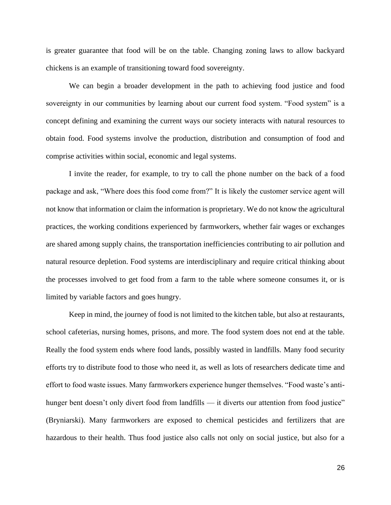is greater guarantee that food will be on the table. Changing zoning laws to allow backyard chickens is an example of transitioning toward food sovereignty.

We can begin a broader development in the path to achieving food justice and food sovereignty in our communities by learning about our current food system. "Food system" is a concept defining and examining the current ways our society interacts with natural resources to obtain food. Food systems involve the production, distribution and consumption of food and comprise activities within social, economic and legal systems.

I invite the reader, for example, to try to call the phone number on the back of a food package and ask, "Where does this food come from?" It is likely the customer service agent will not know that information or claim the information is proprietary. We do not know the agricultural practices, the working conditions experienced by farmworkers, whether fair wages or exchanges are shared among supply chains, the transportation inefficiencies contributing to air pollution and natural resource depletion. Food systems are interdisciplinary and require critical thinking about the processes involved to get food from a farm to the table where someone consumes it, or is limited by variable factors and goes hungry.

Keep in mind, the journey of food is not limited to the kitchen table, but also at restaurants, school cafeterias, nursing homes, prisons, and more. The food system does not end at the table. Really the food system ends where food lands, possibly wasted in landfills. Many food security efforts try to distribute food to those who need it, as well as lots of researchers dedicate time and effort to food waste issues. Many farmworkers experience hunger themselves. "Food waste's antihunger bent doesn't only divert food from landfills — it diverts our attention from food justice" (Bryniarski). Many farmworkers are exposed to chemical pesticides and fertilizers that are hazardous to their health. Thus food justice also calls not only on social justice, but also for a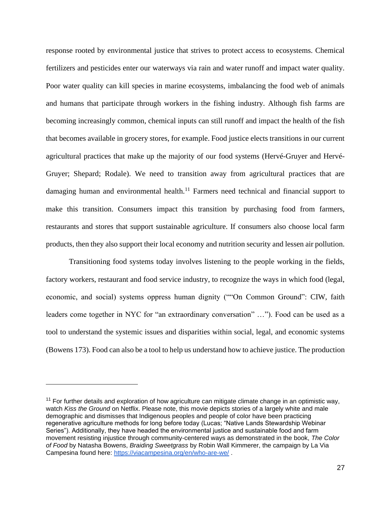response rooted by environmental justice that strives to protect access to ecosystems. Chemical fertilizers and pesticides enter our waterways via rain and water runoff and impact water quality. Poor water quality can kill species in marine ecosystems, imbalancing the food web of animals and humans that participate through workers in the fishing industry. Although fish farms are becoming increasingly common, chemical inputs can still runoff and impact the health of the fish that becomes available in grocery stores, for example. Food justice elects transitions in our current agricultural practices that make up the majority of our food systems (Hervé-Gruyer and Hervé-Gruyer; Shepard; Rodale). We need to transition away from agricultural practices that are damaging human and environmental health.<sup>11</sup> Farmers need technical and financial support to make this transition. Consumers impact this transition by purchasing food from farmers, restaurants and stores that support sustainable agriculture. If consumers also choose local farm products, then they also support their local economy and nutrition security and lessen air pollution.

Transitioning food systems today involves listening to the people working in the fields, factory workers, restaurant and food service industry, to recognize the ways in which food (legal, economic, and social) systems oppress human dignity (""On Common Ground": CIW, faith leaders come together in NYC for "an extraordinary conversation" …"). Food can be used as a tool to understand the systemic issues and disparities within social, legal, and economic systems (Bowens 173). Food can also be a tool to help us understand how to achieve justice. The production

 $11$  For further details and exploration of how agriculture can mitigate climate change in an optimistic way, watch *Kiss the Ground* on Netflix. Please note, this movie depicts stories of a largely white and male demographic and dismisses that Indigenous peoples and people of color have been practicing regenerative agriculture methods for long before today (Lucas; "Native Lands Stewardship Webinar Series"). Additionally, they have headed the environmental justice and sustainable food and farm movement resisting injustice through community-centered ways as demonstrated in the book, *The Color of Food* by Natasha Bowens, *Braiding Sweetgrass* by Robin Wall Kimmerer, the campaign by La Via Campesina found here:<https://viacampesina.org/en/who-are-we/> .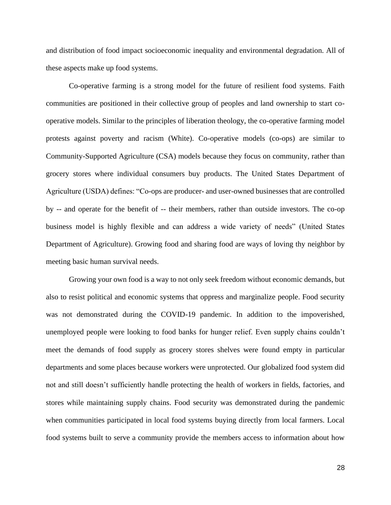and distribution of food impact socioeconomic inequality and environmental degradation. All of these aspects make up food systems.

Co-operative farming is a strong model for the future of resilient food systems. Faith communities are positioned in their collective group of peoples and land ownership to start cooperative models. Similar to the principles of liberation theology, the co-operative farming model protests against poverty and racism (White). Co-operative models (co-ops) are similar to Community-Supported Agriculture (CSA) models because they focus on community, rather than grocery stores where individual consumers buy products. The United States Department of Agriculture (USDA) defines: "Co-ops are producer- and user-owned businesses that are controlled by -- and operate for the benefit of -- their members, rather than outside investors. The co-op business model is highly flexible and can address a wide variety of needs" (United States Department of Agriculture). Growing food and sharing food are ways of loving thy neighbor by meeting basic human survival needs.

Growing your own food is a way to not only seek freedom without economic demands, but also to resist political and economic systems that oppress and marginalize people. Food security was not demonstrated during the COVID-19 pandemic. In addition to the impoverished, unemployed people were looking to food banks for hunger relief. Even supply chains couldn't meet the demands of food supply as grocery stores shelves were found empty in particular departments and some places because workers were unprotected. Our globalized food system did not and still doesn't sufficiently handle protecting the health of workers in fields, factories, and stores while maintaining supply chains. Food security was demonstrated during the pandemic when communities participated in local food systems buying directly from local farmers. Local food systems built to serve a community provide the members access to information about how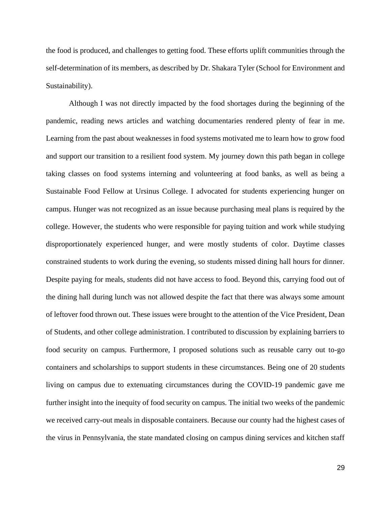the food is produced, and challenges to getting food. These efforts uplift communities through the self-determination of its members, as described by Dr. Shakara Tyler (School for Environment and Sustainability).

Although I was not directly impacted by the food shortages during the beginning of the pandemic, reading news articles and watching documentaries rendered plenty of fear in me. Learning from the past about weaknesses in food systems motivated me to learn how to grow food and support our transition to a resilient food system. My journey down this path began in college taking classes on food systems interning and volunteering at food banks, as well as being a Sustainable Food Fellow at Ursinus College. I advocated for students experiencing hunger on campus. Hunger was not recognized as an issue because purchasing meal plans is required by the college. However, the students who were responsible for paying tuition and work while studying disproportionately experienced hunger, and were mostly students of color. Daytime classes constrained students to work during the evening, so students missed dining hall hours for dinner. Despite paying for meals, students did not have access to food. Beyond this, carrying food out of the dining hall during lunch was not allowed despite the fact that there was always some amount of leftover food thrown out. These issues were brought to the attention of the Vice President, Dean of Students, and other college administration. I contributed to discussion by explaining barriers to food security on campus. Furthermore, I proposed solutions such as reusable carry out to-go containers and scholarships to support students in these circumstances. Being one of 20 students living on campus due to extenuating circumstances during the COVID-19 pandemic gave me further insight into the inequity of food security on campus. The initial two weeks of the pandemic we received carry-out meals in disposable containers. Because our county had the highest cases of the virus in Pennsylvania, the state mandated closing on campus dining services and kitchen staff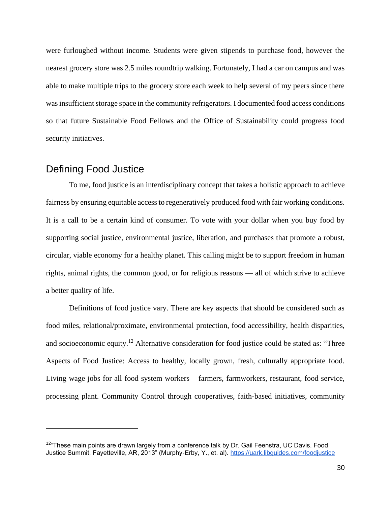were furloughed without income. Students were given stipends to purchase food, however the nearest grocery store was 2.5 miles roundtrip walking. Fortunately, I had a car on campus and was able to make multiple trips to the grocery store each week to help several of my peers since there was insufficient storage space in the community refrigerators. I documented food access conditions so that future Sustainable Food Fellows and the Office of Sustainability could progress food security initiatives.

#### <span id="page-31-0"></span>Defining Food Justice

To me, food justice is an interdisciplinary concept that takes a holistic approach to achieve fairness by ensuring equitable access to regeneratively produced food with fair working conditions. It is a call to be a certain kind of consumer. To vote with your dollar when you buy food by supporting social justice, environmental justice, liberation, and purchases that promote a robust, circular, viable economy for a healthy planet. This calling might be to support freedom in human rights, animal rights, the common good, or for religious reasons — all of which strive to achieve a better quality of life.

Definitions of food justice vary. There are key aspects that should be considered such as food miles, relational/proximate, environmental protection, food accessibility, health disparities, and socioeconomic equity.<sup>12</sup> Alternative consideration for food justice could be stated as: "Three Aspects of Food Justice: Access to healthy, locally grown, fresh, culturally appropriate food. Living wage jobs for all food system workers – farmers, farmworkers, restaurant, food service, processing plant. Community Control through cooperatives, faith-based initiatives, community

<sup>&</sup>lt;sup>12</sup>"These main points are drawn largely from a conference talk by Dr. Gail Feenstra, UC Davis. Food Justice Summit, Fayetteville, AR, 2013" (Murphy-Erby, Y., et. al).<https://uark.libguides.com/foodjustice>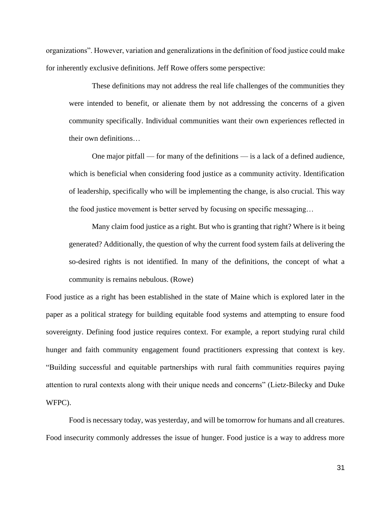organizations". However, variation and generalizations in the definition of food justice could make for inherently exclusive definitions. Jeff Rowe offers some perspective:

These definitions may not address the real life challenges of the communities they were intended to benefit, or alienate them by not addressing the concerns of a given community specifically. Individual communities want their own experiences reflected in their own definitions…

One major pitfall — for many of the definitions — is a lack of a defined audience, which is beneficial when considering food justice as a community activity. Identification of leadership, specifically who will be implementing the change, is also crucial. This way the food justice movement is better served by focusing on specific messaging…

Many claim food justice as a right. But who is granting that right? Where is it being generated? Additionally, the question of why the current food system fails at delivering the so-desired rights is not identified. In many of the definitions, the concept of what a community is remains nebulous. (Rowe)

Food justice as a right has been established in the state of Maine which is explored later in the paper as a political strategy for building equitable food systems and attempting to ensure food sovereignty. Defining food justice requires context. For example, a report studying rural child hunger and faith community engagement found practitioners expressing that context is key. "Building successful and equitable partnerships with rural faith communities requires paying attention to rural contexts along with their unique needs and concerns" (Lietz-Bilecky and Duke WFPC).

Food is necessary today, was yesterday, and will be tomorrow for humans and all creatures. Food insecurity commonly addresses the issue of hunger. Food justice is a way to address more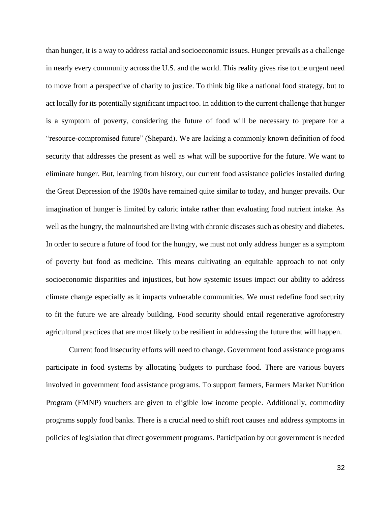than hunger, it is a way to address racial and socioeconomic issues. Hunger prevails as a challenge in nearly every community across the U.S. and the world. This reality gives rise to the urgent need to move from a perspective of charity to justice. To think big like a national food strategy, but to act locally for its potentially significant impact too. In addition to the current challenge that hunger is a symptom of poverty, considering the future of food will be necessary to prepare for a "resource-compromised future" (Shepard). We are lacking a commonly known definition of food security that addresses the present as well as what will be supportive for the future. We want to eliminate hunger. But, learning from history, our current food assistance policies installed during the Great Depression of the 1930s have remained quite similar to today, and hunger prevails. Our imagination of hunger is limited by caloric intake rather than evaluating food nutrient intake. As well as the hungry, the malnourished are living with chronic diseases such as obesity and diabetes. In order to secure a future of food for the hungry, we must not only address hunger as a symptom of poverty but food as medicine. This means cultivating an equitable approach to not only socioeconomic disparities and injustices, but how systemic issues impact our ability to address climate change especially as it impacts vulnerable communities. We must redefine food security to fit the future we are already building. Food security should entail regenerative agroforestry agricultural practices that are most likely to be resilient in addressing the future that will happen.

Current food insecurity efforts will need to change. Government food assistance programs participate in food systems by allocating budgets to purchase food. There are various buyers involved in government food assistance programs. To support farmers, Farmers Market Nutrition Program (FMNP) vouchers are given to eligible low income people. Additionally, commodity programs supply food banks. There is a crucial need to shift root causes and address symptoms in policies of legislation that direct government programs. Participation by our government is needed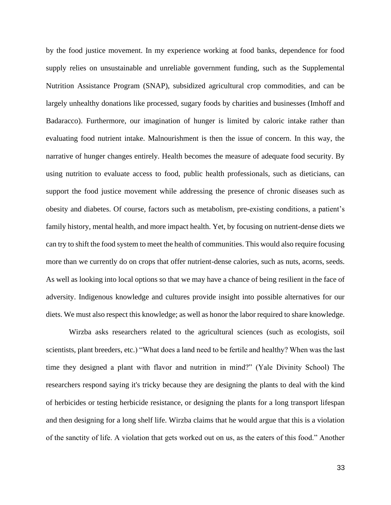by the food justice movement. In my experience working at food banks, dependence for food supply relies on unsustainable and unreliable government funding, such as the Supplemental Nutrition Assistance Program (SNAP), subsidized agricultural crop commodities, and can be largely unhealthy donations like processed, sugary foods by charities and businesses (Imhoff and Badaracco). Furthermore, our imagination of hunger is limited by caloric intake rather than evaluating food nutrient intake. Malnourishment is then the issue of concern. In this way, the narrative of hunger changes entirely. Health becomes the measure of adequate food security. By using nutrition to evaluate access to food, public health professionals, such as dieticians, can support the food justice movement while addressing the presence of chronic diseases such as obesity and diabetes. Of course, factors such as metabolism, pre-existing conditions, a patient's family history, mental health, and more impact health. Yet, by focusing on nutrient-dense diets we can try to shift the food system to meet the health of communities. This would also require focusing more than we currently do on crops that offer nutrient-dense calories, such as nuts, acorns, seeds. As well as looking into local options so that we may have a chance of being resilient in the face of adversity. Indigenous knowledge and cultures provide insight into possible alternatives for our diets. We must also respect this knowledge; as well as honor the labor required to share knowledge.

Wirzba asks researchers related to the agricultural sciences (such as ecologists, soil scientists, plant breeders, etc.) "What does a land need to be fertile and healthy? When was the last time they designed a plant with flavor and nutrition in mind?" (Yale Divinity School) The researchers respond saying it's tricky because they are designing the plants to deal with the kind of herbicides or testing herbicide resistance, or designing the plants for a long transport lifespan and then designing for a long shelf life. Wirzba claims that he would argue that this is a violation of the sanctity of life. A violation that gets worked out on us, as the eaters of this food." Another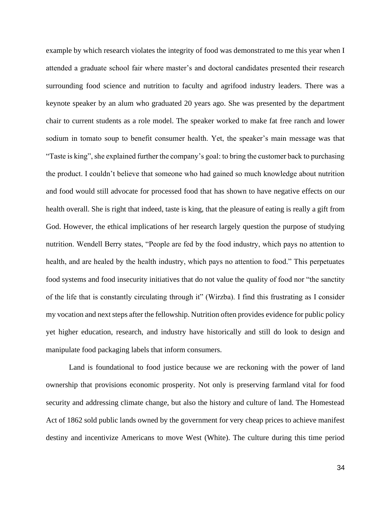example by which research violates the integrity of food was demonstrated to me this year when I attended a graduate school fair where master's and doctoral candidates presented their research surrounding food science and nutrition to faculty and agrifood industry leaders. There was a keynote speaker by an alum who graduated 20 years ago. She was presented by the department chair to current students as a role model. The speaker worked to make fat free ranch and lower sodium in tomato soup to benefit consumer health. Yet, the speaker's main message was that "Taste is king", she explained further the company's goal: to bring the customer back to purchasing the product. I couldn't believe that someone who had gained so much knowledge about nutrition and food would still advocate for processed food that has shown to have negative effects on our health overall. She is right that indeed, taste is king, that the pleasure of eating is really a gift from God. However, the ethical implications of her research largely question the purpose of studying nutrition. Wendell Berry states, "People are fed by the food industry, which pays no attention to health, and are healed by the health industry, which pays no attention to food." This perpetuates food systems and food insecurity initiatives that do not value the quality of food nor "the sanctity of the life that is constantly circulating through it" (Wirzba). I find this frustrating as I consider my vocation and next steps after the fellowship. Nutrition often provides evidence for public policy yet higher education, research, and industry have historically and still do look to design and manipulate food packaging labels that inform consumers.

Land is foundational to food justice because we are reckoning with the power of land ownership that provisions economic prosperity. Not only is preserving farmland vital for food security and addressing climate change, but also the history and culture of land. The Homestead Act of 1862 sold public lands owned by the government for very cheap prices to achieve manifest destiny and incentivize Americans to move West (White). The culture during this time period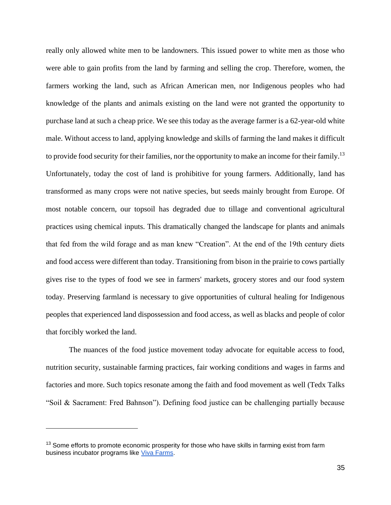really only allowed white men to be landowners. This issued power to white men as those who were able to gain profits from the land by farming and selling the crop. Therefore, women, the farmers working the land, such as African American men, nor Indigenous peoples who had knowledge of the plants and animals existing on the land were not granted the opportunity to purchase land at such a cheap price. We see this today as the average farmer is a 62-year-old white male. Without access to land, applying knowledge and skills of farming the land makes it difficult to provide food security for their families, nor the opportunity to make an income for their family.<sup>13</sup> Unfortunately, today the cost of land is prohibitive for young farmers. Additionally, land has transformed as many crops were not native species, but seeds mainly brought from Europe. Of most notable concern, our topsoil has degraded due to tillage and conventional agricultural practices using chemical inputs. This dramatically changed the landscape for plants and animals that fed from the wild forage and as man knew "Creation". At the end of the 19th century diets and food access were different than today. Transitioning from bison in the prairie to cows partially gives rise to the types of food we see in farmers' markets, grocery stores and our food system today. Preserving farmland is necessary to give opportunities of cultural healing for Indigenous peoples that experienced land dispossession and food access, as well as blacks and people of color that forcibly worked the land.

The nuances of the food justice movement today advocate for equitable access to food, nutrition security, sustainable farming practices, fair working conditions and wages in farms and factories and more. Such topics resonate among the faith and food movement as well (Tedx Talks "Soil & Sacrament: Fred Bahnson"). Defining food justice can be challenging partially because

<sup>&</sup>lt;sup>13</sup> Some efforts to promote economic prosperity for those who have skills in farming exist from farm business incubator programs like [Viva Farms.](https://vivafarms.org/)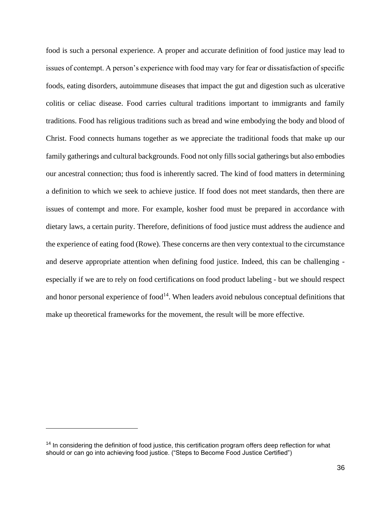food is such a personal experience. A proper and accurate definition of food justice may lead to issues of contempt. A person's experience with food may vary for fear or dissatisfaction of specific foods, eating disorders, autoimmune diseases that impact the gut and digestion such as ulcerative colitis or celiac disease. Food carries cultural traditions important to immigrants and family traditions. Food has religious traditions such as bread and wine embodying the body and blood of Christ. Food connects humans together as we appreciate the traditional foods that make up our family gatherings and cultural backgrounds. Food not only fills social gatherings but also embodies our ancestral connection; thus food is inherently sacred. The kind of food matters in determining a definition to which we seek to achieve justice. If food does not meet standards, then there are issues of contempt and more. For example, kosher food must be prepared in accordance with dietary laws, a certain purity. Therefore, definitions of food justice must address the audience and the experience of eating food (Rowe). These concerns are then very contextual to the circumstance and deserve appropriate attention when defining food justice. Indeed, this can be challenging especially if we are to rely on food certifications on food product labeling - but we should respect and honor personal experience of  $food<sup>14</sup>$ . When leaders avoid nebulous conceptual definitions that make up theoretical frameworks for the movement, the result will be more effective.

<sup>&</sup>lt;sup>14</sup> In considering the definition of food justice, this certification program offers deep reflection for what should or can go into achieving food justice. ("Steps to Become Food Justice Certified")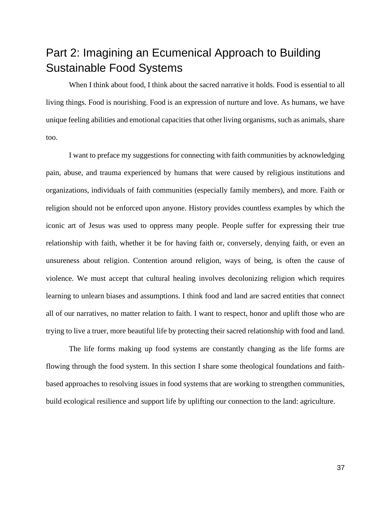# Part 2: Imagining an Ecumenical Approach to Building Sustainable Food Systems

When I think about food, I think about the sacred narrative it holds. Food is essential to all living things. Food is nourishing. Food is an expression of nurture and love. As humans, we have unique feeling abilities and emotional capacities that other living organisms, such as animals, share too.

I want to preface my suggestions for connecting with faith communities by acknowledging pain, abuse, and trauma experienced by humans that were caused by religious institutions and organizations, individuals of faith communities (especially family members), and more. Faith or religion should not be enforced upon anyone. History provides countless examples by which the iconic art of Jesus was used to oppress many people. People suffer for expressing their true relationship with faith, whether it be for having faith or, conversely, denying faith, or even an unsureness about religion. Contention around religion, ways of being, is often the cause of violence. We must accept that cultural healing involves decolonizing religion which requires learning to unlearn biases and assumptions. I think food and land are sacred entities that connect all of our narratives, no matter relation to faith. I want to respect, honor and uplift those who are trying to live a truer, more beautiful life by protecting their sacred relationship with food and land.

The life forms making up food systems are constantly changing as the life forms are flowing through the food system. In this section I share some theological foundations and faithbased approaches to resolving issues in food systems that are working to strengthen communities, build ecological resilience and support life by uplifting our connection to the land: agriculture.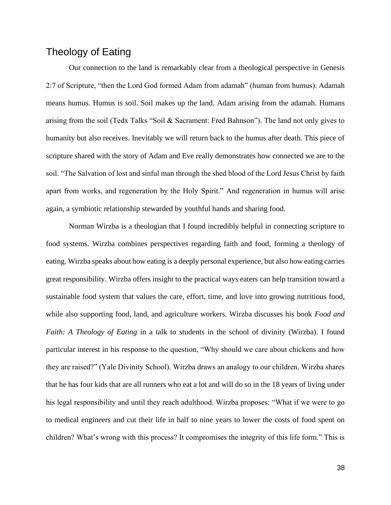## Theology of Eating

Our connection to the land is remarkably clear from a theological perspective in Genesis 2:7 of Scripture, "then the Lord God formed Adam from adamah" (human from humus). Adamah means humus. Humus is soil. Soil makes up the land. Adam arising from the adamah. Humans arising from the soil (Tedx Talks "Soil & Sacrament: Fred Bahnson"). The land not only gives to humanity but also receives. Inevitably we will return back to the humus after death. This piece of scripture shared with the story of Adam and Eve really demonstrates how connected we are to the soil. "The Salvation of lost and sinful man through the shed blood of the Lord Jesus Christ by faith apart from works, and regeneration by the Holy Spirit." And regeneration in humus will arise again, a symbiotic relationship stewarded by youthful hands and sharing food.

Norman Wirzba is a theologian that I found incredibly helpful in connecting scripture to food systems. Wirzba combines perspectives regarding faith and food, forming a theology of eating. Wirzba speaks about how eating is a deeply personal experience, but also how eating carries great responsibility. Wirzba offers insight to the practical ways eaters can help transition toward a sustainable food system that values the care, effort, time, and love into growing nutritious food, while also supporting food, land, and agriculture workers. Wirzba discusses his book *Food and Faith: A Theology of Eating* in a talk to students in the school of divinity (Wirzba). I found particular interest in his response to the question, "Why should we care about chickens and how they are raised?" (Yale Divinity School). Wirzba draws an analogy to our children. Wirzba shares that he has four kids that are all runners who eat a lot and will do so in the 18 years of living under his legal responsibility and until they reach adulthood. Wirzba proposes: "What if we were to go to medical engineers and cut their life in half to nine years to lower the costs of food spent on children? What's wrong with this process? It compromises the integrity of this life form." This is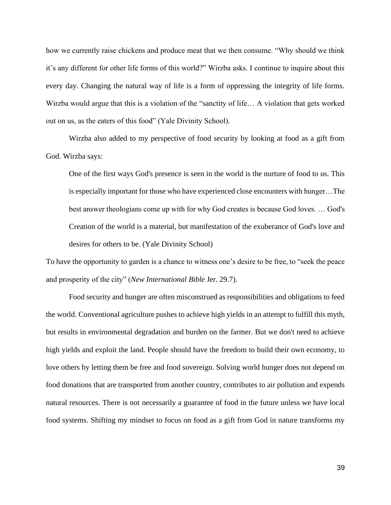how we currently raise chickens and produce meat that we then consume. "Why should we think it's any different for other life forms of this world?" Wirzba asks. I continue to inquire about this every day. Changing the natural way of life is a form of oppressing the integrity of life forms. Wirzba would argue that this is a violation of the "sanctity of life… A violation that gets worked out on us, as the eaters of this food" (Yale Divinity School).

Wirzba also added to my perspective of food security by looking at food as a gift from God. Wirzba says:

One of the first ways God's presence is seen in the world is the nurture of food to us. This is especially important for those who have experienced close encounters with hunger…The best answer theologians come up with for why God creates is because God loves. … God's Creation of the world is a material, but manifestation of the exuberance of God's love and desires for others to be. (Yale Divinity School)

To have the opportunity to garden is a chance to witness one's desire to be free, to "seek the peace and prosperity of the city" (*New International Bible* Jer. 29.7).

Food security and hunger are often misconstrued as responsibilities and obligations to feed the world. Conventional agriculture pushes to achieve high yields in an attempt to fulfill this myth, but results in environmental degradation and burden on the farmer. But we don't need to achieve high yields and exploit the land. People should have the freedom to build their own economy, to love others by letting them be free and food sovereign. Solving world hunger does not depend on food donations that are transported from another country, contributes to air pollution and expends natural resources. There is not necessarily a guarantee of food in the future unless we have local food systems. Shifting my mindset to focus on food as a gift from God in nature transforms my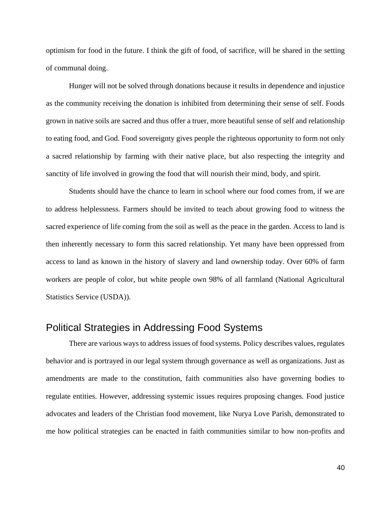optimism for food in the future. I think the gift of food, of sacrifice, will be shared in the setting of communal doing.

Hunger will not be solved through donations because it results in dependence and injustice as the community receiving the donation is inhibited from determining their sense of self. Foods grown in native soils are sacred and thus offer a truer, more beautiful sense of self and relationship to eating food, and God. Food sovereignty gives people the righteous opportunity to form not only a sacred relationship by farming with their native place, but also respecting the integrity and sanctity of life involved in growing the food that will nourish their mind, body, and spirit.

Students should have the chance to learn in school where our food comes from, if we are to address helplessness. Farmers should be invited to teach about growing food to witness the sacred experience of life coming from the soil as well as the peace in the garden. Access to land is then inherently necessary to form this sacred relationship. Yet many have been oppressed from access to land as known in the history of slavery and land ownership today. Over 60% of farm workers are people of color, but white people own 98% of all farmland (National Agricultural Statistics Service (USDA)).

## Political Strategies in Addressing Food Systems

There are various ways to address issues of food systems. Policy describes values, regulates behavior and is portrayed in our legal system through governance as well as organizations. Just as amendments are made to the constitution, faith communities also have governing bodies to regulate entities. However, addressing systemic issues requires proposing changes. Food justice advocates and leaders of the Christian food movement, like Nurya Love Parish, demonstrated to me how political strategies can be enacted in faith communities similar to how non-profits and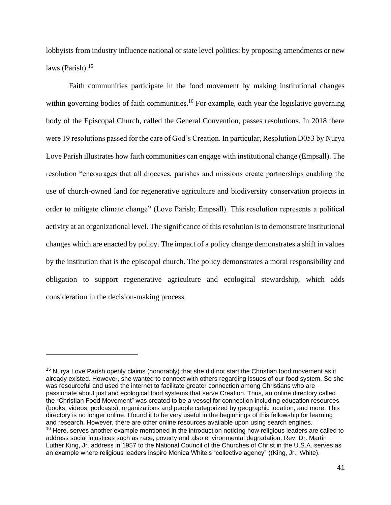lobbyists from industry influence national or state level politics: by proposing amendments or new laws (Parish). $15$ 

Faith communities participate in the food movement by making institutional changes within governing bodies of faith communities.<sup>16</sup> For example, each year the legislative governing body of the Episcopal Church, called the General Convention, passes resolutions. In 2018 there were 19 resolutions passed for the care of God's Creation. In particular, Resolution D053 by Nurya Love Parish illustrates how faith communities can engage with institutional change (Empsall). The resolution "encourages that all dioceses, parishes and missions create partnerships enabling the use of church-owned land for regenerative agriculture and biodiversity conservation projects in order to mitigate climate change" (Love Parish; Empsall). This resolution represents a political activity at an organizational level. The significance of this resolution is to demonstrate institutional changes which are enacted by policy. The impact of a policy change demonstrates a shift in values by the institution that is the episcopal church. The policy demonstrates a moral responsibility and obligation to support regenerative agriculture and ecological stewardship, which adds consideration in the decision-making process.

<sup>&</sup>lt;sup>15</sup> Nurya Love Parish openly claims (honorably) that she did not start the Christian food movement as it already existed. However, she wanted to connect with others regarding issues of our food system. So she was resourceful and used the internet to facilitate greater connection among Christians who are passionate about just and ecological food systems that serve Creation. Thus, an online directory called the "Christian Food Movement" was created to be a vessel for connection including education resources (books, videos, podcasts), organizations and people categorized by geographic location, and more. This directory is no longer online. I found it to be very useful in the beginnings of this fellowship for learning and research. However, there are other online resources available upon using search engines. <sup>16</sup> Here, serves another example mentioned in the introduction noticing how religious leaders are called to address social injustices such as race, poverty and also environmental degradation. Rev. Dr. Martin Luther King, Jr. address in 1957 to the National Council of the Churches of Christ in the U.S.A. serves as an example where religious leaders inspire Monica White's "collective agency" ((King, Jr.; White).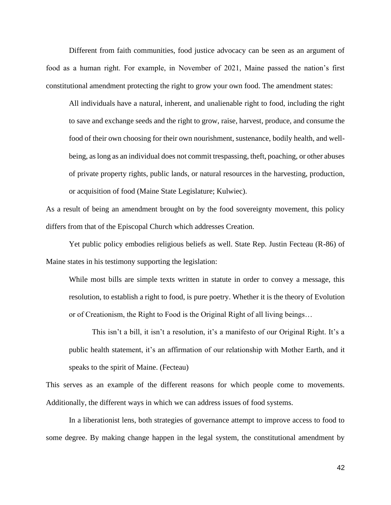Different from faith communities, food justice advocacy can be seen as an argument of food as a human right. For example, in November of 2021, Maine passed the nation's first constitutional amendment protecting the right to grow your own food. The amendment states:

All individuals have a natural, inherent, and unalienable right to food, including the right to save and exchange seeds and the right to grow, raise, harvest, produce, and consume the food of their own choosing for their own nourishment, sustenance, bodily health, and wellbeing, as long as an individual does not commit trespassing, theft, poaching, or other abuses of private property rights, public lands, or natural resources in the harvesting, production, or acquisition of food (Maine State Legislature; Kulwiec).

As a result of being an amendment brought on by the food sovereignty movement, this policy differs from that of the Episcopal Church which addresses Creation.

Yet public policy embodies religious beliefs as well. State Rep. Justin Fecteau (R-86) of Maine states in his testimony supporting the legislation:

While most bills are simple texts written in statute in order to convey a message, this resolution, to establish a right to food, is pure poetry. Whether it is the theory of Evolution or of Creationism, the Right to Food is the Original Right of all living beings…

This isn't a bill, it isn't a resolution, it's a manifesto of our Original Right. It's a public health statement, it's an affirmation of our relationship with Mother Earth, and it speaks to the spirit of Maine. (Fecteau)

This serves as an example of the different reasons for which people come to movements. Additionally, the different ways in which we can address issues of food systems.

In a liberationist lens, both strategies of governance attempt to improve access to food to some degree. By making change happen in the legal system, the constitutional amendment by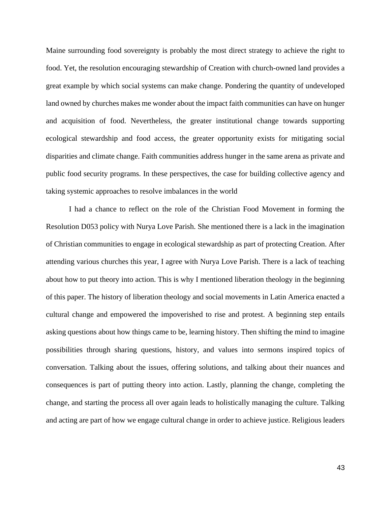Maine surrounding food sovereignty is probably the most direct strategy to achieve the right to food. Yet, the resolution encouraging stewardship of Creation with church-owned land provides a great example by which social systems can make change. Pondering the quantity of undeveloped land owned by churches makes me wonder about the impact faith communities can have on hunger and acquisition of food. Nevertheless, the greater institutional change towards supporting ecological stewardship and food access, the greater opportunity exists for mitigating social disparities and climate change. Faith communities address hunger in the same arena as private and public food security programs. In these perspectives, the case for building collective agency and taking systemic approaches to resolve imbalances in the world

I had a chance to reflect on the role of the Christian Food Movement in forming the Resolution D053 policy with Nurya Love Parish. She mentioned there is a lack in the imagination of Christian communities to engage in ecological stewardship as part of protecting Creation. After attending various churches this year, I agree with Nurya Love Parish. There is a lack of teaching about how to put theory into action. This is why I mentioned liberation theology in the beginning of this paper. The history of liberation theology and social movements in Latin America enacted a cultural change and empowered the impoverished to rise and protest. A beginning step entails asking questions about how things came to be, learning history. Then shifting the mind to imagine possibilities through sharing questions, history, and values into sermons inspired topics of conversation. Talking about the issues, offering solutions, and talking about their nuances and consequences is part of putting theory into action. Lastly, planning the change, completing the change, and starting the process all over again leads to holistically managing the culture. Talking and acting are part of how we engage cultural change in order to achieve justice. Religious leaders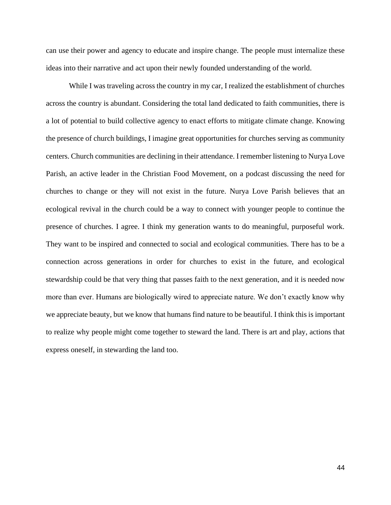can use their power and agency to educate and inspire change. The people must internalize these ideas into their narrative and act upon their newly founded understanding of the world.

While I was traveling across the country in my car, I realized the establishment of churches across the country is abundant. Considering the total land dedicated to faith communities, there is a lot of potential to build collective agency to enact efforts to mitigate climate change. Knowing the presence of church buildings, I imagine great opportunities for churches serving as community centers. Church communities are declining in their attendance. I remember listening to Nurya Love Parish, an active leader in the Christian Food Movement, on a podcast discussing the need for churches to change or they will not exist in the future. Nurya Love Parish believes that an ecological revival in the church could be a way to connect with younger people to continue the presence of churches. I agree. I think my generation wants to do meaningful, purposeful work. They want to be inspired and connected to social and ecological communities. There has to be a connection across generations in order for churches to exist in the future, and ecological stewardship could be that very thing that passes faith to the next generation, and it is needed now more than ever. Humans are biologically wired to appreciate nature. We don't exactly know why we appreciate beauty, but we know that humans find nature to be beautiful. I think this is important to realize why people might come together to steward the land. There is art and play, actions that express oneself, in stewarding the land too.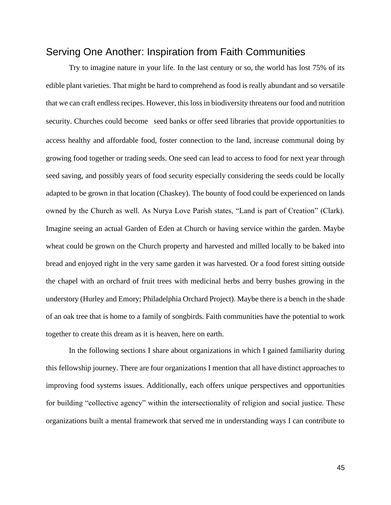## Serving One Another: Inspiration from Faith Communities

Try to imagine nature in your life. In the last century or so, the world has lost 75% of its edible plant varieties. That might be hard to comprehend as food is really abundant and so versatile that we can craft endless recipes. However, this loss in biodiversity threatens our food and nutrition security. Churches could become seed banks or offer seed libraries that provide opportunities to access healthy and affordable food, foster connection to the land, increase communal doing by growing food together or trading seeds. One seed can lead to access to food for next year through seed saving, and possibly years of food security especially considering the seeds could be locally adapted to be grown in that location (Chaskey). The bounty of food could be experienced on lands owned by the Church as well. As Nurya Love Parish states, "Land is part of Creation" (Clark). Imagine seeing an actual Garden of Eden at Church or having service within the garden. Maybe wheat could be grown on the Church property and harvested and milled locally to be baked into bread and enjoyed right in the very same garden it was harvested. Or a food forest sitting outside the chapel with an orchard of fruit trees with medicinal herbs and berry bushes growing in the understory (Hurley and Emory; Philadelphia Orchard Project). Maybe there is a bench in the shade of an oak tree that is home to a family of songbirds. Faith communities have the potential to work together to create this dream as it is heaven, here on earth.

In the following sections I share about organizations in which I gained familiarity during this fellowship journey. There are four organizations I mention that all have distinct approaches to improving food systems issues. Additionally, each offers unique perspectives and opportunities for building "collective agency" within the intersectionality of religion and social justice. These organizations built a mental framework that served me in understanding ways I can contribute to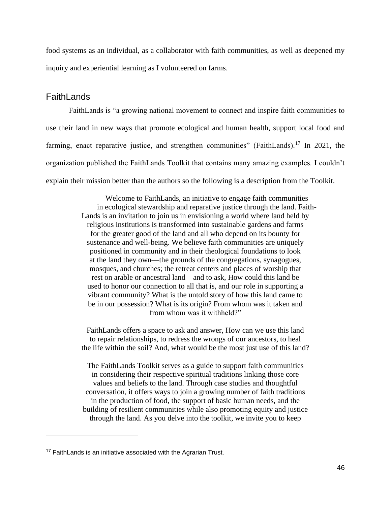food systems as an individual, as a collaborator with faith communities, as well as deepened my inquiry and experiential learning as I volunteered on farms.

#### **FaithLands**

FaithLands is "a growing national movement to connect and inspire faith communities to use their land in new ways that promote ecological and human health, support local food and farming, enact reparative justice, and strengthen communities" (FaithLands).<sup>17</sup> In 2021, the organization published the FaithLands Toolkit that contains many amazing examples. I couldn't explain their mission better than the authors so the following is a description from the Toolkit.

> Welcome to FaithLands, an initiative to engage faith communities in ecological stewardship and reparative justice through the land. Faith-Lands is an invitation to join us in envisioning a world where land held by religious institutions is transformed into sustainable gardens and farms for the greater good of the land and all who depend on its bounty for sustenance and well-being. We believe faith communities are uniquely positioned in community and in their theological foundations to look at the land they own—the grounds of the congregations, synagogues, mosques, and churches; the retreat centers and places of worship that rest on arable or ancestral land—and to ask, How could this land be used to honor our connection to all that is, and our role in supporting a vibrant community? What is the untold story of how this land came to be in our possession? What is its origin? From whom was it taken and from whom was it withheld?"

FaithLands offers a space to ask and answer, How can we use this land to repair relationships, to redress the wrongs of our ancestors, to heal the life within the soil? And, what would be the most just use of this land?

The FaithLands Toolkit serves as a guide to support faith communities in considering their respective spiritual traditions linking those core values and beliefs to the land. Through case studies and thoughtful conversation, it offers ways to join a growing number of faith traditions in the production of food, the support of basic human needs, and the building of resilient communities while also promoting equity and justice through the land. As you delve into the toolkit, we invite you to keep

<sup>&</sup>lt;sup>17</sup> FaithLands is an initiative associated with the Agrarian Trust.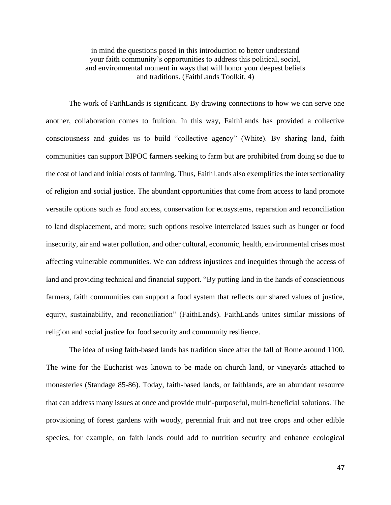in mind the questions posed in this introduction to better understand your faith community's opportunities to address this political, social, and environmental moment in ways that will honor your deepest beliefs and traditions. (FaithLands Toolkit, 4)

The work of FaithLands is significant. By drawing connections to how we can serve one another, collaboration comes to fruition. In this way, FaithLands has provided a collective consciousness and guides us to build "collective agency" (White). By sharing land, faith communities can support BIPOC farmers seeking to farm but are prohibited from doing so due to the cost of land and initial costs of farming. Thus, FaithLands also exemplifies the intersectionality of religion and social justice. The abundant opportunities that come from access to land promote versatile options such as food access, conservation for ecosystems, reparation and reconciliation to land displacement, and more; such options resolve interrelated issues such as hunger or food insecurity, air and water pollution, and other cultural, economic, health, environmental crises most affecting vulnerable communities. We can address injustices and inequities through the access of land and providing technical and financial support. "By putting land in the hands of conscientious farmers, faith communities can support a food system that reflects our shared values of justice, equity, sustainability, and reconciliation" (FaithLands). FaithLands unites similar missions of religion and social justice for food security and community resilience.

The idea of using faith-based lands has tradition since after the fall of Rome around 1100. The wine for the Eucharist was known to be made on church land, or vineyards attached to monasteries (Standage 85-86). Today, faith-based lands, or faithlands, are an abundant resource that can address many issues at once and provide multi-purposeful, multi-beneficial solutions. The provisioning of forest gardens with woody, perennial fruit and nut tree crops and other edible species, for example, on faith lands could add to nutrition security and enhance ecological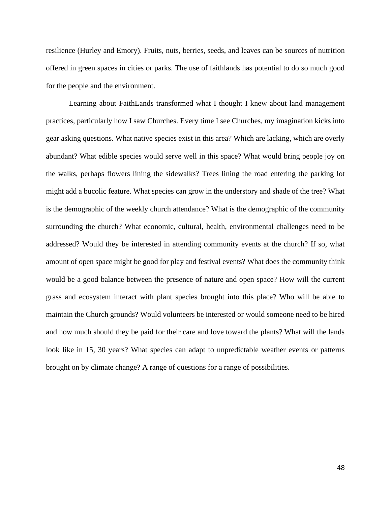resilience (Hurley and Emory). Fruits, nuts, berries, seeds, and leaves can be sources of nutrition offered in green spaces in cities or parks. The use of faithlands has potential to do so much good for the people and the environment.

Learning about FaithLands transformed what I thought I knew about land management practices, particularly how I saw Churches. Every time I see Churches, my imagination kicks into gear asking questions. What native species exist in this area? Which are lacking, which are overly abundant? What edible species would serve well in this space? What would bring people joy on the walks, perhaps flowers lining the sidewalks? Trees lining the road entering the parking lot might add a bucolic feature. What species can grow in the understory and shade of the tree? What is the demographic of the weekly church attendance? What is the demographic of the community surrounding the church? What economic, cultural, health, environmental challenges need to be addressed? Would they be interested in attending community events at the church? If so, what amount of open space might be good for play and festival events? What does the community think would be a good balance between the presence of nature and open space? How will the current grass and ecosystem interact with plant species brought into this place? Who will be able to maintain the Church grounds? Would volunteers be interested or would someone need to be hired and how much should they be paid for their care and love toward the plants? What will the lands look like in 15, 30 years? What species can adapt to unpredictable weather events or patterns brought on by climate change? A range of questions for a range of possibilities.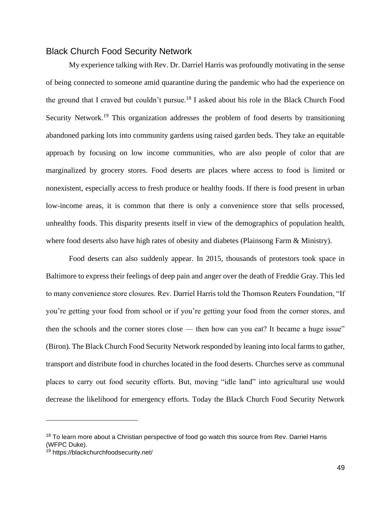#### Black Church Food Security Network

My experience talking with Rev. Dr. Darriel Harris was profoundly motivating in the sense of being connected to someone amid quarantine during the pandemic who had the experience on the ground that I craved but couldn't pursue.<sup>18</sup> I asked about his role in the Black Church Food Security Network.<sup>19</sup> This organization addresses the problem of food deserts by transitioning abandoned parking lots into community gardens using raised garden beds. They take an equitable approach by focusing on low income communities, who are also people of color that are marginalized by grocery stores. Food deserts are places where access to food is limited or nonexistent, especially access to fresh produce or healthy foods. If there is food present in urban low-income areas, it is common that there is only a convenience store that sells processed, unhealthy foods. This disparity presents itself in view of the demographics of population health, where food deserts also have high rates of obesity and diabetes (Plainsong Farm & Ministry).

Food deserts can also suddenly appear. In 2015, thousands of protestors took space in Baltimore to express their feelings of deep pain and anger over the death of Freddie Gray. This led to many convenience store closures. Rev. Darriel Harris told the Thomson Reuters Foundation, "If you're getting your food from school or if you're getting your food from the corner stores, and then the schools and the corner stores close — then how can you eat? It became a huge issue" (Biron). The Black Church Food Security Network responded by leaning into local farms to gather, transport and distribute food in churches located in the food deserts. Churches serve as communal places to carry out food security efforts. But, moving "idle land" into agricultural use would decrease the likelihood for emergency efforts. Today the Black Church Food Security Network

<sup>&</sup>lt;sup>18</sup> To learn more about a Christian perspective of food go watch this source from Rev. Darriel Harris (WFPC Duke).

<sup>19</sup> https://blackchurchfoodsecurity.net/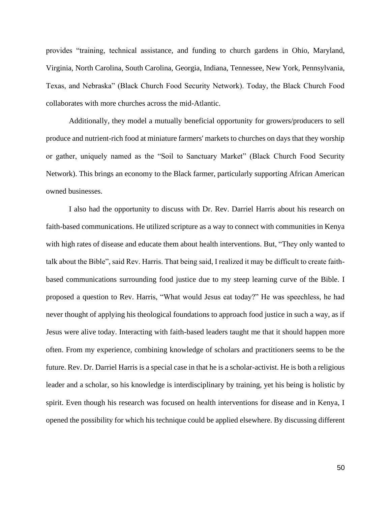provides "training, technical assistance, and funding to church gardens in Ohio, Maryland, Virginia, North Carolina, South Carolina, Georgia, Indiana, Tennessee, New York, Pennsylvania, Texas, and Nebraska" (Black Church Food Security Network). Today, the Black Church Food collaborates with more churches across the mid-Atlantic.

Additionally, they model a mutually beneficial opportunity for growers/producers to sell produce and nutrient-rich food at miniature farmers' markets to churches on days that they worship or gather, uniquely named as the "Soil to Sanctuary Market" (Black Church Food Security Network). This brings an economy to the Black farmer, particularly supporting African American owned businesses.

I also had the opportunity to discuss with Dr. Rev. Darriel Harris about his research on faith-based communications. He utilized scripture as a way to connect with communities in Kenya with high rates of disease and educate them about health interventions. But, "They only wanted to talk about the Bible", said Rev. Harris. That being said, I realized it may be difficult to create faithbased communications surrounding food justice due to my steep learning curve of the Bible. I proposed a question to Rev. Harris, "What would Jesus eat today?" He was speechless, he had never thought of applying his theological foundations to approach food justice in such a way, as if Jesus were alive today. Interacting with faith-based leaders taught me that it should happen more often. From my experience, combining knowledge of scholars and practitioners seems to be the future. Rev. Dr. Darriel Harris is a special case in that he is a scholar-activist. He is both a religious leader and a scholar, so his knowledge is interdisciplinary by training, yet his being is holistic by spirit. Even though his research was focused on health interventions for disease and in Kenya, I opened the possibility for which his technique could be applied elsewhere. By discussing different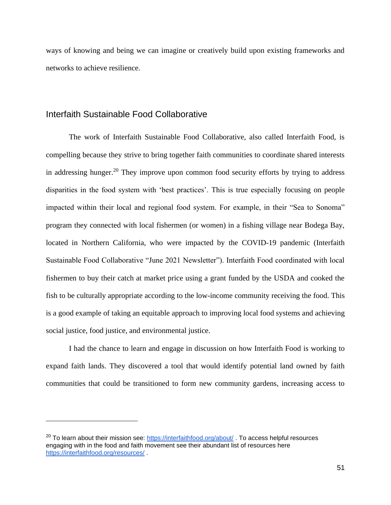ways of knowing and being we can imagine or creatively build upon existing frameworks and networks to achieve resilience.

#### Interfaith Sustainable Food Collaborative

The work of Interfaith Sustainable Food Collaborative, also called Interfaith Food, is compelling because they strive to bring together faith communities to coordinate shared interests in addressing hunger.<sup>20</sup> They improve upon common food security efforts by trying to address disparities in the food system with 'best practices'. This is true especially focusing on people impacted within their local and regional food system. For example, in their "Sea to Sonoma" program they connected with local fishermen (or women) in a fishing village near Bodega Bay, located in Northern California, who were impacted by the COVID-19 pandemic (Interfaith Sustainable Food Collaborative "June 2021 Newsletter"). Interfaith Food coordinated with local fishermen to buy their catch at market price using a grant funded by the USDA and cooked the fish to be culturally appropriate according to the low-income community receiving the food. This is a good example of taking an equitable approach to improving local food systems and achieving social justice, food justice, and environmental justice.

I had the chance to learn and engage in discussion on how Interfaith Food is working to expand faith lands. They discovered a tool that would identify potential land owned by faith communities that could be transitioned to form new community gardens, increasing access to

 $20$  To learn about their mission see:<https://interfaithfood.org/about/> . To access helpful resources engaging with in the food and faith movement see their abundant list of resources here <https://interfaithfood.org/resources/> .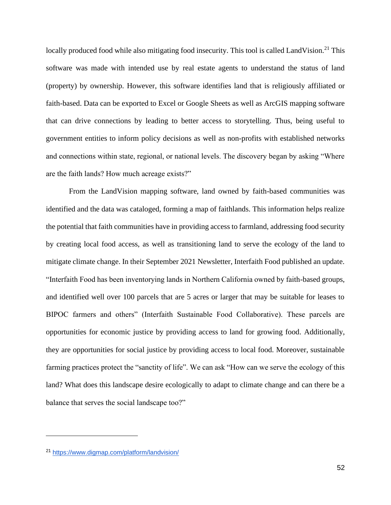locally produced food while also mitigating food insecurity. This tool is called LandVision.<sup>21</sup> This software was made with intended use by real estate agents to understand the status of land (property) by ownership. However, this software identifies land that is religiously affiliated or faith-based. Data can be exported to Excel or Google Sheets as well as ArcGIS mapping software that can drive connections by leading to better access to storytelling. Thus, being useful to government entities to inform policy decisions as well as non-profits with established networks and connections within state, regional, or national levels. The discovery began by asking "Where are the faith lands? How much acreage exists?"

From the LandVision mapping software, land owned by faith-based communities was identified and the data was cataloged, forming a map of faithlands. This information helps realize the potential that faith communities have in providing access to farmland, addressing food security by creating local food access, as well as transitioning land to serve the ecology of the land to mitigate climate change. In their September 2021 Newsletter, Interfaith Food published an update. "Interfaith Food has been inventorying lands in Northern California owned by faith-based groups, and identified well over 100 parcels that are 5 acres or larger that may be suitable for leases to BIPOC farmers and others" (Interfaith Sustainable Food Collaborative). These parcels are opportunities for economic justice by providing access to land for growing food. Additionally, they are opportunities for social justice by providing access to local food. Moreover, sustainable farming practices protect the "sanctity of life". We can ask "How can we serve the ecology of this land? What does this landscape desire ecologically to adapt to climate change and can there be a balance that serves the social landscape too?"

<sup>21</sup> <https://www.digmap.com/platform/landvision/>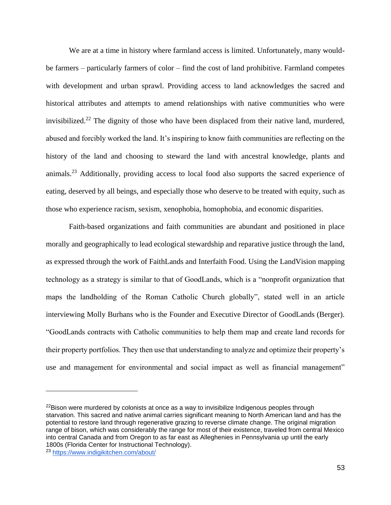We are at a time in history where farmland access is limited. Unfortunately, many wouldbe farmers – particularly farmers of color – find the cost of land prohibitive. Farmland competes with development and urban sprawl. Providing access to land acknowledges the sacred and historical attributes and attempts to amend relationships with native communities who were invisibilized.<sup>22</sup> The dignity of those who have been displaced from their native land, murdered, abused and forcibly worked the land. It's inspiring to know faith communities are reflecting on the history of the land and choosing to steward the land with ancestral knowledge, plants and animals.<sup>23</sup> Additionally, providing access to local food also supports the sacred experience of eating, deserved by all beings, and especially those who deserve to be treated with equity, such as those who experience racism, sexism, xenophobia, homophobia, and economic disparities.

Faith-based organizations and faith communities are abundant and positioned in place morally and geographically to lead ecological stewardship and reparative justice through the land, as expressed through the work of FaithLands and Interfaith Food. Using the LandVision mapping technology as a strategy is similar to that of GoodLands, which is a "nonprofit organization that maps the landholding of the Roman Catholic Church globally", stated well in an article interviewing Molly Burhans who is the Founder and Executive Director of GoodLands (Berger). "GoodLands contracts with Catholic communities to help them map and create land records for their property portfolios. They then use that understanding to analyze and optimize their property's use and management for environmental and social impact as well as financial management"

 $22$ Bison were murdered by colonists at once as a way to invisibilize Indigenous peoples through starvation. This sacred and native animal carries significant meaning to North American land and has the potential to restore land through regenerative grazing to reverse climate change. The original migration range of bison, which was considerably the range for most of their existence, traveled from central Mexico into central Canada and from Oregon to as far east as Alleghenies in Pennsylvania up until the early 1800s (Florida Center for Instructional Technology).

<sup>23</sup> <https://www.indigikitchen.com/about/>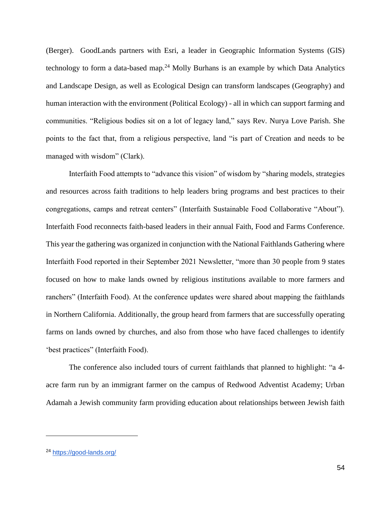(Berger). GoodLands partners with Esri, a leader in Geographic Information Systems (GIS) technology to form a data-based map.<sup>24</sup> Molly Burhans is an example by which Data Analytics and Landscape Design, as well as Ecological Design can transform landscapes (Geography) and human interaction with the environment (Political Ecology) - all in which can support farming and communities. "Religious bodies sit on a lot of legacy land," says [Rev. Nurya Love Parish.](http://www.churchwork.com/about/) She points to the fact that, from a religious perspective, land "is part of Creation and needs to be managed with wisdom" (Clark).

Interfaith Food attempts to "advance this vision" of wisdom by "sharing models, strategies and resources across faith traditions to help leaders bring programs and best practices to their congregations, camps and retreat centers" (Interfaith Sustainable Food Collaborative "About"). Interfaith Food reconnects faith-based leaders in their annual Faith, Food and Farms Conference. This year the gathering was organized in conjunction with the National Faithlands Gathering where Interfaith Food reported in their September 2021 Newsletter, "more than 30 people from 9 states focused on how to make lands owned by religious institutions available to more farmers and ranchers" (Interfaith Food). At the conference updates were shared about mapping the faithlands in Northern California. Additionally, the group heard from farmers that are successfully operating farms on lands owned by churches, and also from those who have faced challenges to identify 'best practices" (Interfaith Food).

The conference also included tours of current faithlands that planned to highlight: "a 4 acre farm run by an immigrant farmer on the campus of Redwood Adventist Academy; Urban Adamah a Jewish community farm providing education about relationships between Jewish faith

<sup>24</sup> <https://good-lands.org/>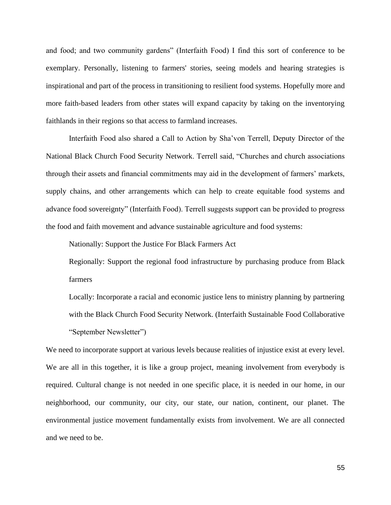and food; and two community gardens" (Interfaith Food) I find this sort of conference to be exemplary. Personally, listening to farmers' stories, seeing models and hearing strategies is inspirational and part of the process in transitioning to resilient food systems. Hopefully more and more faith-based leaders from other states will expand capacity by taking on the inventorying faithlands in their regions so that access to farmland increases.

Interfaith Food also shared a Call to Action by Sha'von Terrell, Deputy Director of the National Black Church Food Security Network. Terrell said, "Churches and church associations through their assets and financial commitments may aid in the development of farmers' markets, supply chains, and other arrangements which can help to create equitable food systems and advance food sovereignty" (Interfaith Food). Terrell suggests support can be provided to progress the food and faith movement and advance sustainable agriculture and food systems:

Nationally: Support the Justice For Black Farmers Act

Regionally: Support the regional food infrastructure by purchasing produce from Black farmers

Locally: Incorporate a racial and economic justice lens to ministry planning by partnering with the Black Church Food Security Network. (Interfaith Sustainable Food Collaborative "September Newsletter")

We need to incorporate support at various levels because realities of injustice exist at every level. We are all in this together, it is like a group project, meaning involvement from everybody is required. Cultural change is not needed in one specific place, it is needed in our home, in our neighborhood, our community, our city, our state, our nation, continent, our planet. The environmental justice movement fundamentally exists from involvement. We are all connected and we need to be.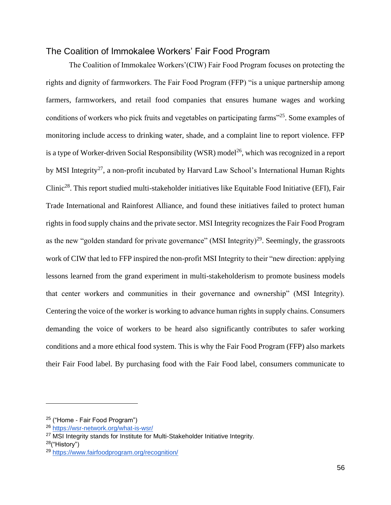#### The Coalition of Immokalee Workers' Fair Food Program

The Coalition of Immokalee Workers'(CIW) Fair Food Program focuses on protecting the rights and dignity of farmworkers. The Fair Food Program (FFP) "is a unique partnership among farmers, farmworkers, and retail food companies that ensures humane wages and working conditions of workers who pick fruits and vegetables on participating farms"<sup>25</sup>. Some examples of monitoring include access to drinking water, shade, and a complaint line to report violence. FFP is a type of Worker-driven Social Responsibility (WSR) model<sup>26</sup>, which was recognized in a report by MSI Integrity<sup>27</sup>, a non-profit incubated by Harvard Law School's International Human Rights Clinic<sup>28</sup>. This report studied multi-stakeholder initiatives like Equitable Food Initiative (EFI), Fair Trade International and Rainforest Alliance, and found these initiatives failed to protect human rights in food supply chains and the private sector. MSI Integrity recognizes the Fair Food Program as the new "golden standard for private governance" (MSI Integrity)<sup>29</sup>. Seemingly, the grassroots work of CIW that led to FFP inspired the non-profit MSI Integrity to their "new direction: applying lessons learned from the grand experiment in multi-stakeholderism to promote business models that center workers and communities in their governance and ownership" (MSI Integrity). Centering the voice of the worker is working to advance human rights in supply chains. Consumers demanding the voice of workers to be heard also significantly contributes to safer working conditions and a more ethical food system. This is why the Fair Food Program (FFP) also markets their Fair Food label. By purchasing food with the Fair Food label, consumers communicate to

<sup>25</sup> ("Home - Fair Food Program")

<sup>26</sup> <https://wsr-network.org/what-is-wsr/>

 $27$  MSI Integrity stands for Institute for Multi-Stakeholder Initiative Integrity.

<sup>28</sup>("History")

<sup>29</sup> <https://www.fairfoodprogram.org/recognition/>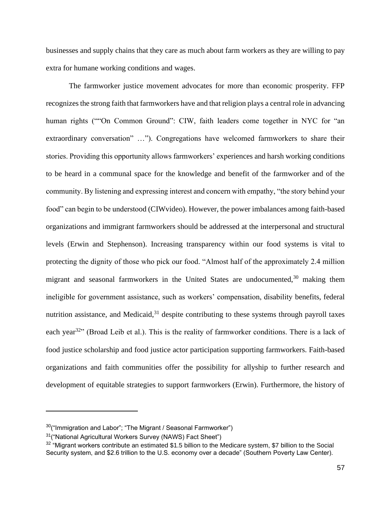businesses and supply chains that they care as much about farm workers as they are willing to pay extra for humane working conditions and wages.

The farmworker justice movement advocates for more than economic prosperity. FFP recognizes the strong faith that farmworkers have and that religion plays a central role in advancing human rights (""On Common Ground": CIW, faith leaders come together in NYC for "an extraordinary conversation" …"). Congregations have welcomed farmworkers to share their stories. Providing this opportunity allows farmworkers' experiences and harsh working conditions to be heard in a communal space for the knowledge and benefit of the farmworker and of the community. By listening and expressing interest and concern with empathy, "the story behind your food" can begin to be understood (CIWvideo). However, the power imbalances among faith-based organizations and immigrant farmworkers should be addressed at the interpersonal and structural levels (Erwin and Stephenson). Increasing transparency within our food systems is vital to protecting the dignity of those who pick our food. "Almost half of the approximately 2.4 million migrant and seasonal farmworkers in the United States are undocumented,<sup>30</sup> making them ineligible for government assistance, such as workers' compensation, disability benefits, federal nutrition assistance, and Medicaid, $31$  despite contributing to these systems through payroll taxes each year<sup>32</sup>" (Broad Leib et al.). This is the reality of farmworker conditions. There is a lack of food justice scholarship and food justice actor participation supporting farmworkers. Faith-based organizations and faith communities offer the possibility for allyship to further research and development of equitable strategies to support farmworkers (Erwin). Furthermore, the history of

 $30$ ("Immigration and Labor"; "The Migrant / Seasonal Farmworker")

<sup>31</sup>("National Agricultural Workers Survey (NAWS) Fact Sheet")

<sup>&</sup>lt;sup>32</sup> "Migrant workers contribute an estimated \$1.5 billion to the Medicare system, \$7 billion to the Social Security system, and \$2.6 trillion to the U.S. economy over a decade" (Southern Poverty Law Center).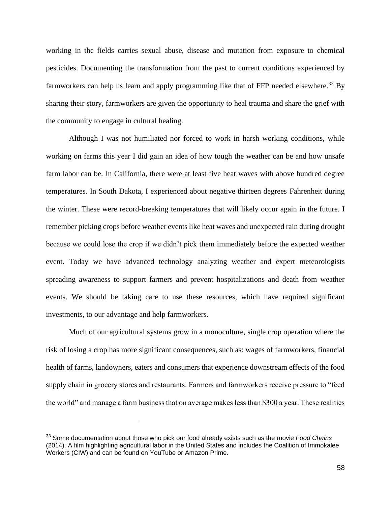working in the fields carries sexual abuse, disease and mutation from exposure to chemical pesticides. Documenting the transformation from the past to current conditions experienced by farmworkers can help us learn and apply programming like that of FFP needed elsewhere.<sup>33</sup> By sharing their story, farmworkers are given the opportunity to heal trauma and share the grief with the community to engage in cultural healing.

Although I was not humiliated nor forced to work in harsh working conditions, while working on farms this year I did gain an idea of how tough the weather can be and how unsafe farm labor can be. In California, there were at least five heat waves with above hundred degree temperatures. In South Dakota, I experienced about negative thirteen degrees Fahrenheit during the winter. These were record-breaking temperatures that will likely occur again in the future. I remember picking crops before weather events like heat waves and unexpected rain during drought because we could lose the crop if we didn't pick them immediately before the expected weather event. Today we have advanced technology analyzing weather and expert meteorologists spreading awareness to support farmers and prevent hospitalizations and death from weather events. We should be taking care to use these resources, which have required significant investments, to our advantage and help farmworkers.

Much of our agricultural systems grow in a monoculture, single crop operation where the risk of losing a crop has more significant consequences, such as: wages of farmworkers, financial health of farms, landowners, eaters and consumers that experience downstream effects of the food supply chain in grocery stores and restaurants. Farmers and farmworkers receive pressure to "feed the world" and manage a farm business that on average makes less than \$300 a year. These realities

<sup>33</sup> Some documentation about those who pick our food already exists such as the movie *Food Chains*  (2014). A film highlighting agricultural labor in the United States and includes the Coalition of Immokalee Workers (CIW) and can be found on YouTube or Amazon Prime.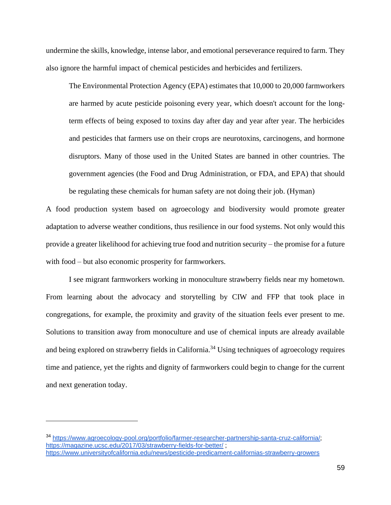undermine the skills, knowledge, intense labor, and emotional perseverance required to farm. They also ignore the harmful impact of chemical pesticides and herbicides and fertilizers.

The Environmental Protection Agency (EPA) estimates that 10,000 to 20,000 farmworkers are harmed by acute pesticide poisoning every year, which doesn't account for the longterm effects of being exposed to toxins day after day and year after year. The herbicides and pesticides that farmers use on their crops are neurotoxins, carcinogens, and hormone disruptors. Many of those used in the United States are banned in other countries. The government agencies (the Food and Drug Administration, or FDA, and EPA) that should be regulating these chemicals for human safety are not doing their job. (Hyman)

A food production system based on agroecology and biodiversity would promote greater adaptation to adverse weather conditions, thus resilience in our food systems. Not only would this provide a greater likelihood for achieving true food and nutrition security – the promise for a future with food – but also economic prosperity for farmworkers.

I see migrant farmworkers working in monoculture strawberry fields near my hometown. From learning about the advocacy and storytelling by CIW and FFP that took place in congregations, for example, the proximity and gravity of the situation feels ever present to me. Solutions to transition away from monoculture and use of chemical inputs are already available and being explored on strawberry fields in California.<sup>34</sup> Using techniques of agroecology requires time and patience, yet the rights and dignity of farmworkers could begin to change for the current and next generation today.

<sup>34</sup> [https://www.agroecology-pool.org/portfolio/farmer-researcher-partnership-santa-cruz-california/;](https://www.agroecology-pool.org/portfolio/farmer-researcher-partnership-santa-cruz-california/) <https://magazine.ucsc.edu/2017/03/strawberry-fields-for-better/> <https://www.universityofcalifornia.edu/news/pesticide-predicament-californias-strawberry-growers>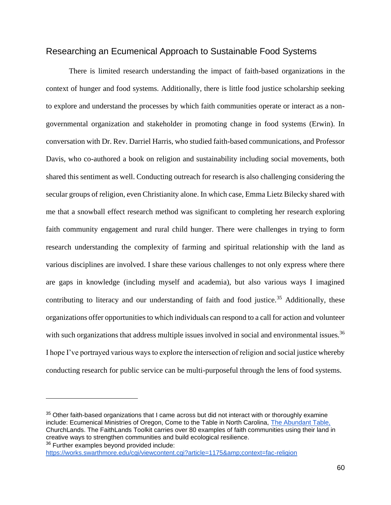#### Researching an Ecumenical Approach to Sustainable Food Systems

There is limited research understanding the impact of faith-based organizations in the context of hunger and food systems. Additionally, there is little food justice scholarship seeking to explore and understand the processes by which faith communities operate or interact as a nongovernmental organization and stakeholder in promoting change in food systems (Erwin). In conversation with Dr. Rev. Darriel Harris, who studied faith-based communications, and Professor Davis, who co-authored a book on religion and sustainability including social movements, both shared this sentiment as well. Conducting outreach for research is also challenging considering the secular groups of religion, even Christianity alone. In which case, Emma Lietz Bilecky shared with me that a snowball effect research method was significant to completing her research exploring faith community engagement and rural child hunger. There were challenges in trying to form research understanding the complexity of farming and spiritual relationship with the land as various disciplines are involved. I share these various challenges to not only express where there are gaps in knowledge (including myself and academia), but also various ways I imagined contributing to literacy and our understanding of faith and food justice.<sup>35</sup> Additionally, these organizations offer opportunities to which individuals can respond to a call for action and volunteer with such organizations that address multiple issues involved in social and environmental issues.<sup>36</sup> I hope I've portrayed various ways to explore the intersection of religion and social justice whereby conducting research for public service can be multi-purposeful through the lens of food systems.

36 Further examples beyond provided include:

 $35$  Other faith-based organizations that I came across but did not interact with or thoroughly examine include: Ecumenical Ministries of Oregon, Come to the Table in North Carolina, [The Abundant Table,](https://theabundanttable.org/about-us/) ChurchLands. The FaithLands Toolkit carries over 80 examples of faith communities using their land in creative ways to strengthen communities and build ecological resilience.

<https://works.swarthmore.edu/cgi/viewcontent.cgi?article=1175&context=fac-religion>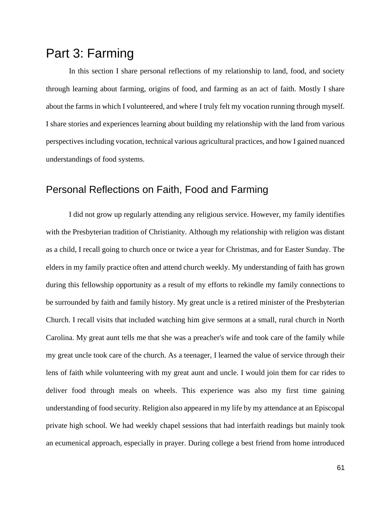# Part 3: Farming

In this section I share personal reflections of my relationship to land, food, and society through learning about farming, origins of food, and farming as an act of faith. Mostly I share about the farms in which I volunteered, and where I truly felt my vocation running through myself. I share stories and experiences learning about building my relationship with the land from various perspectives including vocation, technical various agricultural practices, and how I gained nuanced understandings of food systems.

## Personal Reflections on Faith, Food and Farming

I did not grow up regularly attending any religious service. However, my family identifies with the Presbyterian tradition of Christianity. Although my relationship with religion was distant as a child, I recall going to church once or twice a year for Christmas, and for Easter Sunday. The elders in my family practice often and attend church weekly. My understanding of faith has grown during this fellowship opportunity as a result of my efforts to rekindle my family connections to be surrounded by faith and family history. My great uncle is a retired minister of the Presbyterian Church. I recall visits that included watching him give sermons at a small, rural church in North Carolina. My great aunt tells me that she was a preacher's wife and took care of the family while my great uncle took care of the church. As a teenager, I learned the value of service through their lens of faith while volunteering with my great aunt and uncle. I would join them for car rides to deliver food through meals on wheels. This experience was also my first time gaining understanding of food security. Religion also appeared in my life by my attendance at an Episcopal private high school. We had weekly chapel sessions that had interfaith readings but mainly took an ecumenical approach, especially in prayer. During college a best friend from home introduced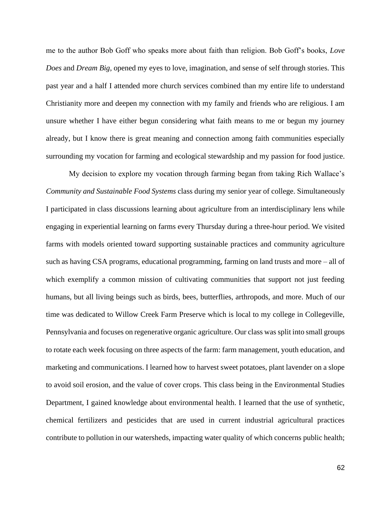me to the author Bob Goff who speaks more about faith than religion. Bob Goff's books, *Love Does* and *Dream Big*, opened my eyes to love, imagination, and sense of self through stories. This past year and a half I attended more church services combined than my entire life to understand Christianity more and deepen my connection with my family and friends who are religious. I am unsure whether I have either begun considering what faith means to me or begun my journey already, but I know there is great meaning and connection among faith communities especially surrounding my vocation for farming and ecological stewardship and my passion for food justice.

My decision to explore my vocation through farming began from taking Rich Wallace's *Community and Sustainable Food Systems* class during my senior year of college. Simultaneously I participated in class discussions learning about agriculture from an interdisciplinary lens while engaging in experiential learning on farms every Thursday during a three-hour period. We visited farms with models oriented toward supporting sustainable practices and community agriculture such as having CSA programs, educational programming, farming on land trusts and more – all of which exemplify a common mission of cultivating communities that support not just feeding humans, but all living beings such as birds, bees, butterflies, arthropods, and more. Much of our time was dedicated to Willow Creek Farm Preserve which is local to my college in Collegeville, Pennsylvania and focuses on regenerative organic agriculture. Our class was split into small groups to rotate each week focusing on three aspects of the farm: farm management, youth education, and marketing and communications. I learned how to harvest sweet potatoes, plant lavender on a slope to avoid soil erosion, and the value of cover crops. This class being in the Environmental Studies Department, I gained knowledge about environmental health. I learned that the use of synthetic, chemical fertilizers and pesticides that are used in current industrial agricultural practices contribute to pollution in our watersheds, impacting water quality of which concerns public health;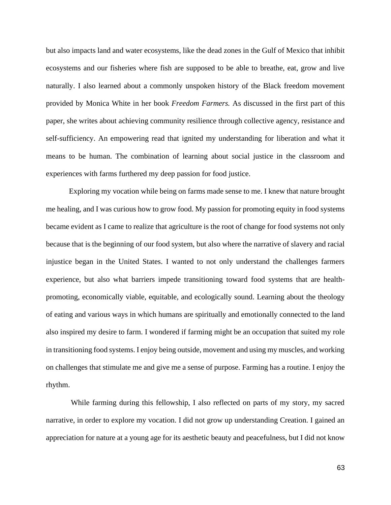but also impacts land and water ecosystems, like the dead zones in the Gulf of Mexico that inhibit ecosystems and our fisheries where fish are supposed to be able to breathe, eat, grow and live naturally. I also learned about a commonly unspoken history of the Black freedom movement provided by Monica White in her book *Freedom Farmers.* As discussed in the first part of this paper, she writes about achieving community resilience through collective agency, resistance and self-sufficiency. An empowering read that ignited my understanding for liberation and what it means to be human. The combination of learning about social justice in the classroom and experiences with farms furthered my deep passion for food justice.

Exploring my vocation while being on farms made sense to me. I knew that nature brought me healing, and I was curious how to grow food. My passion for promoting equity in food systems became evident as I came to realize that agriculture is the root of change for food systems not only because that is the beginning of our food system, but also where the narrative of slavery and racial injustice began in the United States. I wanted to not only understand the challenges farmers experience, but also what barriers impede transitioning toward food systems that are healthpromoting, economically viable, equitable, and ecologically sound. Learning about the theology of eating and various ways in which humans are spiritually and emotionally connected to the land also inspired my desire to farm. I wondered if farming might be an occupation that suited my role in transitioning food systems. I enjoy being outside, movement and using my muscles, and working on challenges that stimulate me and give me a sense of purpose. Farming has a routine. I enjoy the rhythm.

While farming during this fellowship, I also reflected on parts of my story, my sacred narrative, in order to explore my vocation. I did not grow up understanding Creation. I gained an appreciation for nature at a young age for its aesthetic beauty and peacefulness, but I did not know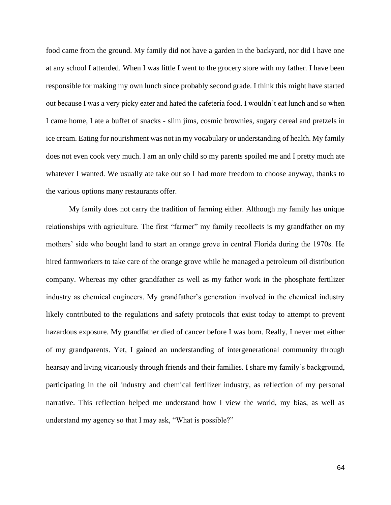food came from the ground. My family did not have a garden in the backyard, nor did I have one at any school I attended. When I was little I went to the grocery store with my father. I have been responsible for making my own lunch since probably second grade. I think this might have started out because I was a very picky eater and hated the cafeteria food. I wouldn't eat lunch and so when I came home, I ate a buffet of snacks - slim jims, cosmic brownies, sugary cereal and pretzels in ice cream. Eating for nourishment was not in my vocabulary or understanding of health. My family does not even cook very much. I am an only child so my parents spoiled me and I pretty much ate whatever I wanted. We usually ate take out so I had more freedom to choose anyway, thanks to the various options many restaurants offer.

My family does not carry the tradition of farming either. Although my family has unique relationships with agriculture. The first "farmer" my family recollects is my grandfather on my mothers' side who bought land to start an orange grove in central Florida during the 1970s. He hired farmworkers to take care of the orange grove while he managed a petroleum oil distribution company. Whereas my other grandfather as well as my father work in the phosphate fertilizer industry as chemical engineers. My grandfather's generation involved in the chemical industry likely contributed to the regulations and safety protocols that exist today to attempt to prevent hazardous exposure. My grandfather died of cancer before I was born. Really, I never met either of my grandparents. Yet, I gained an understanding of intergenerational community through hearsay and living vicariously through friends and their families. I share my family's background, participating in the oil industry and chemical fertilizer industry, as reflection of my personal narrative. This reflection helped me understand how I view the world, my bias, as well as understand my agency so that I may ask, "What is possible?"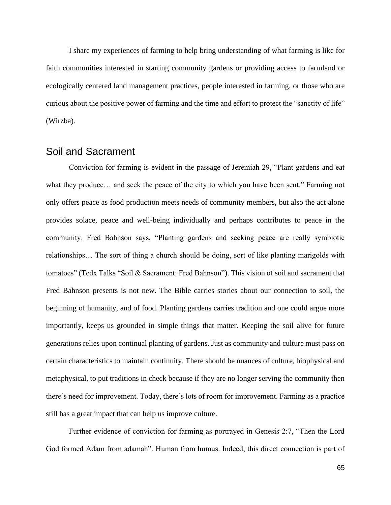I share my experiences of farming to help bring understanding of what farming is like for faith communities interested in starting community gardens or providing access to farmland or ecologically centered land management practices, people interested in farming, or those who are curious about the positive power of farming and the time and effort to protect the "sanctity of life" (Wirzba).

### Soil and Sacrament

Conviction for farming is evident in the passage of Jeremiah 29, "Plant gardens and eat what they produce… and seek the peace of the city to which you have been sent." Farming not only offers peace as food production meets needs of community members, but also the act alone provides solace, peace and well-being individually and perhaps contributes to peace in the community. Fred Bahnson says, "Planting gardens and seeking peace are really symbiotic relationships… The sort of thing a church should be doing, sort of like planting marigolds with tomatoes" (Tedx Talks "Soil & Sacrament: Fred Bahnson"). This vision of soil and sacrament that Fred Bahnson presents is not new. The Bible carries stories about our connection to soil, the beginning of humanity, and of food. Planting gardens carries tradition and one could argue more importantly, keeps us grounded in simple things that matter. Keeping the soil alive for future generations relies upon continual planting of gardens. Just as community and culture must pass on certain characteristics to maintain continuity. There should be nuances of culture, biophysical and metaphysical, to put traditions in check because if they are no longer serving the community then there's need for improvement. Today, there's lots of room for improvement. Farming as a practice still has a great impact that can help us improve culture.

Further evidence of conviction for farming as portrayed in Genesis 2:7, "Then the Lord God formed Adam from adamah". Human from humus. Indeed, this direct connection is part of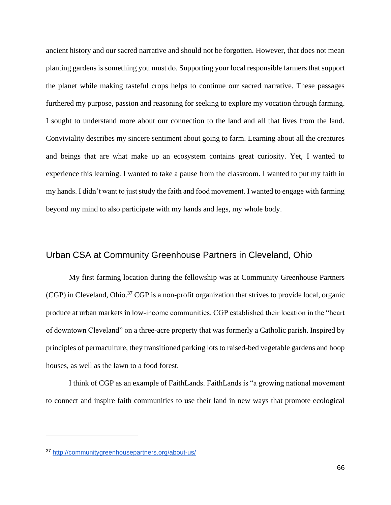ancient history and our sacred narrative and should not be forgotten. However, that does not mean planting gardens is something you must do. Supporting your local responsible farmers that support the planet while making tasteful crops helps to continue our sacred narrative. These passages furthered my purpose, passion and reasoning for seeking to explore my vocation through farming. I sought to understand more about our connection to the land and all that lives from the land. Conviviality describes my sincere sentiment about going to farm. Learning about all the creatures and beings that are what make up an ecosystem contains great curiosity. Yet, I wanted to experience this learning. I wanted to take a pause from the classroom. I wanted to put my faith in my hands. I didn't want to just study the faith and food movement. I wanted to engage with farming beyond my mind to also participate with my hands and legs, my whole body.

### Urban CSA at Community Greenhouse Partners in Cleveland, Ohio

My first farming location during the fellowship was at Community Greenhouse Partners (CGP) in Cleveland, Ohio.<sup>37</sup> CGP is a non-profit organization that strives to provide local, organic produce at urban markets in low-income communities. CGP established their location in the "heart of downtown Cleveland" on a three-acre property that was formerly a Catholic parish. Inspired by principles of permaculture, they transitioned parking lots to raised-bed vegetable gardens and hoop houses, as well as the lawn to a food forest.

I think of CGP as an example of FaithLands. FaithLands is "a growing national movement to connect and inspire faith communities to use their land in new ways that promote ecological

<sup>37</sup> <http://communitygreenhousepartners.org/about-us/>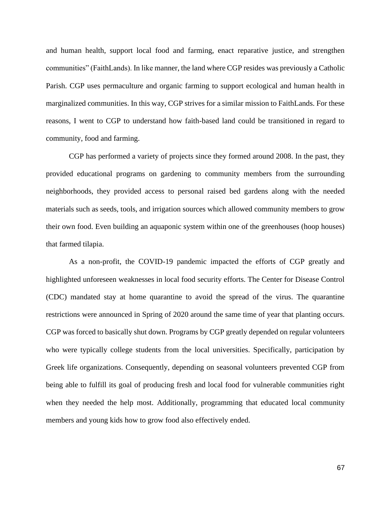and human health, support local food and farming, enact reparative justice, and strengthen communities" (FaithLands). In like manner, the land where CGP resides was previously a Catholic Parish. CGP uses permaculture and organic farming to support ecological and human health in marginalized communities. In this way, CGP strives for a similar mission to FaithLands. For these reasons, I went to CGP to understand how faith-based land could be transitioned in regard to community, food and farming.

CGP has performed a variety of projects since they formed around 2008. In the past, they provided educational programs on gardening to community members from the surrounding neighborhoods, they provided access to personal raised bed gardens along with the needed materials such as seeds, tools, and irrigation sources which allowed community members to grow their own food. Even building an aquaponic system within one of the greenhouses (hoop houses) that farmed tilapia.

As a non-profit, the COVID-19 pandemic impacted the efforts of CGP greatly and highlighted unforeseen weaknesses in local food security efforts. The Center for Disease Control (CDC) mandated stay at home quarantine to avoid the spread of the virus. The quarantine restrictions were announced in Spring of 2020 around the same time of year that planting occurs. CGP was forced to basically shut down. Programs by CGP greatly depended on regular volunteers who were typically college students from the local universities. Specifically, participation by Greek life organizations. Consequently, depending on seasonal volunteers prevented CGP from being able to fulfill its goal of producing fresh and local food for vulnerable communities right when they needed the help most. Additionally, programming that educated local community members and young kids how to grow food also effectively ended.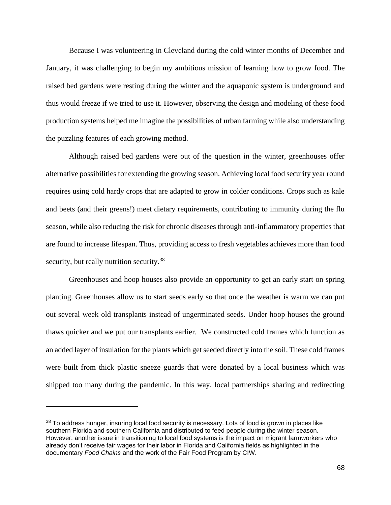Because I was volunteering in Cleveland during the cold winter months of December and January, it was challenging to begin my ambitious mission of learning how to grow food. The raised bed gardens were resting during the winter and the aquaponic system is underground and thus would freeze if we tried to use it. However, observing the design and modeling of these food production systems helped me imagine the possibilities of urban farming while also understanding the puzzling features of each growing method.

Although raised bed gardens were out of the question in the winter, greenhouses offer alternative possibilities for extending the growing season. Achieving local food security year round requires using cold hardy crops that are adapted to grow in colder conditions. Crops such as kale and beets (and their greens!) meet dietary requirements, contributing to immunity during the flu season, while also reducing the risk for chronic diseases through anti-inflammatory properties that are found to increase lifespan. Thus, providing access to fresh vegetables achieves more than food security, but really nutrition security.<sup>38</sup>

Greenhouses and hoop houses also provide an opportunity to get an early start on spring planting. Greenhouses allow us to start seeds early so that once the weather is warm we can put out several week old transplants instead of ungerminated seeds. Under hoop houses the ground thaws quicker and we put our transplants earlier. We constructed cold frames which function as an added layer of insulation for the plants which get seeded directly into the soil. These cold frames were built from thick plastic sneeze guards that were donated by a local business which was shipped too many during the pandemic. In this way, local partnerships sharing and redirecting

<sup>&</sup>lt;sup>38</sup> To address hunger, insuring local food security is necessary. Lots of food is grown in places like southern Florida and southern California and distributed to feed people during the winter season. However, another issue in transitioning to local food systems is the impact on migrant farmworkers who already don't receive fair wages for their labor in Florida and California fields as highlighted in the documentary *Food Chains* and the work of the Fair Food Program by CIW.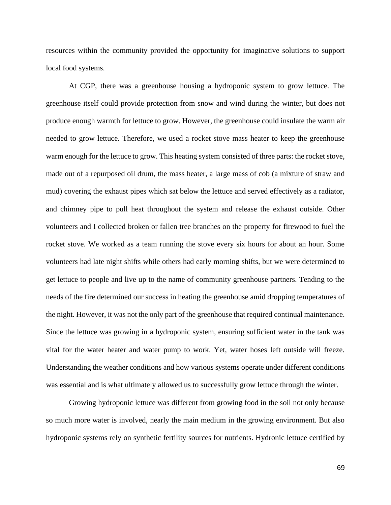resources within the community provided the opportunity for imaginative solutions to support local food systems.

At CGP, there was a greenhouse housing a hydroponic system to grow lettuce. The greenhouse itself could provide protection from snow and wind during the winter, but does not produce enough warmth for lettuce to grow. However, the greenhouse could insulate the warm air needed to grow lettuce. Therefore, we used a rocket stove mass heater to keep the greenhouse warm enough for the lettuce to grow. This heating system consisted of three parts: the rocket stove, made out of a repurposed oil drum, the mass heater, a large mass of cob (a mixture of straw and mud) covering the exhaust pipes which sat below the lettuce and served effectively as a radiator, and chimney pipe to pull heat throughout the system and release the exhaust outside. Other volunteers and I collected broken or fallen tree branches on the property for firewood to fuel the rocket stove. We worked as a team running the stove every six hours for about an hour. Some volunteers had late night shifts while others had early morning shifts, but we were determined to get lettuce to people and live up to the name of community greenhouse partners. Tending to the needs of the fire determined our success in heating the greenhouse amid dropping temperatures of the night. However, it was not the only part of the greenhouse that required continual maintenance. Since the lettuce was growing in a hydroponic system, ensuring sufficient water in the tank was vital for the water heater and water pump to work. Yet, water hoses left outside will freeze. Understanding the weather conditions and how various systems operate under different conditions was essential and is what ultimately allowed us to successfully grow lettuce through the winter.

Growing hydroponic lettuce was different from growing food in the soil not only because so much more water is involved, nearly the main medium in the growing environment. But also hydroponic systems rely on synthetic fertility sources for nutrients. Hydronic lettuce certified by

69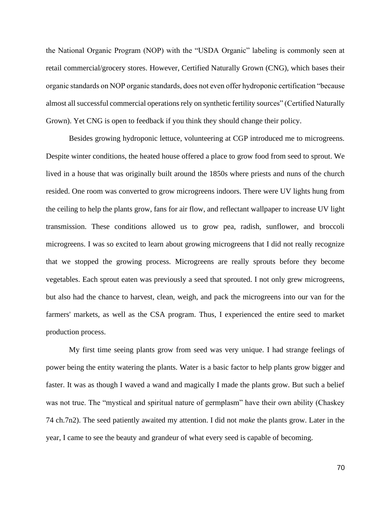the National Organic Program (NOP) with the "USDA Organic" labeling is commonly seen at retail commercial/grocery stores. However, Certified Naturally Grown (CNG), which bases their organic standards on NOP organic standards, does not even offer hydroponic certification "because almost all successful commercial operations rely on synthetic fertility sources" (Certified Naturally Grown). Yet CNG is open to feedback if you think they should change their policy.

Besides growing hydroponic lettuce, volunteering at CGP introduced me to microgreens. Despite winter conditions, the heated house offered a place to grow food from seed to sprout. We lived in a house that was originally built around the 1850s where priests and nuns of the church resided. One room was converted to grow microgreens indoors. There were UV lights hung from the ceiling to help the plants grow, fans for air flow, and reflectant wallpaper to increase UV light transmission. These conditions allowed us to grow pea, radish, sunflower, and broccoli microgreens. I was so excited to learn about growing microgreens that I did not really recognize that we stopped the growing process. Microgreens are really sprouts before they become vegetables. Each sprout eaten was previously a seed that sprouted. I not only grew microgreens, but also had the chance to harvest, clean, weigh, and pack the microgreens into our van for the farmers' markets, as well as the CSA program. Thus, I experienced the entire seed to market production process.

My first time seeing plants grow from seed was very unique. I had strange feelings of power being the entity watering the plants. Water is a basic factor to help plants grow bigger and faster. It was as though I waved a wand and magically I made the plants grow. But such a belief was not true. The "mystical and spiritual nature of germplasm" have their own ability (Chaskey 74 ch.7n2). The seed patiently awaited my attention. I did not *make* the plants grow. Later in the year, I came to see the beauty and grandeur of what every seed is capable of becoming.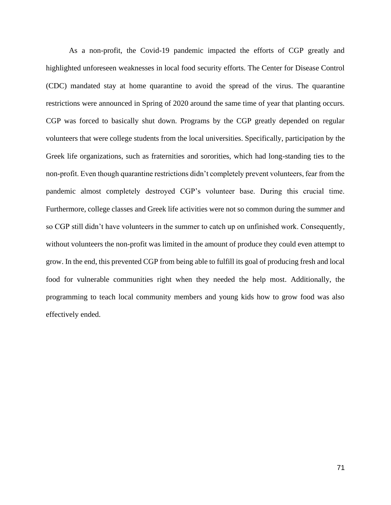As a non-profit, the Covid-19 pandemic impacted the efforts of CGP greatly and highlighted unforeseen weaknesses in local food security efforts. The Center for Disease Control (CDC) mandated stay at home quarantine to avoid the spread of the virus. The quarantine restrictions were announced in Spring of 2020 around the same time of year that planting occurs. CGP was forced to basically shut down. Programs by the CGP greatly depended on regular volunteers that were college students from the local universities. Specifically, participation by the Greek life organizations, such as fraternities and sororities, which had long-standing ties to the non-profit. Even though quarantine restrictions didn't completely prevent volunteers, fear from the pandemic almost completely destroyed CGP's volunteer base. During this crucial time. Furthermore, college classes and Greek life activities were not so common during the summer and so CGP still didn't have volunteers in the summer to catch up on unfinished work. Consequently, without volunteers the non-profit was limited in the amount of produce they could even attempt to grow. In the end, this prevented CGP from being able to fulfill its goal of producing fresh and local food for vulnerable communities right when they needed the help most. Additionally, the programming to teach local community members and young kids how to grow food was also effectively ended.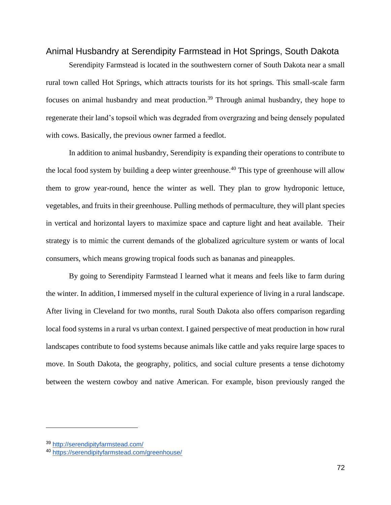#### Animal Husbandry at Serendipity Farmstead in Hot Springs, South Dakota

Serendipity Farmstead is located in the southwestern corner of South Dakota near a small rural town called Hot Springs, which attracts tourists for its hot springs. This small-scale farm focuses on animal husbandry and meat production.<sup>39</sup> Through animal husbandry, they hope to regenerate their land's topsoil which was degraded from overgrazing and being densely populated with cows. Basically, the previous owner farmed a feedlot.

In addition to animal husbandry, Serendipity is expanding their operations to contribute to the local food system by building a deep winter greenhouse.<sup>40</sup> This type of greenhouse will allow them to grow year-round, hence the winter as well. They plan to grow hydroponic lettuce, vegetables, and fruits in their greenhouse. Pulling methods of permaculture, they will plant species in vertical and horizontal layers to maximize space and capture light and heat available. Their strategy is to mimic the current demands of the globalized agriculture system or wants of local consumers, which means growing tropical foods such as bananas and pineapples.

By going to Serendipity Farmstead I learned what it means and feels like to farm during the winter. In addition, I immersed myself in the cultural experience of living in a rural landscape. After living in Cleveland for two months, rural South Dakota also offers comparison regarding local food systems in a rural vs urban context. I gained perspective of meat production in how rural landscapes contribute to food systems because animals like cattle and yaks require large spaces to move. In South Dakota, the geography, politics, and social culture presents a tense dichotomy between the western cowboy and native American. For example, bison previously ranged the

<sup>39</sup> <http://serendipityfarmstead.com/>

<sup>40</sup> <https://serendipityfarmstead.com/greenhouse/>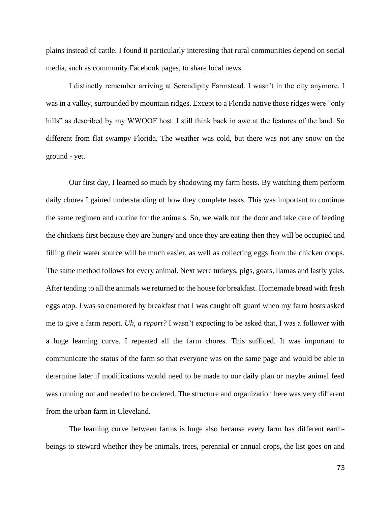plains instead of cattle. I found it particularly interesting that rural communities depend on social media, such as community Facebook pages, to share local news.

I distinctly remember arriving at Serendipity Farmstead. I wasn't in the city anymore. I was in a valley, surrounded by mountain ridges. Except to a Florida native those ridges were "only hills" as described by my WWOOF host. I still think back in awe at the features of the land. So different from flat swampy Florida. The weather was cold, but there was not any snow on the ground - yet.

Our first day, I learned so much by shadowing my farm hosts. By watching them perform daily chores I gained understanding of how they complete tasks. This was important to continue the same regimen and routine for the animals. So, we walk out the door and take care of feeding the chickens first because they are hungry and once they are eating then they will be occupied and filling their water source will be much easier, as well as collecting eggs from the chicken coops. The same method follows for every animal. Next were turkeys, pigs, goats, llamas and lastly yaks. After tending to all the animals we returned to the house for breakfast. Homemade bread with fresh eggs atop. I was so enamored by breakfast that I was caught off guard when my farm hosts asked me to give a farm report. *Uh, a report?* I wasn't expecting to be asked that, I was a follower with a huge learning curve. I repeated all the farm chores. This sufficed. It was important to communicate the status of the farm so that everyone was on the same page and would be able to determine later if modifications would need to be made to our daily plan or maybe animal feed was running out and needed to be ordered. The structure and organization here was very different from the urban farm in Cleveland.

The learning curve between farms is huge also because every farm has different earthbeings to steward whether they be animals, trees, perennial or annual crops, the list goes on and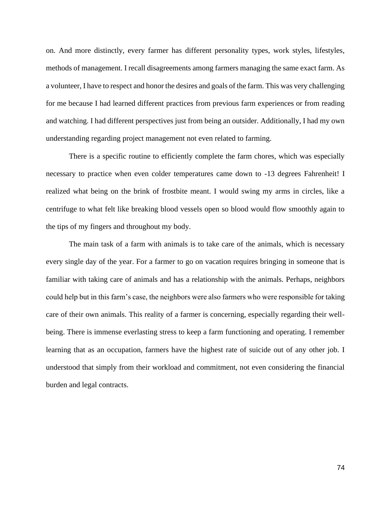on. And more distinctly, every farmer has different personality types, work styles, lifestyles, methods of management. I recall disagreements among farmers managing the same exact farm. As a volunteer, I have to respect and honor the desires and goals of the farm. This was very challenging for me because I had learned different practices from previous farm experiences or from reading and watching. I had different perspectives just from being an outsider. Additionally, I had my own understanding regarding project management not even related to farming.

There is a specific routine to efficiently complete the farm chores, which was especially necessary to practice when even colder temperatures came down to -13 degrees Fahrenheit! I realized what being on the brink of frostbite meant. I would swing my arms in circles, like a centrifuge to what felt like breaking blood vessels open so blood would flow smoothly again to the tips of my fingers and throughout my body.

The main task of a farm with animals is to take care of the animals, which is necessary every single day of the year. For a farmer to go on vacation requires bringing in someone that is familiar with taking care of animals and has a relationship with the animals. Perhaps, neighbors could help but in this farm's case, the neighbors were also farmers who were responsible for taking care of their own animals. This reality of a farmer is concerning, especially regarding their wellbeing. There is immense everlasting stress to keep a farm functioning and operating. I remember learning that as an occupation, farmers have the highest rate of suicide out of any other job. I understood that simply from their workload and commitment, not even considering the financial burden and legal contracts.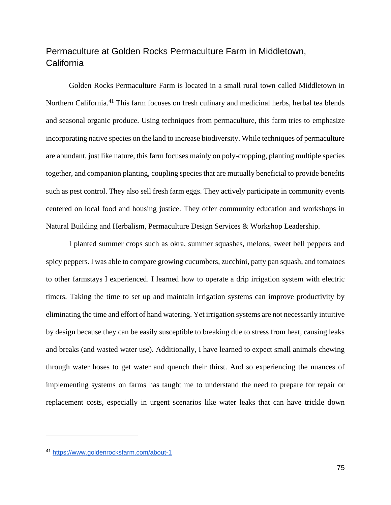## Permaculture at Golden Rocks Permaculture Farm in Middletown, California

Golden Rocks Permaculture Farm is located in a small rural town called Middletown in Northern California.<sup>41</sup> This farm focuses on fresh culinary and medicinal herbs, herbal tea blends and seasonal organic produce. Using techniques from permaculture, this farm tries to emphasize incorporating native species on the land to increase biodiversity. While techniques of permaculture are abundant, just like nature, this farm focuses mainly on poly-cropping, planting multiple species together, and companion planting, coupling species that are mutually beneficial to provide benefits such as pest control. They also sell fresh farm eggs. They actively participate in community events centered on local food and housing justice. They offer community education and workshops in Natural Building and Herbalism, Permaculture Design Services & Workshop Leadership.

I planted summer crops such as okra, summer squashes, melons, sweet bell peppers and spicy peppers. I was able to compare growing cucumbers, zucchini, patty pan squash, and tomatoes to other farmstays I experienced. I learned how to operate a drip irrigation system with electric timers. Taking the time to set up and maintain irrigation systems can improve productivity by eliminating the time and effort of hand watering. Yet irrigation systems are not necessarily intuitive by design because they can be easily susceptible to breaking due to stress from heat, causing leaks and breaks (and wasted water use). Additionally, I have learned to expect small animals chewing through water hoses to get water and quench their thirst. And so experiencing the nuances of implementing systems on farms has taught me to understand the need to prepare for repair or replacement costs, especially in urgent scenarios like water leaks that can have trickle down

<sup>41</sup> <https://www.goldenrocksfarm.com/about-1>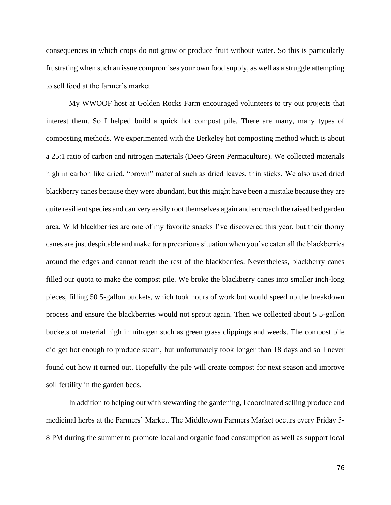consequences in which crops do not grow or produce fruit without water. So this is particularly frustrating when such an issue compromises your own food supply, as well as a struggle attempting to sell food at the farmer's market.

My WWOOF host at Golden Rocks Farm encouraged volunteers to try out projects that interest them. So I helped build a quick hot compost pile. There are many, many types of composting methods. We experimented with the Berkeley hot composting method which is about a 25:1 ratio of carbon and nitrogen materials (Deep Green Permaculture). We collected materials high in carbon like dried, "brown" material such as dried leaves, thin sticks. We also used dried blackberry canes because they were abundant, but this might have been a mistake because they are quite resilient species and can very easily root themselves again and encroach the raised bed garden area. Wild blackberries are one of my favorite snacks I've discovered this year, but their thorny canes are just despicable and make for a precarious situation when you've eaten all the blackberries around the edges and cannot reach the rest of the blackberries. Nevertheless, blackberry canes filled our quota to make the compost pile. We broke the blackberry canes into smaller inch-long pieces, filling 50 5-gallon buckets, which took hours of work but would speed up the breakdown process and ensure the blackberries would not sprout again. Then we collected about 5 5-gallon buckets of material high in nitrogen such as green grass clippings and weeds. The compost pile did get hot enough to produce steam, but unfortunately took longer than 18 days and so I never found out how it turned out. Hopefully the pile will create compost for next season and improve soil fertility in the garden beds.

In addition to helping out with stewarding the gardening, I coordinated selling produce and medicinal herbs at the Farmers' Market. The Middletown Farmers Market occurs every Friday 5- 8 PM during the summer to promote local and organic food consumption as well as support local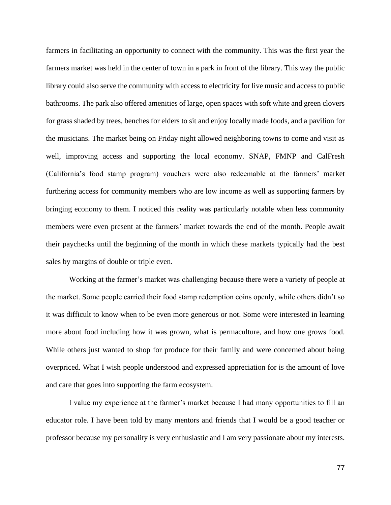farmers in facilitating an opportunity to connect with the community. This was the first year the farmers market was held in the center of town in a park in front of the library. This way the public library could also serve the community with access to electricity for live music and access to public bathrooms. The park also offered amenities of large, open spaces with soft white and green clovers for grass shaded by trees, benches for elders to sit and enjoy locally made foods, and a pavilion for the musicians. The market being on Friday night allowed neighboring towns to come and visit as well, improving access and supporting the local economy. SNAP, FMNP and CalFresh (California's food stamp program) vouchers were also redeemable at the farmers' market furthering access for community members who are low income as well as supporting farmers by bringing economy to them. I noticed this reality was particularly notable when less community members were even present at the farmers' market towards the end of the month. People await their paychecks until the beginning of the month in which these markets typically had the best sales by margins of double or triple even.

Working at the farmer's market was challenging because there were a variety of people at the market. Some people carried their food stamp redemption coins openly, while others didn't so it was difficult to know when to be even more generous or not. Some were interested in learning more about food including how it was grown, what is permaculture, and how one grows food. While others just wanted to shop for produce for their family and were concerned about being overpriced. What I wish people understood and expressed appreciation for is the amount of love and care that goes into supporting the farm ecosystem.

I value my experience at the farmer's market because I had many opportunities to fill an educator role. I have been told by many mentors and friends that I would be a good teacher or professor because my personality is very enthusiastic and I am very passionate about my interests.

77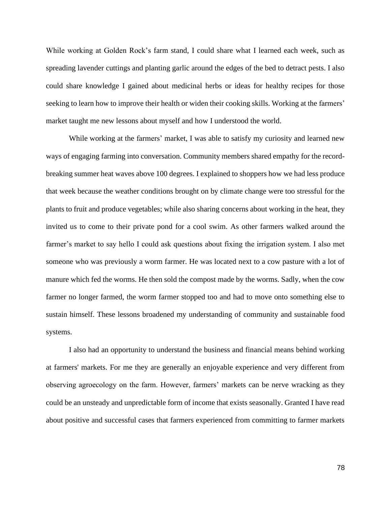While working at Golden Rock's farm stand, I could share what I learned each week, such as spreading lavender cuttings and planting garlic around the edges of the bed to detract pests. I also could share knowledge I gained about medicinal herbs or ideas for healthy recipes for those seeking to learn how to improve their health or widen their cooking skills. Working at the farmers' market taught me new lessons about myself and how I understood the world.

While working at the farmers' market, I was able to satisfy my curiosity and learned new ways of engaging farming into conversation. Community members shared empathy for the recordbreaking summer heat waves above 100 degrees. I explained to shoppers how we had less produce that week because the weather conditions brought on by climate change were too stressful for the plants to fruit and produce vegetables; while also sharing concerns about working in the heat, they invited us to come to their private pond for a cool swim. As other farmers walked around the farmer's market to say hello I could ask questions about fixing the irrigation system. I also met someone who was previously a worm farmer. He was located next to a cow pasture with a lot of manure which fed the worms. He then sold the compost made by the worms. Sadly, when the cow farmer no longer farmed, the worm farmer stopped too and had to move onto something else to sustain himself. These lessons broadened my understanding of community and sustainable food systems.

I also had an opportunity to understand the business and financial means behind working at farmers' markets. For me they are generally an enjoyable experience and very different from observing agroecology on the farm. However, farmers' markets can be nerve wracking as they could be an unsteady and unpredictable form of income that exists seasonally. Granted I have read about positive and successful cases that farmers experienced from committing to farmer markets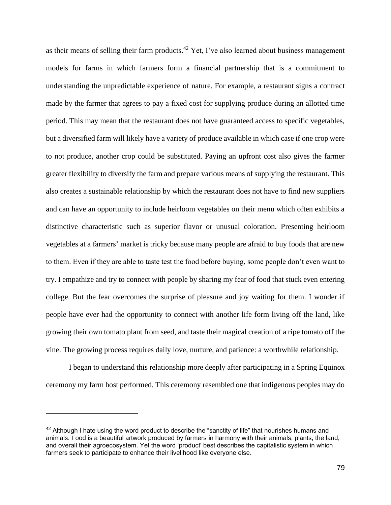as their means of selling their farm products.<sup>42</sup> Yet, I've also learned about business management models for farms in which farmers form a financial partnership that is a commitment to understanding the unpredictable experience of nature. For example, a restaurant signs a contract made by the farmer that agrees to pay a fixed cost for supplying produce during an allotted time period. This may mean that the restaurant does not have guaranteed access to specific vegetables, but a diversified farm will likely have a variety of produce available in which case if one crop were to not produce, another crop could be substituted. Paying an upfront cost also gives the farmer greater flexibility to diversify the farm and prepare various means of supplying the restaurant. This also creates a sustainable relationship by which the restaurant does not have to find new suppliers and can have an opportunity to include heirloom vegetables on their menu which often exhibits a distinctive characteristic such as superior flavor or unusual coloration. Presenting heirloom vegetables at a farmers' market is tricky because many people are afraid to buy foods that are new to them. Even if they are able to taste test the food before buying, some people don't even want to try. I empathize and try to connect with people by sharing my fear of food that stuck even entering college. But the fear overcomes the surprise of pleasure and joy waiting for them. I wonder if people have ever had the opportunity to connect with another life form living off the land, like growing their own tomato plant from seed, and taste their magical creation of a ripe tomato off the vine. The growing process requires daily love, nurture, and patience: a worthwhile relationship.

I began to understand this relationship more deeply after participating in a Spring Equinox ceremony my farm host performed. This ceremony resembled one that indigenous peoples may do

 $42$  Although I hate using the word product to describe the "sanctity of life" that nourishes humans and animals. Food is a beautiful artwork produced by farmers in harmony with their animals, plants, the land, and overall their agroecosystem. Yet the word 'product' best describes the capitalistic system in which farmers seek to participate to enhance their livelihood like everyone else.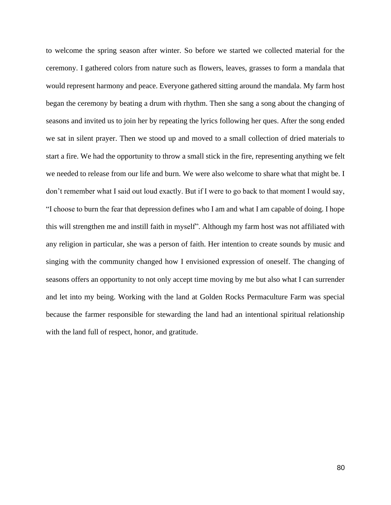to welcome the spring season after winter. So before we started we collected material for the ceremony. I gathered colors from nature such as flowers, leaves, grasses to form a mandala that would represent harmony and peace. Everyone gathered sitting around the mandala. My farm host began the ceremony by beating a drum with rhythm. Then she sang a song about the changing of seasons and invited us to join her by repeating the lyrics following her ques. After the song ended we sat in silent prayer. Then we stood up and moved to a small collection of dried materials to start a fire. We had the opportunity to throw a small stick in the fire, representing anything we felt we needed to release from our life and burn. We were also welcome to share what that might be. I don't remember what I said out loud exactly. But if I were to go back to that moment I would say, "I choose to burn the fear that depression defines who I am and what I am capable of doing. I hope this will strengthen me and instill faith in myself". Although my farm host was not affiliated with any religion in particular, she was a person of faith. Her intention to create sounds by music and singing with the community changed how I envisioned expression of oneself. The changing of seasons offers an opportunity to not only accept time moving by me but also what I can surrender and let into my being. Working with the land at Golden Rocks Permaculture Farm was special because the farmer responsible for stewarding the land had an intentional spiritual relationship with the land full of respect, honor, and gratitude.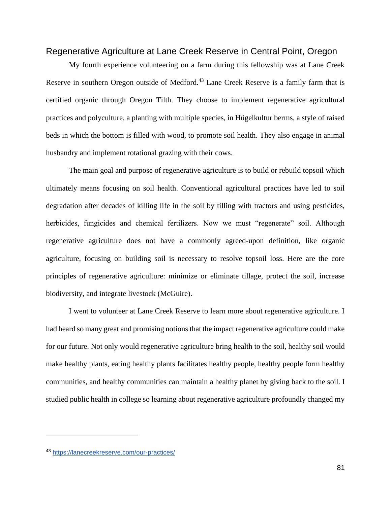#### Regenerative Agriculture at Lane Creek Reserve in Central Point, Oregon

My fourth experience volunteering on a farm during this fellowship was at Lane Creek Reserve in southern Oregon outside of Medford.<sup>43</sup> Lane Creek Reserve is a family farm that is certified organic through Oregon Tilth. They choose to implement regenerative agricultural practices and polyculture, a planting with multiple species, in Hügelkultur berms, a style of raised beds in which the bottom is filled with wood, to promote soil health. They also engage in animal husbandry and implement rotational grazing with their cows.

The main goal and purpose of regenerative agriculture is to build or rebuild topsoil which ultimately means focusing on soil health. Conventional agricultural practices have led to soil degradation after decades of killing life in the soil by tilling with tractors and using pesticides, herbicides, fungicides and chemical fertilizers. Now we must "regenerate" soil. Although regenerative agriculture does not have a commonly agreed-upon definition, like organic agriculture, focusing on building soil is necessary to resolve topsoil loss. Here are the core principles of regenerative agriculture: minimize or eliminate tillage, protect the soil, increase biodiversity, and integrate livestock (McGuire).

I went to volunteer at Lane Creek Reserve to learn more about regenerative agriculture. I had heard so many great and promising notions that the impact regenerative agriculture could make for our future. Not only would regenerative agriculture bring health to the soil, healthy soil would make healthy plants, eating healthy plants facilitates healthy people, healthy people form healthy communities, and healthy communities can maintain a healthy planet by giving back to the soil. I studied public health in college so learning about regenerative agriculture profoundly changed my

<sup>43</sup> <https://lanecreekreserve.com/our-practices/>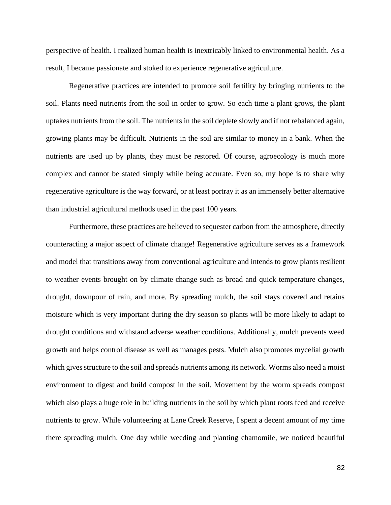perspective of health. I realized human health is inextricably linked to environmental health. As a result, I became passionate and stoked to experience regenerative agriculture.

Regenerative practices are intended to promote soil fertility by bringing nutrients to the soil. Plants need nutrients from the soil in order to grow. So each time a plant grows, the plant uptakes nutrients from the soil. The nutrients in the soil deplete slowly and if not rebalanced again, growing plants may be difficult. Nutrients in the soil are similar to money in a bank. When the nutrients are used up by plants, they must be restored. Of course, agroecology is much more complex and cannot be stated simply while being accurate. Even so, my hope is to share why regenerative agriculture is the way forward, or at least portray it as an immensely better alternative than industrial agricultural methods used in the past 100 years.

Furthermore, these practices are believed to sequester carbon from the atmosphere, directly counteracting a major aspect of climate change! Regenerative agriculture serves as a framework and model that transitions away from conventional agriculture and intends to grow plants resilient to weather events brought on by climate change such as broad and quick temperature changes, drought, downpour of rain, and more. By spreading mulch, the soil stays covered and retains moisture which is very important during the dry season so plants will be more likely to adapt to drought conditions and withstand adverse weather conditions. Additionally, mulch prevents weed growth and helps control disease as well as manages pests. Mulch also promotes mycelial growth which gives structure to the soil and spreads nutrients among its network. Worms also need a moist environment to digest and build compost in the soil. Movement by the worm spreads compost which also plays a huge role in building nutrients in the soil by which plant roots feed and receive nutrients to grow. While volunteering at Lane Creek Reserve, I spent a decent amount of my time there spreading mulch. One day while weeding and planting chamomile, we noticed beautiful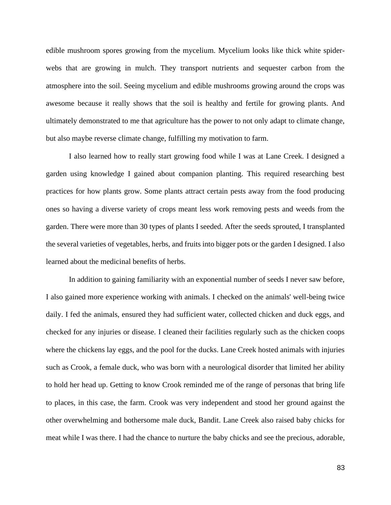edible mushroom spores growing from the mycelium. Mycelium looks like thick white spiderwebs that are growing in mulch. They transport nutrients and sequester carbon from the atmosphere into the soil. Seeing mycelium and edible mushrooms growing around the crops was awesome because it really shows that the soil is healthy and fertile for growing plants. And ultimately demonstrated to me that agriculture has the power to not only adapt to climate change, but also maybe reverse climate change, fulfilling my motivation to farm.

I also learned how to really start growing food while I was at Lane Creek. I designed a garden using knowledge I gained about companion planting. This required researching best practices for how plants grow. Some plants attract certain pests away from the food producing ones so having a diverse variety of crops meant less work removing pests and weeds from the garden. There were more than 30 types of plants I seeded. After the seeds sprouted, I transplanted the several varieties of vegetables, herbs, and fruits into bigger pots or the garden I designed. I also learned about the medicinal benefits of herbs.

In addition to gaining familiarity with an exponential number of seeds I never saw before, I also gained more experience working with animals. I checked on the animals' well-being twice daily. I fed the animals, ensured they had sufficient water, collected chicken and duck eggs, and checked for any injuries or disease. I cleaned their facilities regularly such as the chicken coops where the chickens lay eggs, and the pool for the ducks. Lane Creek hosted animals with injuries such as Crook, a female duck, who was born with a neurological disorder that limited her ability to hold her head up. Getting to know Crook reminded me of the range of personas that bring life to places, in this case, the farm. Crook was very independent and stood her ground against the other overwhelming and bothersome male duck, Bandit. Lane Creek also raised baby chicks for meat while I was there. I had the chance to nurture the baby chicks and see the precious, adorable,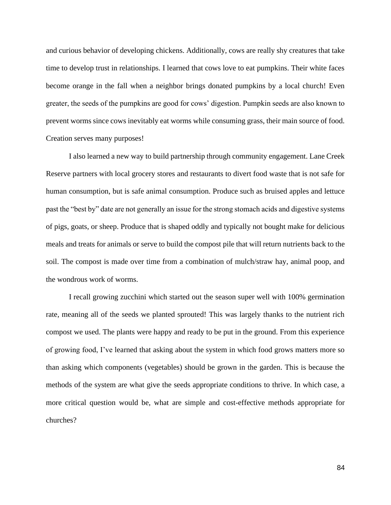and curious behavior of developing chickens. Additionally, cows are really shy creatures that take time to develop trust in relationships. I learned that cows love to eat pumpkins. Their white faces become orange in the fall when a neighbor brings donated pumpkins by a local church! Even greater, the seeds of the pumpkins are good for cows' digestion. Pumpkin seeds are also known to prevent worms since cows inevitably eat worms while consuming grass, their main source of food. Creation serves many purposes!

I also learned a new way to build partnership through community engagement. Lane Creek Reserve partners with local grocery stores and restaurants to divert food waste that is not safe for human consumption, but is safe animal consumption. Produce such as bruised apples and lettuce past the "best by" date are not generally an issue for the strong stomach acids and digestive systems of pigs, goats, or sheep. Produce that is shaped oddly and typically not bought make for delicious meals and treats for animals or serve to build the compost pile that will return nutrients back to the soil. The compost is made over time from a combination of mulch/straw hay, animal poop, and the wondrous work of worms.

I recall growing zucchini which started out the season super well with 100% germination rate, meaning all of the seeds we planted sprouted! This was largely thanks to the nutrient rich compost we used. The plants were happy and ready to be put in the ground. From this experience of growing food, I've learned that asking about the system in which food grows matters more so than asking which components (vegetables) should be grown in the garden. This is because the methods of the system are what give the seeds appropriate conditions to thrive. In which case, a more critical question would be, what are simple and cost-effective methods appropriate for churches?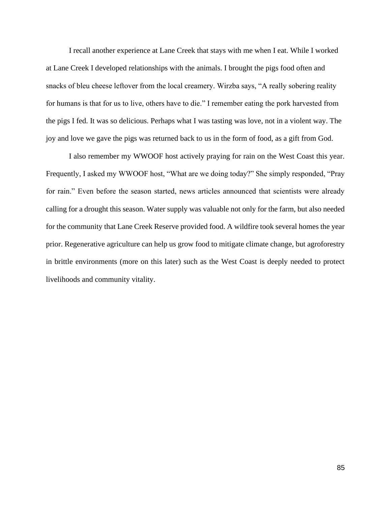I recall another experience at Lane Creek that stays with me when I eat. While I worked at Lane Creek I developed relationships with the animals. I brought the pigs food often and snacks of bleu cheese leftover from the local creamery. Wirzba says, "A really sobering reality for humans is that for us to live, others have to die." I remember eating the pork harvested from the pigs I fed. It was so delicious. Perhaps what I was tasting was love, not in a violent way. The joy and love we gave the pigs was returned back to us in the form of food, as a gift from God.

I also remember my WWOOF host actively praying for rain on the West Coast this year. Frequently, I asked my WWOOF host, "What are we doing today?" She simply responded, "Pray for rain." Even before the season started, news articles announced that scientists were already calling for a drought this season. Water supply was valuable not only for the farm, but also needed for the community that Lane Creek Reserve provided food. A wildfire took several homes the year prior. Regenerative agriculture can help us grow food to mitigate climate change, but agroforestry in brittle environments (more on this later) such as the West Coast is deeply needed to protect livelihoods and community vitality.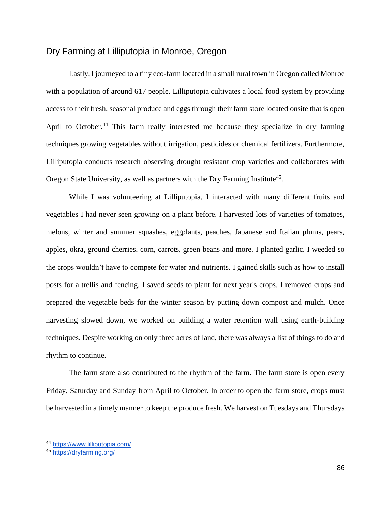#### Dry Farming at Lilliputopia in Monroe, Oregon

Lastly, I journeyed to a tiny eco-farm located in a small rural town in Oregon called Monroe with a population of around 617 people. Lilliputopia cultivates a local food system by providing access to their fresh, seasonal produce and eggs through their farm store located onsite that is open April to October.<sup>44</sup> This farm really interested me because they specialize in dry farming techniques growing vegetables without irrigation, pesticides or chemical fertilizers. Furthermore, Lilliputopia conducts research observing drought resistant crop varieties and collaborates with Oregon State University, as well as partners with the Dry Farming Institute<sup>45</sup>.

While I was volunteering at Lilliputopia, I interacted with many different fruits and vegetables I had never seen growing on a plant before. I harvested lots of varieties of tomatoes, melons, winter and summer squashes, eggplants, peaches, Japanese and Italian plums, pears, apples, okra, ground cherries, corn, carrots, green beans and more. I planted garlic. I weeded so the crops wouldn't have to compete for water and nutrients. I gained skills such as how to install posts for a trellis and fencing. I saved seeds to plant for next year's crops. I removed crops and prepared the vegetable beds for the winter season by putting down compost and mulch. Once harvesting slowed down, we worked on building a water retention wall using earth-building techniques. Despite working on only three acres of land, there was always a list of things to do and rhythm to continue.

The farm store also contributed to the rhythm of the farm. The farm store is open every Friday, Saturday and Sunday from April to October. In order to open the farm store, crops must be harvested in a timely manner to keep the produce fresh. We harvest on Tuesdays and Thursdays

<sup>44</sup> <https://www.lilliputopia.com/>

<sup>45</sup> <https://dryfarming.org/>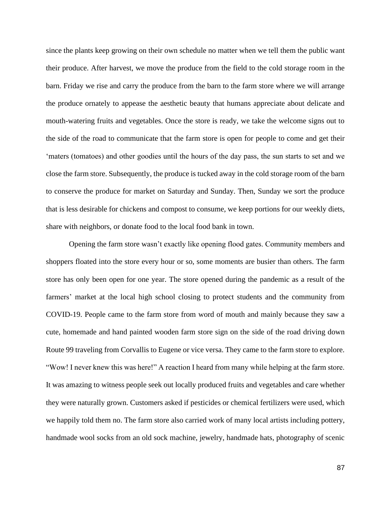since the plants keep growing on their own schedule no matter when we tell them the public want their produce. After harvest, we move the produce from the field to the cold storage room in the barn. Friday we rise and carry the produce from the barn to the farm store where we will arrange the produce ornately to appease the aesthetic beauty that humans appreciate about delicate and mouth-watering fruits and vegetables. Once the store is ready, we take the welcome signs out to the side of the road to communicate that the farm store is open for people to come and get their 'maters (tomatoes) and other goodies until the hours of the day pass, the sun starts to set and we close the farm store. Subsequently, the produce is tucked away in the cold storage room of the barn to conserve the produce for market on Saturday and Sunday. Then, Sunday we sort the produce that is less desirable for chickens and compost to consume, we keep portions for our weekly diets, share with neighbors, or donate food to the local food bank in town.

Opening the farm store wasn't exactly like opening flood gates. Community members and shoppers floated into the store every hour or so, some moments are busier than others. The farm store has only been open for one year. The store opened during the pandemic as a result of the farmers' market at the local high school closing to protect students and the community from COVID-19. People came to the farm store from word of mouth and mainly because they saw a cute, homemade and hand painted wooden farm store sign on the side of the road driving down Route 99 traveling from Corvallis to Eugene or vice versa. They came to the farm store to explore. "Wow! I never knew this was here!" A reaction I heard from many while helping at the farm store. It was amazing to witness people seek out locally produced fruits and vegetables and care whether they were naturally grown. Customers asked if pesticides or chemical fertilizers were used, which we happily told them no. The farm store also carried work of many local artists including pottery, handmade wool socks from an old sock machine, jewelry, handmade hats, photography of scenic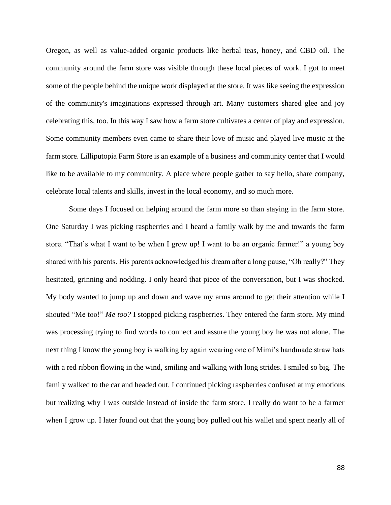Oregon, as well as value-added organic products like herbal teas, honey, and CBD oil. The community around the farm store was visible through these local pieces of work. I got to meet some of the people behind the unique work displayed at the store. It was like seeing the expression of the community's imaginations expressed through art. Many customers shared glee and joy celebrating this, too. In this way I saw how a farm store cultivates a center of play and expression. Some community members even came to share their love of music and played live music at the farm store. Lilliputopia Farm Store is an example of a business and community center that I would like to be available to my community. A place where people gather to say hello, share company, celebrate local talents and skills, invest in the local economy, and so much more.

Some days I focused on helping around the farm more so than staying in the farm store. One Saturday I was picking raspberries and I heard a family walk by me and towards the farm store. "That's what I want to be when I grow up! I want to be an organic farmer!" a young boy shared with his parents. His parents acknowledged his dream after a long pause, "Oh really?" They hesitated, grinning and nodding. I only heard that piece of the conversation, but I was shocked. My body wanted to jump up and down and wave my arms around to get their attention while I shouted "Me too!" *Me too?* I stopped picking raspberries. They entered the farm store. My mind was processing trying to find words to connect and assure the young boy he was not alone. The next thing I know the young boy is walking by again wearing one of Mimi's handmade straw hats with a red ribbon flowing in the wind, smiling and walking with long strides. I smiled so big. The family walked to the car and headed out. I continued picking raspberries confused at my emotions but realizing why I was outside instead of inside the farm store. I really do want to be a farmer when I grow up. I later found out that the young boy pulled out his wallet and spent nearly all of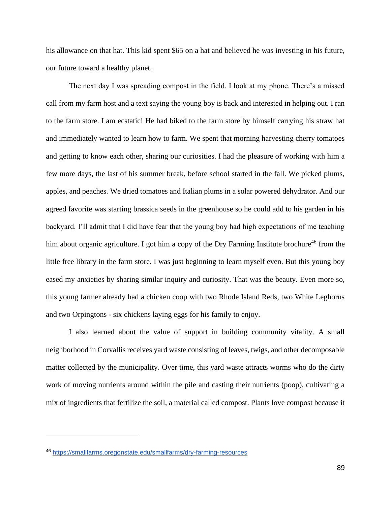his allowance on that hat. This kid spent \$65 on a hat and believed he was investing in his future, our future toward a healthy planet.

The next day I was spreading compost in the field. I look at my phone. There's a missed call from my farm host and a text saying the young boy is back and interested in helping out. I ran to the farm store. I am ecstatic! He had biked to the farm store by himself carrying his straw hat and immediately wanted to learn how to farm. We spent that morning harvesting cherry tomatoes and getting to know each other, sharing our curiosities. I had the pleasure of working with him a few more days, the last of his summer break, before school started in the fall. We picked plums, apples, and peaches. We dried tomatoes and Italian plums in a solar powered dehydrator. And our agreed favorite was starting brassica seeds in the greenhouse so he could add to his garden in his backyard. I'll admit that I did have fear that the young boy had high expectations of me teaching him about organic agriculture. I got him a copy of the Dry Farming Institute brochure<sup>46</sup> from the little free library in the farm store. I was just beginning to learn myself even. But this young boy eased my anxieties by sharing similar inquiry and curiosity. That was the beauty. Even more so, this young farmer already had a chicken coop with two Rhode Island Reds, two White Leghorns and two Orpingtons - six chickens laying eggs for his family to enjoy.

I also learned about the value of support in building community vitality. A small neighborhood in Corvallis receives yard waste consisting of leaves, twigs, and other decomposable matter collected by the municipality. Over time, this yard waste attracts worms who do the dirty work of moving nutrients around within the pile and casting their nutrients (poop), cultivating a mix of ingredients that fertilize the soil, a material called compost. Plants love compost because it

<sup>46</sup> <https://smallfarms.oregonstate.edu/smallfarms/dry-farming-resources>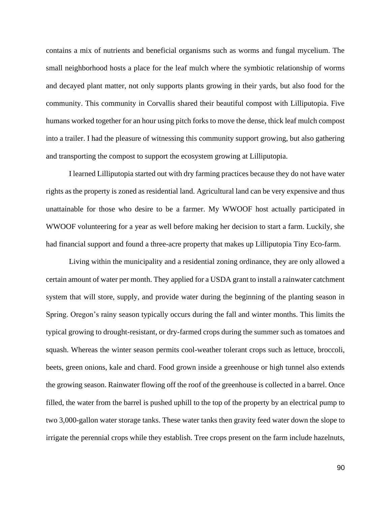contains a mix of nutrients and beneficial organisms such as worms and fungal mycelium. The small neighborhood hosts a place for the leaf mulch where the symbiotic relationship of worms and decayed plant matter, not only supports plants growing in their yards, but also food for the community. This community in Corvallis shared their beautiful compost with Lilliputopia. Five humans worked together for an hour using pitch forks to move the dense, thick leaf mulch compost into a trailer. I had the pleasure of witnessing this community support growing, but also gathering and transporting the compost to support the ecosystem growing at Lilliputopia.

I learned Lilliputopia started out with dry farming practices because they do not have water rights as the property is zoned as residential land. Agricultural land can be very expensive and thus unattainable for those who desire to be a farmer. My WWOOF host actually participated in WWOOF volunteering for a year as well before making her decision to start a farm. Luckily, she had financial support and found a three-acre property that makes up Lilliputopia Tiny Eco-farm.

Living within the municipality and a residential zoning ordinance, they are only allowed a certain amount of water per month. They applied for a USDA grant to install a rainwater catchment system that will store, supply, and provide water during the beginning of the planting season in Spring. Oregon's rainy season typically occurs during the fall and winter months. This limits the typical growing to drought-resistant, or dry-farmed crops during the summer such as tomatoes and squash. Whereas the winter season permits cool-weather tolerant crops such as lettuce, broccoli, beets, green onions, kale and chard. Food grown inside a greenhouse or high tunnel also extends the growing season. Rainwater flowing off the roof of the greenhouse is collected in a barrel. Once filled, the water from the barrel is pushed uphill to the top of the property by an electrical pump to two 3,000-gallon water storage tanks. These water tanks then gravity feed water down the slope to irrigate the perennial crops while they establish. Tree crops present on the farm include hazelnuts,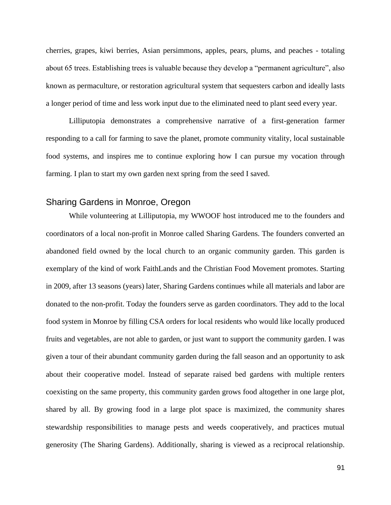cherries, grapes, kiwi berries, Asian persimmons, apples, pears, plums, and peaches - totaling about 65 trees. Establishing trees is valuable because they develop a "permanent agriculture", also known as permaculture, or restoration agricultural system that sequesters carbon and ideally lasts a longer period of time and less work input due to the eliminated need to plant seed every year.

Lilliputopia demonstrates a comprehensive narrative of a first-generation farmer responding to a call for farming to save the planet, promote community vitality, local sustainable food systems, and inspires me to continue exploring how I can pursue my vocation through farming. I plan to start my own garden next spring from the seed I saved.

#### Sharing Gardens in Monroe, Oregon

While volunteering at Lilliputopia, my WWOOF host introduced me to the founders and coordinators of a local non-profit in Monroe called Sharing Gardens. The founders converted an abandoned field owned by the local church to an organic community garden. This garden is exemplary of the kind of work FaithLands and the Christian Food Movement promotes. Starting in 2009, after 13 seasons (years) later, Sharing Gardens continues while all materials and labor are donated to the non-profit. Today the founders serve as garden coordinators. They add to the local food system in Monroe by filling CSA orders for local residents who would like locally produced fruits and vegetables, are not able to garden, or just want to support the community garden. I was given a tour of their abundant community garden during the fall season and an opportunity to ask about their cooperative model. Instead of separate raised bed gardens with multiple renters coexisting on the same property, this community garden grows food altogether in one large plot, shared by all. By growing food in a large plot space is maximized, the community shares stewardship responsibilities to manage pests and weeds cooperatively, and practices mutual generosity (The Sharing Gardens). Additionally, sharing is viewed as a reciprocal relationship.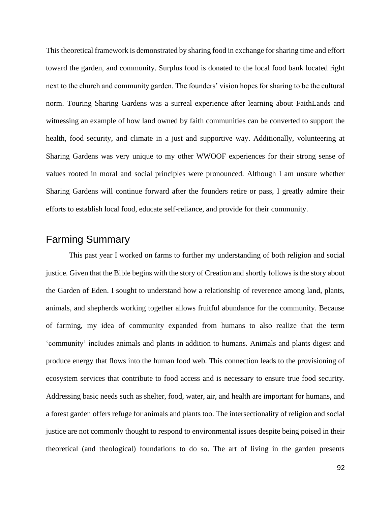This theoretical framework is demonstrated by sharing food in exchange for sharing time and effort toward the garden, and community. Surplus food is donated to the local food bank located right next to the church and community garden. The founders' vision hopes for sharing to be the cultural norm. Touring Sharing Gardens was a surreal experience after learning about FaithLands and witnessing an example of how land owned by faith communities can be converted to support the health, food security, and climate in a just and supportive way. Additionally, volunteering at Sharing Gardens was very unique to my other WWOOF experiences for their strong sense of values rooted in moral and social principles were pronounced. Although I am unsure whether Sharing Gardens will continue forward after the founders retire or pass, I greatly admire their efforts to establish local food, educate self-reliance, and provide for their community.

## Farming Summary

This past year I worked on farms to further my understanding of both religion and social justice. Given that the Bible begins with the story of Creation and shortly follows is the story about the Garden of Eden. I sought to understand how a relationship of reverence among land, plants, animals, and shepherds working together allows fruitful abundance for the community. Because of farming, my idea of community expanded from humans to also realize that the term 'community' includes animals and plants in addition to humans. Animals and plants digest and produce energy that flows into the human food web. This connection leads to the provisioning of ecosystem services that contribute to food access and is necessary to ensure true food security. Addressing basic needs such as shelter, food, water, air, and health are important for humans, and a forest garden offers refuge for animals and plants too. The intersectionality of religion and social justice are not commonly thought to respond to environmental issues despite being poised in their theoretical (and theological) foundations to do so. The art of living in the garden presents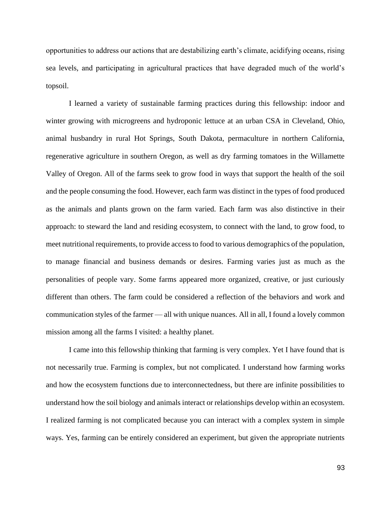opportunities to address our actions that are destabilizing earth's climate, acidifying oceans, rising sea levels, and participating in agricultural practices that have degraded much of the world's topsoil.

I learned a variety of sustainable farming practices during this fellowship: indoor and winter growing with microgreens and hydroponic lettuce at an urban CSA in Cleveland, Ohio, animal husbandry in rural Hot Springs, South Dakota, permaculture in northern California, regenerative agriculture in southern Oregon, as well as dry farming tomatoes in the Willamette Valley of Oregon. All of the farms seek to grow food in ways that support the health of the soil and the people consuming the food. However, each farm was distinct in the types of food produced as the animals and plants grown on the farm varied. Each farm was also distinctive in their approach: to steward the land and residing ecosystem, to connect with the land, to grow food, to meet nutritional requirements, to provide access to food to various demographics of the population, to manage financial and business demands or desires. Farming varies just as much as the personalities of people vary. Some farms appeared more organized, creative, or just curiously different than others. The farm could be considered a reflection of the behaviors and work and communication styles of the farmer — all with unique nuances. All in all, I found a lovely common mission among all the farms I visited: a healthy planet.

I came into this fellowship thinking that farming is very complex. Yet I have found that is not necessarily true. Farming is complex, but not complicated. I understand how farming works and how the ecosystem functions due to interconnectedness, but there are infinite possibilities to understand how the soil biology and animals interact or relationships develop within an ecosystem. I realized farming is not complicated because you can interact with a complex system in simple ways. Yes, farming can be entirely considered an experiment, but given the appropriate nutrients

93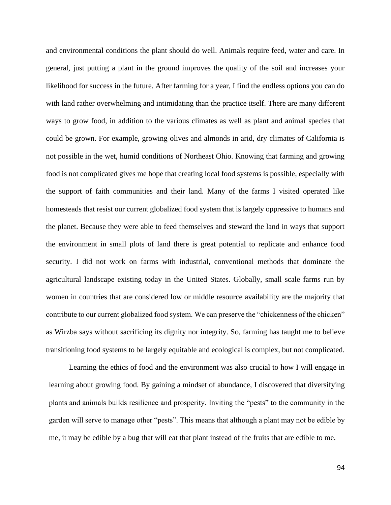and environmental conditions the plant should do well. Animals require feed, water and care. In general, just putting a plant in the ground improves the quality of the soil and increases your likelihood for success in the future. After farming for a year, I find the endless options you can do with land rather overwhelming and intimidating than the practice itself. There are many different ways to grow food, in addition to the various climates as well as plant and animal species that could be grown. For example, growing olives and almonds in arid, dry climates of California is not possible in the wet, humid conditions of Northeast Ohio. Knowing that farming and growing food is not complicated gives me hope that creating local food systems is possible, especially with the support of faith communities and their land. Many of the farms I visited operated like homesteads that resist our current globalized food system that is largely oppressive to humans and the planet. Because they were able to feed themselves and steward the land in ways that support the environment in small plots of land there is great potential to replicate and enhance food security. I did not work on farms with industrial, conventional methods that dominate the agricultural landscape existing today in the United States. Globally, small scale farms run by women in countries that are considered low or middle resource availability are the majority that contribute to our current globalized food system. We can preserve the "chickenness of the chicken" as Wirzba says without sacrificing its dignity nor integrity. So, farming has taught me to believe transitioning food systems to be largely equitable and ecological is complex, but not complicated.

Learning the ethics of food and the environment was also crucial to how I will engage in learning about growing food. By gaining a mindset of abundance, I discovered that diversifying plants and animals builds resilience and prosperity. Inviting the "pests" to the community in the garden will serve to manage other "pests". This means that although a plant may not be edible by me, it may be edible by a bug that will eat that plant instead of the fruits that are edible to me.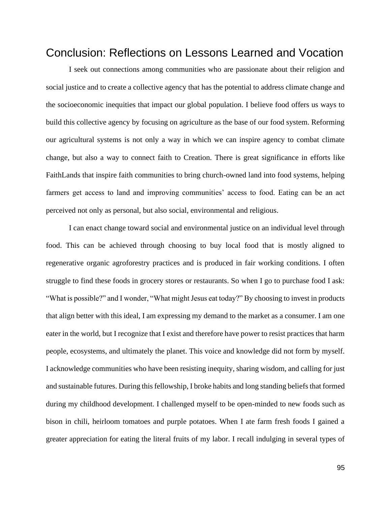## Conclusion: Reflections on Lessons Learned and Vocation

I seek out connections among communities who are passionate about their religion and social justice and to create a collective agency that has the potential to address climate change and the socioeconomic inequities that impact our global population. I believe food offers us ways to build this collective agency by focusing on agriculture as the base of our food system. Reforming our agricultural systems is not only a way in which we can inspire agency to combat climate change, but also a way to connect faith to Creation. There is great significance in efforts like FaithLands that inspire faith communities to bring church-owned land into food systems, helping farmers get access to land and improving communities' access to food. Eating can be an act perceived not only as personal, but also social, environmental and religious.

I can enact change toward social and environmental justice on an individual level through food. This can be achieved through choosing to buy local food that is mostly aligned to regenerative organic agroforestry practices and is produced in fair working conditions. I often struggle to find these foods in grocery stores or restaurants. So when I go to purchase food I ask: "What is possible?" and I wonder, "What might Jesus eat today?" By choosing to invest in products that align better with this ideal, I am expressing my demand to the market as a consumer. I am one eater in the world, but I recognize that I exist and therefore have power to resist practices that harm people, ecosystems, and ultimately the planet. This voice and knowledge did not form by myself. I acknowledge communities who have been resisting inequity, sharing wisdom, and calling for just and sustainable futures. During this fellowship, I broke habits and long standing beliefs that formed during my childhood development. I challenged myself to be open-minded to new foods such as bison in chili, heirloom tomatoes and purple potatoes. When I ate farm fresh foods I gained a greater appreciation for eating the literal fruits of my labor. I recall indulging in several types of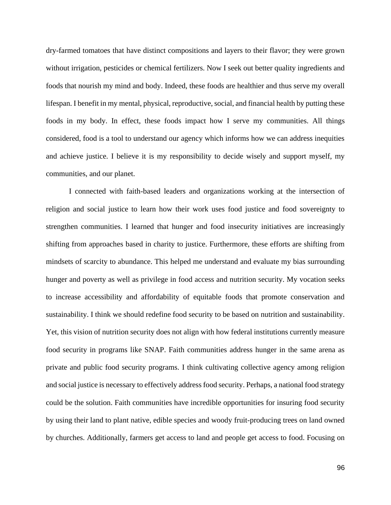dry-farmed tomatoes that have distinct compositions and layers to their flavor; they were grown without irrigation, pesticides or chemical fertilizers. Now I seek out better quality ingredients and foods that nourish my mind and body. Indeed, these foods are healthier and thus serve my overall lifespan. I benefit in my mental, physical, reproductive, social, and financial health by putting these foods in my body. In effect, these foods impact how I serve my communities. All things considered, food is a tool to understand our agency which informs how we can address inequities and achieve justice. I believe it is my responsibility to decide wisely and support myself, my communities, and our planet.

I connected with faith-based leaders and organizations working at the intersection of religion and social justice to learn how their work uses food justice and food sovereignty to strengthen communities. I learned that hunger and food insecurity initiatives are increasingly shifting from approaches based in charity to justice. Furthermore, these efforts are shifting from mindsets of scarcity to abundance. This helped me understand and evaluate my bias surrounding hunger and poverty as well as privilege in food access and nutrition security. My vocation seeks to increase accessibility and affordability of equitable foods that promote conservation and sustainability. I think we should redefine food security to be based on nutrition and sustainability. Yet, this vision of nutrition security does not align with how federal institutions currently measure food security in programs like SNAP. Faith communities address hunger in the same arena as private and public food security programs. I think cultivating collective agency among religion and social justice is necessary to effectively address food security. Perhaps, a national food strategy could be the solution. Faith communities have incredible opportunities for insuring food security by using their land to plant native, edible species and woody fruit-producing trees on land owned by churches. Additionally, farmers get access to land and people get access to food. Focusing on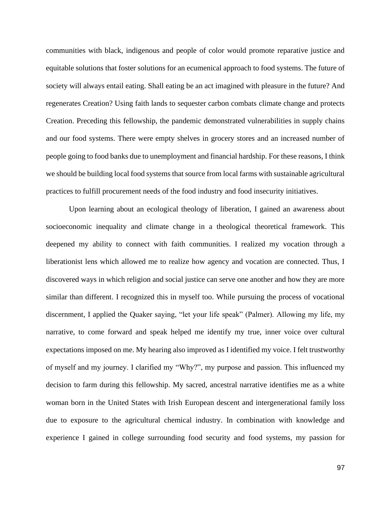communities with black, indigenous and people of color would promote reparative justice and equitable solutions that foster solutions for an ecumenical approach to food systems. The future of society will always entail eating. Shall eating be an act imagined with pleasure in the future? And regenerates Creation? Using faith lands to sequester carbon combats climate change and protects Creation. Preceding this fellowship, the pandemic demonstrated vulnerabilities in supply chains and our food systems. There were empty shelves in grocery stores and an increased number of people going to food banks due to unemployment and financial hardship. For these reasons, I think we should be building local food systems that source from local farms with sustainable agricultural practices to fulfill procurement needs of the food industry and food insecurity initiatives.

Upon learning about an ecological theology of liberation, I gained an awareness about socioeconomic inequality and climate change in a theological theoretical framework. This deepened my ability to connect with faith communities. I realized my vocation through a liberationist lens which allowed me to realize how agency and vocation are connected. Thus, I discovered ways in which religion and social justice can serve one another and how they are more similar than different. I recognized this in myself too. While pursuing the process of vocational discernment, I applied the Quaker saying, "let your life speak" (Palmer). Allowing my life, my narrative, to come forward and speak helped me identify my true, inner voice over cultural expectations imposed on me. My hearing also improved as I identified my voice. I felt trustworthy of myself and my journey. I clarified my "Why?", my purpose and passion. This influenced my decision to farm during this fellowship. My sacred, ancestral narrative identifies me as a white woman born in the United States with Irish European descent and intergenerational family loss due to exposure to the agricultural chemical industry. In combination with knowledge and experience I gained in college surrounding food security and food systems, my passion for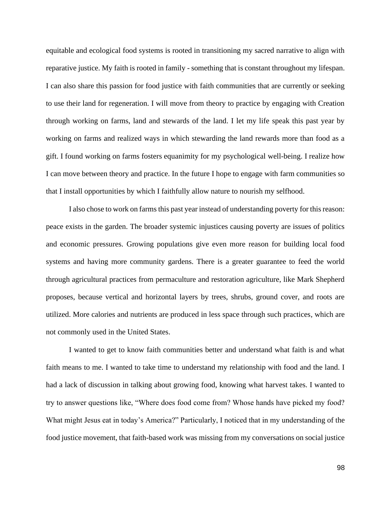equitable and ecological food systems is rooted in transitioning my sacred narrative to align with reparative justice. My faith is rooted in family - something that is constant throughout my lifespan. I can also share this passion for food justice with faith communities that are currently or seeking to use their land for regeneration. I will move from theory to practice by engaging with Creation through working on farms, land and stewards of the land. I let my life speak this past year by working on farms and realized ways in which stewarding the land rewards more than food as a gift. I found working on farms fosters equanimity for my psychological well-being. I realize how I can move between theory and practice. In the future I hope to engage with farm communities so that I install opportunities by which I faithfully allow nature to nourish my selfhood.

I also chose to work on farms this past year instead of understanding poverty for this reason: peace exists in the garden. The broader systemic injustices causing poverty are issues of politics and economic pressures. Growing populations give even more reason for building local food systems and having more community gardens. There is a greater guarantee to feed the world through agricultural practices from permaculture and restoration agriculture, like Mark Shepherd proposes, because vertical and horizontal layers by trees, shrubs, ground cover, and roots are utilized. More calories and nutrients are produced in less space through such practices, which are not commonly used in the United States.

I wanted to get to know faith communities better and understand what faith is and what faith means to me. I wanted to take time to understand my relationship with food and the land. I had a lack of discussion in talking about growing food, knowing what harvest takes. I wanted to try to answer questions like, "Where does food come from? Whose hands have picked my food? What might Jesus eat in today's America?" Particularly, I noticed that in my understanding of the food justice movement, that faith-based work was missing from my conversations on social justice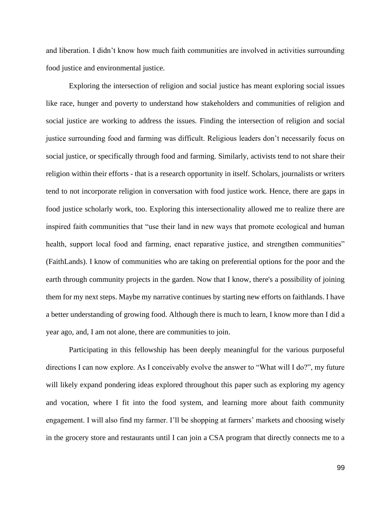and liberation. I didn't know how much faith communities are involved in activities surrounding food justice and environmental justice.

Exploring the intersection of religion and social justice has meant exploring social issues like race, hunger and poverty to understand how stakeholders and communities of religion and social justice are working to address the issues. Finding the intersection of religion and social justice surrounding food and farming was difficult. Religious leaders don't necessarily focus on social justice, or specifically through food and farming. Similarly, activists tend to not share their religion within their efforts - that is a research opportunity in itself. Scholars, journalists or writers tend to not incorporate religion in conversation with food justice work. Hence, there are gaps in food justice scholarly work, too. Exploring this intersectionality allowed me to realize there are inspired faith communities that "use their land in new ways that promote ecological and human health, support local food and farming, enact reparative justice, and strengthen communities" (FaithLands). I know of communities who are taking on preferential options for the poor and the earth through community projects in the garden. Now that I know, there's a possibility of joining them for my next steps. Maybe my narrative continues by starting new efforts on faithlands. I have a better understanding of growing food. Although there is much to learn, I know more than I did a year ago, and, I am not alone, there are communities to join.

Participating in this fellowship has been deeply meaningful for the various purposeful directions I can now explore. As I conceivably evolve the answer to "What will I do?", my future will likely expand pondering ideas explored throughout this paper such as exploring my agency and vocation, where I fit into the food system, and learning more about faith community engagement. I will also find my farmer. I'll be shopping at farmers' markets and choosing wisely in the grocery store and restaurants until I can join a CSA program that directly connects me to a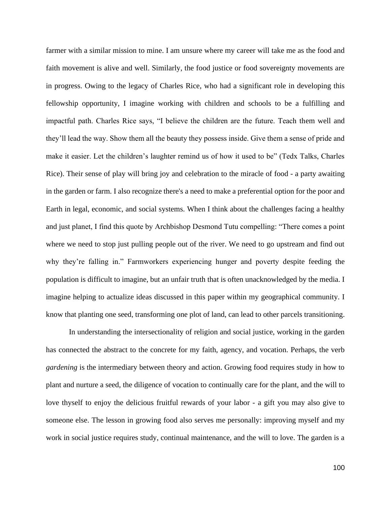farmer with a similar mission to mine. I am unsure where my career will take me as the food and faith movement is alive and well. Similarly, the food justice or food sovereignty movements are in progress. Owing to the legacy of Charles Rice, who had a significant role in developing this fellowship opportunity, I imagine working with children and schools to be a fulfilling and impactful path. Charles Rice says, "I believe the children are the future. Teach them well and they'll lead the way. Show them all the beauty they possess inside. Give them a sense of pride and make it easier. Let the children's laughter remind us of how it used to be" (Tedx Talks, Charles Rice). Their sense of play will bring joy and celebration to the miracle of food - a party awaiting in the garden or farm. I also recognize there's a need to make a preferential option for the poor and Earth in legal, economic, and social systems. When I think about the challenges facing a healthy and just planet, I find this quote by Archbishop Desmond Tutu compelling: "There comes a point where we need to stop just pulling people out of the river. We need to go upstream and find out why they're falling in." Farmworkers experiencing hunger and poverty despite feeding the population is difficult to imagine, but an unfair truth that is often unacknowledged by the media. I imagine helping to actualize ideas discussed in this paper within my geographical community. I know that planting one seed, transforming one plot of land, can lead to other parcels transitioning.

In understanding the intersectionality of religion and social justice, working in the garden has connected the abstract to the concrete for my faith, agency, and vocation. Perhaps, the verb *gardening* is the intermediary between theory and action. Growing food requires study in how to plant and nurture a seed, the diligence of vocation to continually care for the plant, and the will to love thyself to enjoy the delicious fruitful rewards of your labor - a gift you may also give to someone else. The lesson in growing food also serves me personally: improving myself and my work in social justice requires study, continual maintenance, and the will to love. The garden is a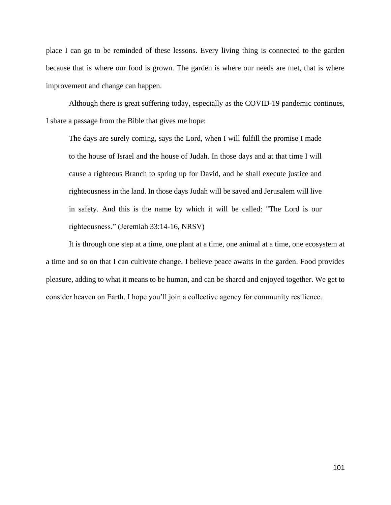place I can go to be reminded of these lessons. Every living thing is connected to the garden because that is where our food is grown. The garden is where our needs are met, that is where improvement and change can happen.

Although there is great suffering today, especially as the COVID-19 pandemic continues, I share a passage from the Bible that gives me hope:

The days are surely coming, says the Lord, when I will fulfill the promise I made to the house of Israel and the house of Judah. In those days and at that time I will cause a righteous Branch to spring up for David, and he shall execute justice and righteousness in the land. In those days Judah will be saved and Jerusalem will live in safety. And this is the name by which it will be called: "The Lord is our righteousness." (Jeremiah 33:14-16, NRSV)

It is through one step at a time, one plant at a time, one animal at a time, one ecosystem at a time and so on that I can cultivate change. I believe peace awaits in the garden. Food provides pleasure, adding to what it means to be human, and can be shared and enjoyed together. We get to consider heaven on Earth. I hope you'll join a collective agency for community resilience.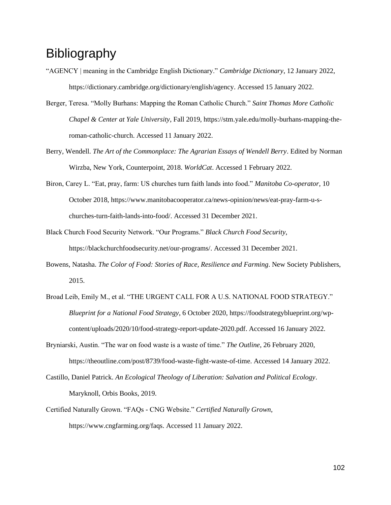# **Bibliography**

- "AGENCY | meaning in the Cambridge English Dictionary." *Cambridge Dictionary*, 12 January 2022, https://dictionary.cambridge.org/dictionary/english/agency. Accessed 15 January 2022.
- Berger, Teresa. "Molly Burhans: Mapping the Roman Catholic Church." *Saint Thomas More Catholic Chapel & Center at Yale University*, Fall 2019, https://stm.yale.edu/molly-burhans-mapping-theroman-catholic-church. Accessed 11 January 2022.
- Berry, Wendell. *The Art of the Commonplace: The Agrarian Essays of Wendell Berry*. Edited by Norman Wirzba, New York, Counterpoint, 2018. *WorldCat*. Accessed 1 February 2022.
- Biron, Carey L. "Eat, pray, farm: US churches turn faith lands into food." *Manitoba Co-operator*, 10 October 2018, https://www.manitobacooperator.ca/news-opinion/news/eat-pray-farm-u-schurches-turn-faith-lands-into-food/. Accessed 31 December 2021.
- Black Church Food Security Network. "Our Programs." *Black Church Food Security*, https://blackchurchfoodsecurity.net/our-programs/. Accessed 31 December 2021.
- Bowens, Natasha. *The Color of Food: Stories of Race, Resilience and Farming*. New Society Publishers, 2015.
- Broad Leib, Emily M., et al. "THE URGENT CALL FOR A U.S. NATIONAL FOOD STRATEGY." *Blueprint for a National Food Strategy*, 6 October 2020, https://foodstrategyblueprint.org/wpcontent/uploads/2020/10/food-strategy-report-update-2020.pdf. Accessed 16 January 2022.
- Bryniarski, Austin. "The war on food waste is a waste of time." *The Outline*, 26 February 2020, https://theoutline.com/post/8739/food-waste-fight-waste-of-time. Accessed 14 January 2022.
- Castillo, Daniel Patrick. *An Ecological Theology of Liberation: Salvation and Political Ecology*. Maryknoll, Orbis Books, 2019.
- Certified Naturally Grown. "FAQs CNG Website." *Certified Naturally Grown*, https://www.cngfarming.org/faqs. Accessed 11 January 2022.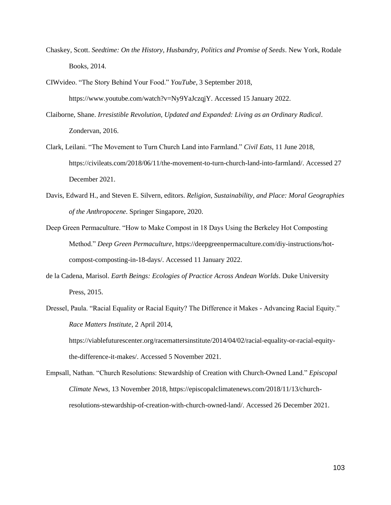- Chaskey, Scott. *Seedtime: On the History, Husbandry, Politics and Promise of Seeds*. New York, Rodale Books, 2014.
- CIWvideo. "The Story Behind Your Food." *YouTube*, 3 September 2018, https://www.youtube.com/watch?v=Ny9YaJczqjY. Accessed 15 January 2022.
- Claiborne, Shane. *Irresistible Revolution, Updated and Expanded: Living as an Ordinary Radical*. Zondervan, 2016.
- Clark, Leilani. "The Movement to Turn Church Land into Farmland." *Civil Eats*, 11 June 2018, https://civileats.com/2018/06/11/the-movement-to-turn-church-land-into-farmland/. Accessed 27 December 2021.
- Davis, Edward H., and Steven E. Silvern, editors. *Religion, Sustainability, and Place: Moral Geographies of the Anthropocene*. Springer Singapore, 2020.
- Deep Green Permaculture. "How to Make Compost in 18 Days Using the Berkeley Hot Composting Method." *Deep Green Permaculture*, https://deepgreenpermaculture.com/diy-instructions/hotcompost-composting-in-18-days/. Accessed 11 January 2022.
- de la Cadena, Marisol. *Earth Beings: Ecologies of Practice Across Andean Worlds*. Duke University Press, 2015.
- Dressel, Paula. "Racial Equality or Racial Equity? The Difference it Makes Advancing Racial Equity." *Race Matters Institute*, 2 April 2014,

https://viablefuturescenter.org/racemattersinstitute/2014/04/02/racial-equality-or-racial-equitythe-difference-it-makes/. Accessed 5 November 2021.

Empsall, Nathan. "Church Resolutions: Stewardship of Creation with Church-Owned Land." *Episcopal Climate News*, 13 November 2018, https://episcopalclimatenews.com/2018/11/13/churchresolutions-stewardship-of-creation-with-church-owned-land/. Accessed 26 December 2021.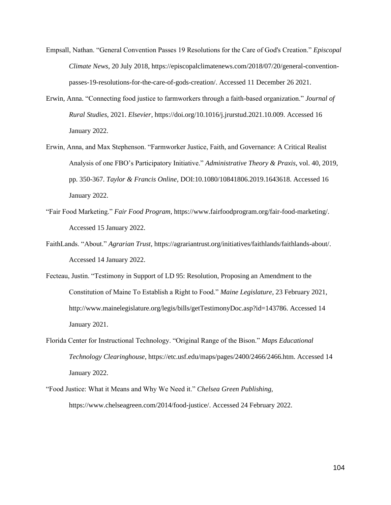- Empsall, Nathan. "General Convention Passes 19 Resolutions for the Care of God's Creation." *Episcopal Climate News*, 20 July 2018, https://episcopalclimatenews.com/2018/07/20/general-conventionpasses-19-resolutions-for-the-care-of-gods-creation/. Accessed 11 December 26 2021.
- Erwin, Anna. "Connecting food justice to farmworkers through a faith-based organization." *Journal of Rural Studies*, 2021. *Elsevier*, https://doi.org/10.1016/j.jrurstud.2021.10.009. Accessed 16 January 2022.
- Erwin, Anna, and Max Stephenson. "Farmworker Justice, Faith, and Governance: A Critical Realist Analysis of one FBO's Participatory Initiative." *Administrative Theory & Praxis*, vol. 40, 2019, pp. 350-367. *Taylor & Francis Online*, DOI:10.1080/10841806.2019.1643618. Accessed 16 January 2022.
- "Fair Food Marketing." *Fair Food Program*, https://www.fairfoodprogram.org/fair-food-marketing/. Accessed 15 January 2022.
- FaithLands. "About." *Agrarian Trust*, https://agrariantrust.org/initiatives/faithlands/faithlands-about/. Accessed 14 January 2022.
- Fecteau, Justin. "Testimony in Support of LD 95: Resolution, Proposing an Amendment to the Constitution of Maine To Establish a Right to Food." *Maine Legislature*, 23 February 2021, http://www.mainelegislature.org/legis/bills/getTestimonyDoc.asp?id=143786. Accessed 14 January 2021.
- Florida Center for Instructional Technology. "Original Range of the Bison." *Maps Educational Technology Clearinghouse*, https://etc.usf.edu/maps/pages/2400/2466/2466.htm. Accessed 14 January 2022.
- "Food Justice: What it Means and Why We Need it." *Chelsea Green Publishing*, https://www.chelseagreen.com/2014/food-justice/. Accessed 24 February 2022.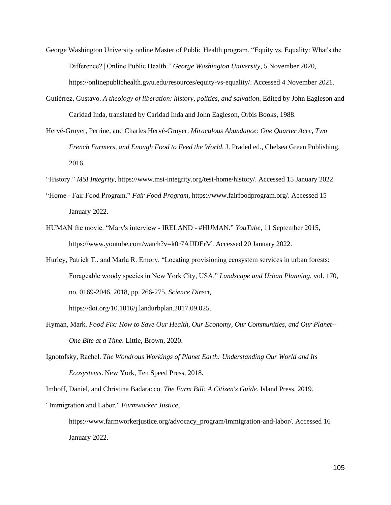- George Washington University online Master of Public Health program. "Equity vs. Equality: What's the Difference? | Online Public Health." *George Washington University*, 5 November 2020, https://onlinepublichealth.gwu.edu/resources/equity-vs-equality/. Accessed 4 November 2021.
- Gutiérrez, Gustavo. *A theology of liberation: history, politics, and salvation*. Edited by John Eagleson and Caridad Inda, translated by Caridad Inda and John Eagleson, Orbis Books, 1988.
- Hervé-Gruyer, Perrine, and Charles Hervé-Gruyer. *Miraculous Abundance: One Quarter Acre, Two French Farmers, and Enough Food to Feed the World*. J. Praded ed., Chelsea Green Publishing, 2016.
- "History." *MSI Integrity*, https://www.msi-integrity.org/test-home/history/. Accessed 15 January 2022.
- "Home Fair Food Program." *Fair Food Program*, https://www.fairfoodprogram.org/. Accessed 15 January 2022.
- HUMAN the movie. "Mary's interview IRELAND #HUMAN." *YouTube*, 11 September 2015, https://www.youtube.com/watch?v=k0r7AfJDErM. Accessed 20 January 2022.
- Hurley, Patrick T., and Marla R. Emory. "Locating provisioning ecosystem services in urban forests: Forageable woody species in New York City, USA." *Landscape and Urban Planning*, vol. 170, no. 0169-2046, 2018, pp. 266-275. *Science Direct*,

https://doi.org/10.1016/j.landurbplan.2017.09.025.

- Hyman, Mark. *Food Fix: How to Save Our Health, Our Economy, Our Communities, and Our Planet-- One Bite at a Time*. Little, Brown, 2020.
- Ignotofsky, Rachel. *The Wondrous Workings of Planet Earth: Understanding Our World and Its Ecosystems*. New York, Ten Speed Press, 2018.

Imhoff, Daniel, and Christina Badaracco. *The Farm Bill: A Citizen's Guide*. Island Press, 2019.

"Immigration and Labor." *Farmworker Justice*,

https://www.farmworkerjustice.org/advocacy\_program/immigration-and-labor/. Accessed 16 January 2022.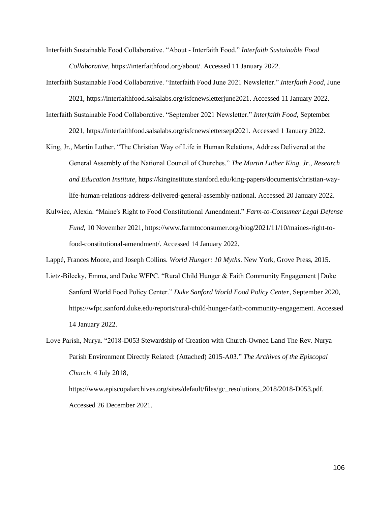Interfaith Sustainable Food Collaborative. "About - Interfaith Food." *Interfaith Sustainable Food Collaborative*, https://interfaithfood.org/about/. Accessed 11 January 2022.

Interfaith Sustainable Food Collaborative. "Interfaith Food June 2021 Newsletter." *Interfaith Food*, June

2021, https://interfaithfood.salsalabs.org/isfcnewsletterjune2021. Accessed 11 January 2022.

- Interfaith Sustainable Food Collaborative. "September 2021 Newsletter." *Interfaith Food*, September 2021, https://interfaithfood.salsalabs.org/isfcnewslettersept2021. Accessed 1 January 2022.
- King, Jr., Martin Luther. "The Christian Way of Life in Human Relations, Address Delivered at the General Assembly of the National Council of Churches." *The Martin Luther King, Jr., Research and Education Institute*, https://kinginstitute.stanford.edu/king-papers/documents/christian-waylife-human-relations-address-delivered-general-assembly-national. Accessed 20 January 2022.
- Kulwiec, Alexia. "Maine's Right to Food Constitutional Amendment." *Farm-to-Consumer Legal Defense Fund*, 10 November 2021, https://www.farmtoconsumer.org/blog/2021/11/10/maines-right-tofood-constitutional-amendment/. Accessed 14 January 2022.

Lappé, Frances Moore, and Joseph Collins. *World Hunger: 10 Myths*. New York, Grove Press, 2015.

Lietz-Bilecky, Emma, and Duke WFPC. "Rural Child Hunger & Faith Community Engagement | Duke Sanford World Food Policy Center." *Duke Sanford World Food Policy Center*, September 2020, https://wfpc.sanford.duke.edu/reports/rural-child-hunger-faith-community-engagement. Accessed 14 January 2022.

Love Parish, Nurya. "2018-D053 Stewardship of Creation with Church-Owned Land The Rev. Nurya Parish Environment Directly Related: (Attached) 2015-A03." *The Archives of the Episcopal Church*, 4 July 2018,

https://www.episcopalarchives.org/sites/default/files/gc\_resolutions\_2018/2018-D053.pdf. Accessed 26 December 2021.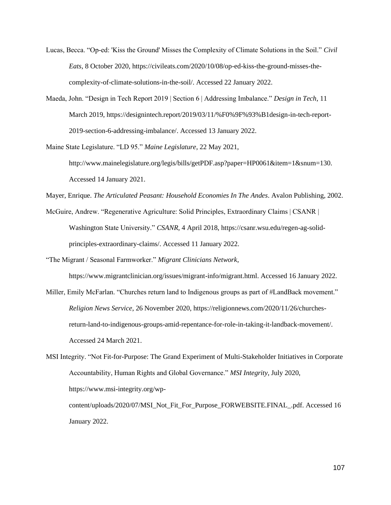- Lucas, Becca. "Op-ed: 'Kiss the Ground' Misses the Complexity of Climate Solutions in the Soil." *Civil Eats*, 8 October 2020, https://civileats.com/2020/10/08/op-ed-kiss-the-ground-misses-thecomplexity-of-climate-solutions-in-the-soil/. Accessed 22 January 2022.
- Maeda, John. "Design in Tech Report 2019 | Section 6 | Addressing Imbalance." *Design in Tech*, 11 March 2019, https://designintech.report/2019/03/11/%F0%9F%93%B1design-in-tech-report-2019-section-6-addressing-imbalance/. Accessed 13 January 2022.

Maine State Legislature. "LD 95." *Maine Legislature*, 22 May 2021,

http://www.mainelegislature.org/legis/bills/getPDF.asp?paper=HP0061&item=1&snum=130. Accessed 14 January 2021.

Mayer, Enrique. *The Articulated Peasant: Household Economies In The Andes*. Avalon Publishing, 2002.

McGuire, Andrew. "Regenerative Agriculture: Solid Principles, Extraordinary Claims | CSANR | Washington State University." *CSANR*, 4 April 2018, https://csanr.wsu.edu/regen-ag-solidprinciples-extraordinary-claims/. Accessed 11 January 2022.

"The Migrant / Seasonal Farmworker." *Migrant Clinicians Network*,

https://www.migrantclinician.org/issues/migrant-info/migrant.html. Accessed 16 January 2022.

Miller, Emily McFarlan. "Churches return land to Indigenous groups as part of #LandBack movement." *Religion News Service*, 26 November 2020, https://religionnews.com/2020/11/26/churchesreturn-land-to-indigenous-groups-amid-repentance-for-role-in-taking-it-landback-movement/. Accessed 24 March 2021.

MSI Integrity. "Not Fit-for-Purpose: The Grand Experiment of Multi-Stakeholder Initiatives in Corporate Accountability, Human Rights and Global Governance." *MSI Integrity*, July 2020, https://www.msi-integrity.org/wp-

content/uploads/2020/07/MSI\_Not\_Fit\_For\_Purpose\_FORWEBSITE.FINAL\_.pdf. Accessed 16 January 2022.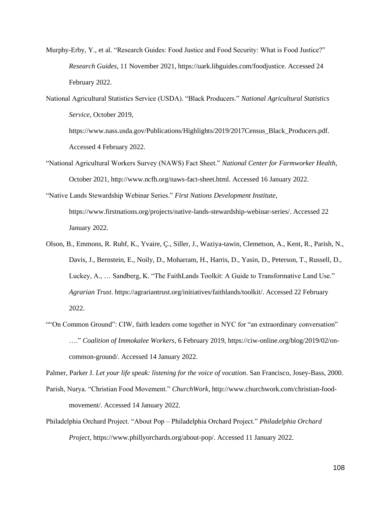Murphy-Erby, Y., et al. "Research Guides: Food Justice and Food Security: What is Food Justice?" *Research Guides*, 11 November 2021, https://uark.libguides.com/foodjustice. Accessed 24 February 2022.

National Agricultural Statistics Service (USDA). "Black Producers." *National Agricultural Statistics Service*, October 2019, https://www.nass.usda.gov/Publications/Highlights/2019/2017Census\_Black\_Producers.pdf. Accessed 4 February 2022.

- "National Agricultural Workers Survey (NAWS) Fact Sheet." *National Center for Farmworker Health*, October 2021, http://www.ncfh.org/naws-fact-sheet.html. Accessed 16 January 2022.
- "Native Lands Stewardship Webinar Series." *First Nations Development Institute*, https://www.firstnations.org/projects/native-lands-stewardship-webinar-series/. Accessed 22 January 2022.
- Olson, B., Emmons, R. Ruhf, K., Yvaire, Ç., Siller, J., Waziya-tawin, Clemetson, A., Kent, R., Parish, N., Davis, J., Bernstein, E., Noily, D., Moharram, H., Harris, D., Yasin, D., Peterson, T., Russell, D., Luckey, A., … Sandberg, K. "The FaithLands Toolkit: A Guide to Transformative Land Use." *Agrarian Trust*. https://agrariantrust.org/initiatives/faithlands/toolkit/. Accessed 22 February 2022.
- ""On Common Ground": CIW, faith leaders come together in NYC for "an extraordinary conversation" …." *Coalition of Immokalee Workers*, 6 February 2019, https://ciw-online.org/blog/2019/02/oncommon-ground/. Accessed 14 January 2022.

Palmer, Parker J. *Let your life speak: listening for the voice of vocation*. San Francisco, Josey-Bass, 2000.

- Parish, Nurya. "Christian Food Movement." *ChurchWork*, http://www.churchwork.com/christian-foodmovement/. Accessed 14 January 2022.
- Philadelphia Orchard Project. "About Pop Philadelphia Orchard Project." *Philadelphia Orchard Project*, https://www.phillyorchards.org/about-pop/. Accessed 11 January 2022.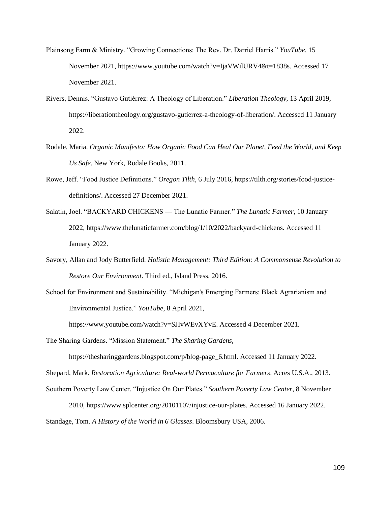- Plainsong Farm & Ministry. "Growing Connections: The Rev. Dr. Darriel Harris." *YouTube*, 15 November 2021, https://www.youtube.com/watch?v=IjaVWilURV4&t=1838s. Accessed 17 November 2021.
- Rivers, Dennis. "Gustavo Gutiérrez: A Theology of Liberation." *Liberation Theology*, 13 April 2019, https://liberationtheology.org/gustavo-gutierrez-a-theology-of-liberation/. Accessed 11 January 2022.
- Rodale, Maria. *Organic Manifesto: How Organic Food Can Heal Our Planet, Feed the World, and Keep Us Safe*. New York, Rodale Books, 2011.
- Rowe, Jeff. "Food Justice Definitions." *Oregon Tilth*, 6 July 2016, https://tilth.org/stories/food-justicedefinitions/. Accessed 27 December 2021.
- Salatin, Joel. "BACKYARD CHICKENS The Lunatic Farmer." *The Lunatic Farmer*, 10 January 2022, https://www.thelunaticfarmer.com/blog/1/10/2022/backyard-chickens. Accessed 11 January 2022.
- Savory, Allan and Jody Butterfield. *Holistic Management: Third Edition: A Commonsense Revolution to Restore Our Environment*. Third ed., Island Press, 2016.
- School for Environment and Sustainability. "Michigan's Emerging Farmers: Black Agrarianism and Environmental Justice." *YouTube*, 8 April 2021,

https://www.youtube.com/watch?v=SJIvWEvXYvE. Accessed 4 December 2021.

The Sharing Gardens. "Mission Statement." *The Sharing Gardens*,

https://thesharinggardens.blogspot.com/p/blog-page\_6.html. Accessed 11 January 2022. Shepard, Mark. *Restoration Agriculture: Real-world Permaculture for Farmers*. Acres U.S.A., 2013. Southern Poverty Law Center. "Injustice On Our Plates." *Southern Poverty Law Center*, 8 November

2010, https://www.splcenter.org/20101107/injustice-our-plates. Accessed 16 January 2022. Standage, Tom. *A History of the World in 6 Glasses*. Bloomsbury USA, 2006.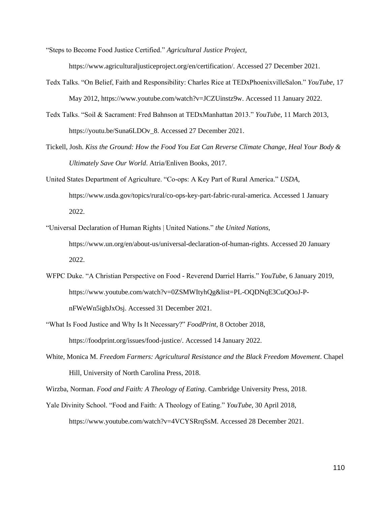"Steps to Become Food Justice Certified." *Agricultural Justice Project*,

https://www.agriculturaljusticeproject.org/en/certification/. Accessed 27 December 2021.

Tedx Talks. "On Belief, Faith and Responsibility: Charles Rice at TEDxPhoenixvilleSalon." *YouTube*, 17 May 2012, https://www.youtube.com/watch?v=JCZUinstz9w. Accessed 11 January 2022.

Tedx Talks. "Soil & Sacrament: Fred Bahnson at TEDxManhattan 2013." *YouTube*, 11 March 2013, https://youtu.be/Suna6LDOv\_8. Accessed 27 December 2021.

- Tickell, Josh. *Kiss the Ground: How the Food You Eat Can Reverse Climate Change, Heal Your Body & Ultimately Save Our World*. Atria/Enliven Books, 2017.
- United States Department of Agriculture. "Co-ops: A Key Part of Rural America." *USDA*, https://www.usda.gov/topics/rural/co-ops-key-part-fabric-rural-america. Accessed 1 January 2022.
- "Universal Declaration of Human Rights | United Nations." *the United Nations*, https://www.un.org/en/about-us/universal-declaration-of-human-rights. Accessed 20 January 2022.
- WFPC Duke. "A Christian Perspective on Food Reverend Darriel Harris." *YouTube*, 6 January 2019, https://www.youtube.com/watch?v=0ZSMWItyhQg&list=PL-OQDNqE3CuQOoJ-PnFWeWn5igbJxOsj. Accessed 31 December 2021.
- "What Is Food Justice and Why Is It Necessary?" *FoodPrint*, 8 October 2018, https://foodprint.org/issues/food-justice/. Accessed 14 January 2022.
- White, Monica M. *Freedom Farmers: Agricultural Resistance and the Black Freedom Movement*. Chapel Hill, University of North Carolina Press, 2018.

Wirzba, Norman. *Food and Faith: A Theology of Eating*. Cambridge University Press, 2018.

Yale Divinity School. "Food and Faith: A Theology of Eating." *YouTube*, 30 April 2018, https://www.youtube.com/watch?v=4VCYSRrqSsM. Accessed 28 December 2021.